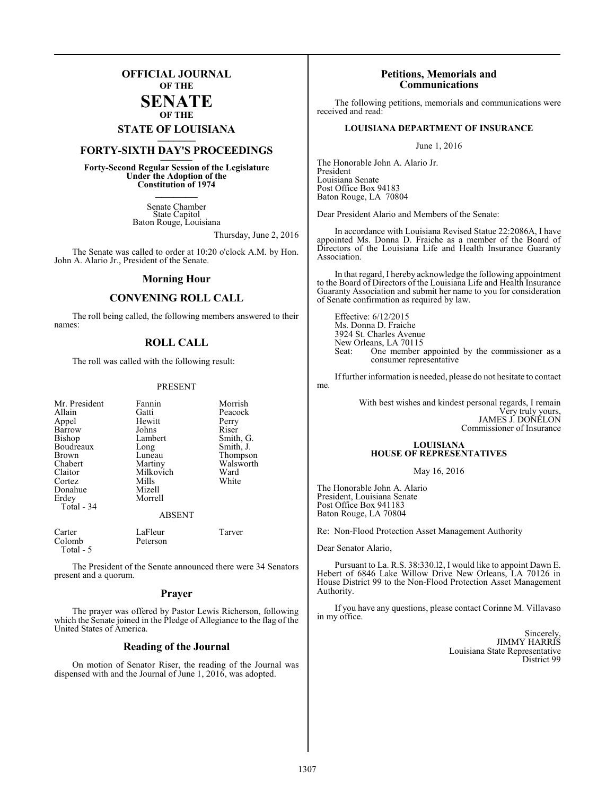## **OFFICIAL JOURNAL OF THE**

#### **SENATE OF THE**

# **STATE OF LOUISIANA \_\_\_\_\_\_\_**

# **FORTY-SIXTH DAY'S PROCEEDINGS \_\_\_\_\_\_\_**

**Forty-Second Regular Session of the Legislature Under the Adoption of the Constitution of 1974 \_\_\_\_\_\_\_**

> Senate Chamber State Capitol Baton Rouge, Louisiana

> > Thursday, June 2, 2016

The Senate was called to order at 10:20 o'clock A.M. by Hon. John A. Alario Jr., President of the Senate.

#### **Morning Hour**

## **CONVENING ROLL CALL**

The roll being called, the following members answered to their names:

## **ROLL CALL**

The roll was called with the following result:

#### PRESENT

| Mr. President<br>Allain<br>Appel<br>Barrow<br>Bishop<br>Boudreaux<br><b>Brown</b><br>Chabert<br>Claitor<br>Cortez<br>Donahue<br>Erdey<br>Total - 34 | Fannin<br>Gatti<br>Hewitt<br>Johns<br>Lambert<br>Long<br>Luneau<br>Martiny<br>Milkovich<br>Mills<br>Mizell<br>Morrell<br><b>ABSENT</b> | Morrish<br>Peacock<br>Perry<br>Riser<br>Smith, G.<br>Smith, J.<br>Thompson<br>Walsworth<br>Ward<br>White |
|-----------------------------------------------------------------------------------------------------------------------------------------------------|----------------------------------------------------------------------------------------------------------------------------------------|----------------------------------------------------------------------------------------------------------|
| Carter<br>Colomb<br>Total - 5                                                                                                                       | LaFleur<br>Peterson                                                                                                                    | Tarver                                                                                                   |

The President of the Senate announced there were 34 Senators present and a quorum.

#### **Prayer**

The prayer was offered by Pastor Lewis Richerson, following which the Senate joined in the Pledge of Allegiance to the flag of the United States of America.

### **Reading of the Journal**

On motion of Senator Riser, the reading of the Journal was dispensed with and the Journal of June 1, 2016, was adopted.

#### **Petitions, Memorials and Communications**

The following petitions, memorials and communications were received and read:

#### **LOUISIANA DEPARTMENT OF INSURANCE**

June 1, 2016

The Honorable John A. Alario Jr. President Louisiana Senate Post Office Box 94183 Baton Rouge, LA 70804

Dear President Alario and Members of the Senate:

In accordance with Louisiana Revised Statue 22:2086A, I have appointed Ms. Donna D. Fraiche as a member of the Board of Directors of the Louisiana Life and Health Insurance Guaranty Association.

In that regard, I hereby acknowledge the following appointment to the Board of Directors of the Louisiana Life and Health Insurance Guaranty Association and submit her name to you for consideration of Senate confirmation as required by law.

Effective: 6/12/2015 Ms. Donna D. Fraiche 3924 St. Charles Avenue New Orleans, LA 70115<br>Seat: One member One member appointed by the commissioner as a consumer representative

Iffurther information is needed, please do not hesitate to contact me.

> With best wishes and kindest personal regards, I remain Very truly yours, JAMES J. DONELON Commissioner of Insurance

#### **LOUISIANA HOUSE OF REPRESENTATIVES**

May 16, 2016

The Honorable John A. Alario President, Louisiana Senate Post Office Box 941183 Baton Rouge, LA 70804

Re: Non-Flood Protection Asset Management Authority

Dear Senator Alario,

Pursuant to La. R.S. 38:330.l2, I would like to appoint Dawn E. Hebert of 6846 Lake Willow Drive New Orleans, LA 70126 in House District 99 to the Non-Flood Protection Asset Management Authority.

If you have any questions, please contact Corinne M. Villavaso in my office.

> Sincerely, JIMMY HARRIS Louisiana State Representative District 99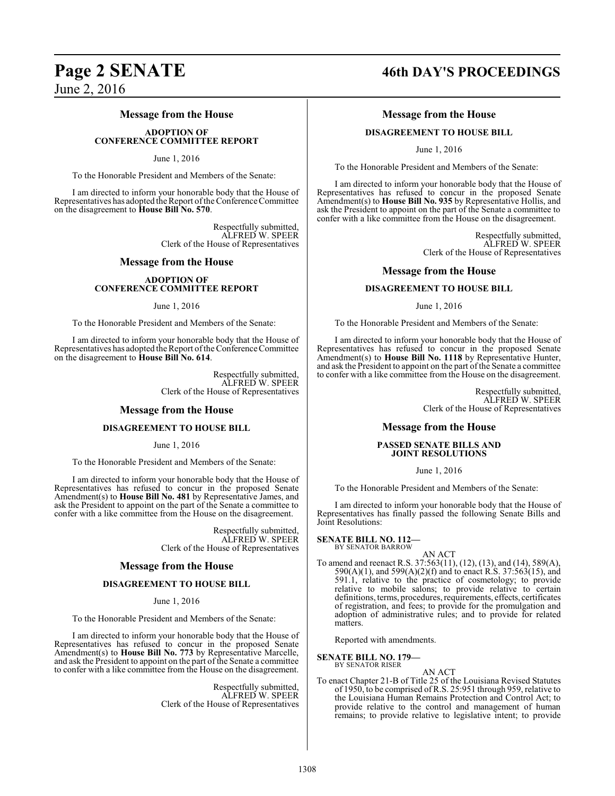## **Message from the House**

**ADOPTION OF CONFERENCE COMMITTEE REPORT**

June 1, 2016

To the Honorable President and Members of the Senate:

I am directed to inform your honorable body that the House of Representatives has adopted the Report ofthe Conference Committee on the disagreement to **House Bill No. 570**.

> Respectfully submitted, ALFRED W. SPEER Clerk of the House of Representatives

#### **Message from the House**

#### **ADOPTION OF CONFERENCE COMMITTEE REPORT**

June 1, 2016

To the Honorable President and Members of the Senate:

I am directed to inform your honorable body that the House of Representatives has adopted the Report of the Conference Committee on the disagreement to **House Bill No. 614**.

> Respectfully submitted, ALFRED W. SPEER Clerk of the House of Representatives

#### **Message from the House**

#### **DISAGREEMENT TO HOUSE BILL**

June 1, 2016

To the Honorable President and Members of the Senate:

I am directed to inform your honorable body that the House of Representatives has refused to concur in the proposed Senate Amendment(s) to **House Bill No. 481** by Representative James, and ask the President to appoint on the part of the Senate a committee to confer with a like committee from the House on the disagreement.

> Respectfully submitted, ALFRED W. SPEER Clerk of the House of Representatives

#### **Message from the House**

#### **DISAGREEMENT TO HOUSE BILL**

June 1, 2016

To the Honorable President and Members of the Senate:

I am directed to inform your honorable body that the House of Representatives has refused to concur in the proposed Senate Amendment(s) to **House Bill No. 773** by Representative Marcelle, and ask the President to appoint on the part of the Senate a committee to confer with a like committee from the House on the disagreement.

> Respectfully submitted, ALFRED W. SPEER Clerk of the House of Representatives

# **Page 2 SENATE 46th DAY'S PROCEEDINGS**

## **Message from the House**

#### **DISAGREEMENT TO HOUSE BILL**

June 1, 2016

To the Honorable President and Members of the Senate:

I am directed to inform your honorable body that the House of Representatives has refused to concur in the proposed Senate Amendment(s) to **House Bill No. 935** by Representative Hollis, and ask the President to appoint on the part of the Senate a committee to confer with a like committee from the House on the disagreement.

> Respectfully submitted, ALFRED W. SPEER Clerk of the House of Representatives

#### **Message from the House**

#### **DISAGREEMENT TO HOUSE BILL**

June 1, 2016

To the Honorable President and Members of the Senate:

I am directed to inform your honorable body that the House of Representatives has refused to concur in the proposed Senate Amendment(s) to **House Bill No. 1118** by Representative Hunter, and ask the President to appoint on the part ofthe Senate a committee to confer with a like committee from the House on the disagreement.

> Respectfully submitted, ALFRED W. SPEER Clerk of the House of Representatives

#### **Message from the House**

#### **PASSED SENATE BILLS AND JOINT RESOLUTIONS**

June 1, 2016

To the Honorable President and Members of the Senate:

I am directed to inform your honorable body that the House of Representatives has finally passed the following Senate Bills and Joint Resolutions:

# **SENATE BILL NO. 112—** BY SENATOR BARROW

- 
- To amend and reenact R.S. 37:563(11), (12), (13), and (14), 589(A), 590(A)(1), and 599(A)(2)(f) and to enact R.S. 37:563(15), and 591.1, relative to the practice of cosmetology; to provide relative to mobile salons; to provide relative to certain definitions, terms, procedures, requirements, effects, certificates of registration, and fees; to provide for the promulgation and adoption of administrative rules; and to provide for related matters.

AN ACT

Reported with amendments.

#### **SENATE BILL NO. 179—**

BY SENATOR RISER

AN ACT To enact Chapter 21-B of Title 25 of the Louisiana Revised Statutes of 1950, to be comprised ofR.S. 25:951 through 959, relative to the Louisiana Human Remains Protection and Control Act; to provide relative to the control and management of human remains; to provide relative to legislative intent; to provide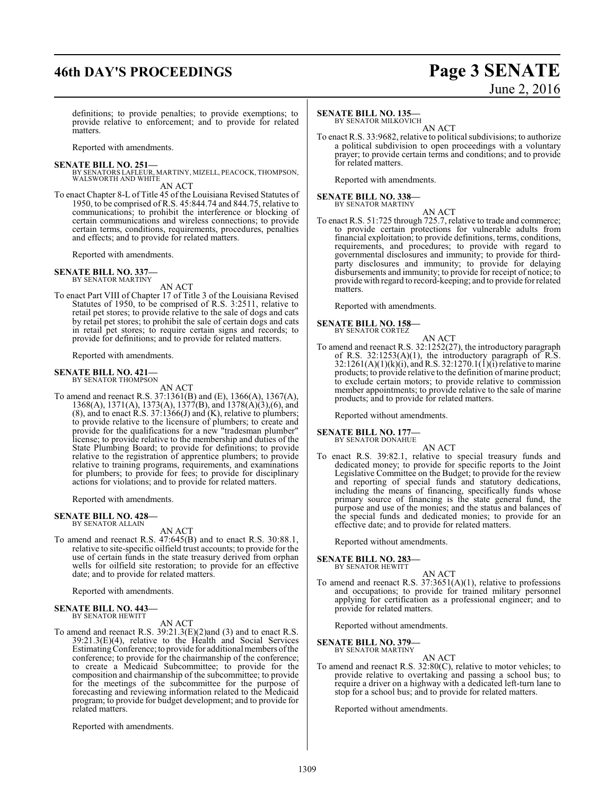# **46th DAY'S PROCEEDINGS Page 3 SENATE**

# June 2, 2016

definitions; to provide penalties; to provide exemptions; to provide relative to enforcement; and to provide for related matters.

Reported with amendments.

**SENATE BILL NO. 251—**<br>BY SENATORS LAFLEUR, MARTINY, MIZELL, PEACOCK, THOMPSON,<br>WALSWORTH AND WHITE AN ACT

To enact Chapter 8-L of Title 45 of the Louisiana Revised Statutes of 1950, to be comprised of R.S. 45:844.74 and 844.75, relative to communications; to prohibit the interference or blocking of certain communications and wireless connections; to provide certain terms, conditions, requirements, procedures, penalties and effects; and to provide for related matters.

Reported with amendments.

#### **SENATE BILL NO. 337—** BY SENATOR MARTINY

AN ACT

To enact Part VIII of Chapter 17 of Title 3 of the Louisiana Revised Statutes of 1950, to be comprised of R.S. 3:2511, relative to retail pet stores; to provide relative to the sale of dogs and cats by retail pet stores; to prohibit the sale of certain dogs and cats in retail pet stores; to require certain signs and records; to provide for definitions; and to provide for related matters.

Reported with amendments.

#### **SENATE BILL NO. 421—** BY SENATOR THOMPSON

AN ACT

To amend and reenact R.S. 37:1361(B) and (E), 1366(A), 1367(A), 1368(A), 1371(A), 1373(A), 1377(B), and 1378(A)(3),(6), and  $(8)$ , and to enact R.S. 37:1366(J) and  $(K)$ , relative to plumbers; to provide relative to the licensure of plumbers; to create and provide for the qualifications for a new "tradesman plumber" license; to provide relative to the membership and duties of the State Plumbing Board; to provide for definitions; to provide relative to the registration of apprentice plumbers; to provide relative to training programs, requirements, and examinations for plumbers; to provide for fees; to provide for disciplinary actions for violations; and to provide for related matters.

Reported with amendments.

#### **SENATE BILL NO. 428—** BY SENATOR ALLAIN

AN ACT

To amend and reenact R.S. 47:645(B) and to enact R.S. 30:88.1, relative to site-specific oilfield trust accounts; to provide for the use of certain funds in the state treasury derived from orphan wells for oilfield site restoration; to provide for an effective date; and to provide for related matters.

Reported with amendments.

#### **SENATE BILL NO. 443—** BY SENATOR HEWITT

AN ACT

To amend and reenact R.S. 39:21.3(E)(2)and (3) and to enact R.S. 39:21.3(E)(4), relative to the Health and Social Services EstimatingConference; to provide for additional members ofthe conference; to provide for the chairmanship of the conference; to create a Medicaid Subcommittee; to provide for the composition and chairmanship of the subcommittee; to provide for the meetings of the subcommittee for the purpose of forecasting and reviewing information related to the Medicaid program; to provide for budget development; and to provide for related matters.

Reported with amendments.

#### **SENATE BILL NO. 135—**

BY SENATOR MILKOVICH AN ACT

To enact R.S. 33:9682, relative to political subdivisions; to authorize a political subdivision to open proceedings with a voluntary prayer; to provide certain terms and conditions; and to provide for related matters.

Reported with amendments.

# **SENATE BILL NO. 338—** BY SENATOR MARTINY

AN ACT

To enact R.S. 51:725 through 725.7, relative to trade and commerce; to provide certain protections for vulnerable adults from financial exploitation; to provide definitions, terms, conditions, requirements, and procedures; to provide with regard to governmental disclosures and immunity; to provide for thirdparty disclosures and immunity; to provide for delaying disbursements and immunity; to provide for receipt of notice; to provide with regard to record-keeping; and to provide for related matters.

Reported with amendments.

#### **SENATE BILL NO. 158—** BY SENATOR CORTEZ

- AN ACT
- To amend and reenact R.S. 32:1252(27), the introductory paragraph of R.S.  $32:1253(A)(1)$ , the introductory paragraph of R.S.  $32:1261(A)(1)(k)(i)$ , and R.S.  $32:1270.1(i)(i)$  relative to marine products; to provide relative to the definition of marine product; to exclude certain motors; to provide relative to commission member appointments; to provide relative to the sale of marine products; and to provide for related matters.

Reported without amendments.

**SENATE BILL NO. 177—**

BY SENATOR DONAHUE

AN ACT To enact R.S. 39:82.1, relative to special treasury funds and dedicated money; to provide for specific reports to the Joint Legislative Committee on the Budget; to provide for the review and reporting of special funds and statutory dedications, including the means of financing, specifically funds whose primary source of financing is the state general fund, the purpose and use of the monies; and the status and balances of the special funds and dedicated monies; to provide for an effective date; and to provide for related matters.

Reported without amendments.

#### **SENATE BILL NO. 283—**

BY SENATOR HEWITT

AN ACT To amend and reenact R.S. 37:3651(A)(1), relative to professions and occupations; to provide for trained military personnel applying for certification as a professional engineer; and to provide for related matters.

Reported without amendments.

#### **SENATE BILL NO. 379—**

BY SENATOR MARTINY AN ACT

To amend and reenact R.S. 32:80(C), relative to motor vehicles; to provide relative to overtaking and passing a school bus; to require a driver on a highway with a dedicated left-turn lane to stop for a school bus; and to provide for related matters.

Reported without amendments.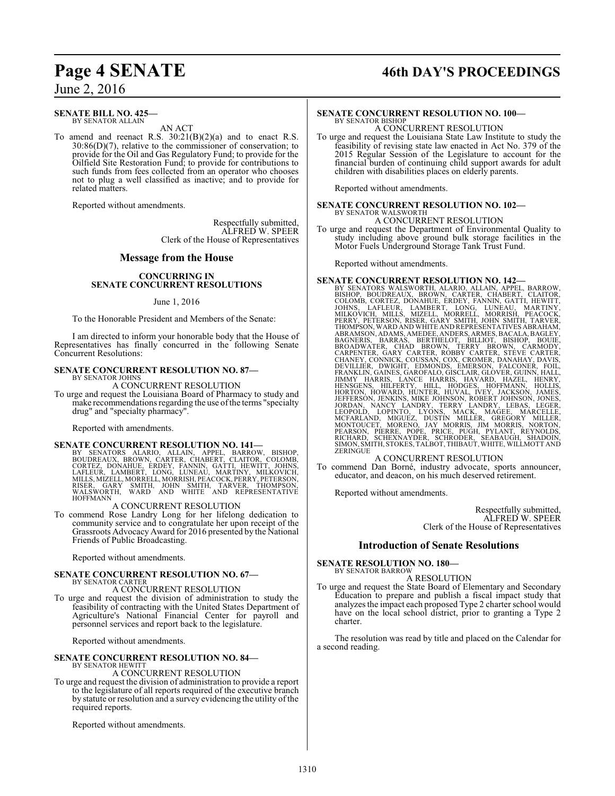# **Page 4 SENATE 46th DAY'S PROCEEDINGS**

June 2, 2016

#### **SENATE BILL NO. 425—** BY SENATOR ALLAIN

AN ACT

To amend and reenact R.S.  $30:21(B)(2)(a)$  and to enact R.S.  $30:86(D)(7)$ , relative to the commissioner of conservation; to provide for the Oil and Gas Regulatory Fund; to provide for the Oilfield Site Restoration Fund; to provide for contributions to such funds from fees collected from an operator who chooses not to plug a well classified as inactive; and to provide for related matters.

Reported without amendments.

Respectfully submitted, ALFRED W. SPEER Clerk of the House of Representatives

#### **Message from the House**

#### **CONCURRING IN SENATE CONCURRENT RESOLUTIONS**

#### June 1, 2016

To the Honorable President and Members of the Senate:

I am directed to inform your honorable body that the House of Representatives has finally concurred in the following Senate Concurrent Resolutions:

#### **SENATE CONCURRENT RESOLUTION NO. 87—** BY SENATOR JOHNS

A CONCURRENT RESOLUTION

To urge and request the Louisiana Board of Pharmacy to study and make recommendations regarding the use ofthe terms "specialty drug" and "specialty pharmacy".

Reported with amendments.

#### **SENATE CONCURRENT RESOLUTION NO. 141—**

BY SENATORS ALARIO, ALLAIN, APPEL, BARROW, BISHOP,<br>BOUDREAUX, BROWN, CARTER, CHABERT, CLAITOR, COLOMB,<br>CORTEZ, DONAHUE, ERDEY, FANNIN, GATTI, HEWITT, JOHNS,<br>LAFLEUR, LAMBERT, LONG, LUNEAU, MARTINY, MILKOVICH,<br>MILLS,MIZELL, **HOFFMANN** 

#### A CONCURRENT RESOLUTION

To commend Rose Landry Long for her lifelong dedication to community service and to congratulate her upon receipt of the Grassroots Advocacy Award for 2016 presented by the National Friends of Public Broadcasting.

Reported without amendments.

# **SENATE CONCURRENT RESOLUTION NO. 67—** BY SENATOR CARTER

A CONCURRENT RESOLUTION

To urge and request the division of administration to study the feasibility of contracting with the United States Department of Agriculture's National Financial Center for payroll and personnel services and report back to the legislature.

Reported without amendments.

#### **SENATE CONCURRENT RESOLUTION NO. 84—** BY SENATOR HEWITT

A CONCURRENT RESOLUTION

To urge and request the division of administration to provide a report to the legislature of all reports required of the executive branch by statute or resolution and a survey evidencing the utility of the required reports.

Reported without amendments.

#### **SENATE CONCURRENT RESOLUTION NO. 100—** BY SENATOR BISHOP

A CONCURRENT RESOLUTION

To urge and request the Louisiana State Law Institute to study the feasibility of revising state law enacted in Act No. 379 of the 2015 Regular Session of the Legislature to account for the financial burden of continuing child support awards for adult children with disabilities places on elderly parents.

Reported without amendments.

# **SENATE CONCURRENT RESOLUTION NO. 102—** BY SENATOR WALSWORTH

A CONCURRENT RESOLUTION

To urge and request the Department of Environmental Quality to study including above ground bulk storage facilities in the Motor Fuels Underground Storage Tank Trust Fund.

Reported without amendments.

**SENATE CONCURRENT RESOLUTION NO. 142—**<br>BY SENATORS WALSWORTH, ALARIO, ALLAIN, APPEL, BARROW, BISHOP, BOUDREAUX, BROWN, CARTER, CHABERT, CLAITOR,<br>COLOMB, CORTEZ, DONAHUE, ERDEY, FANNIN, GATTI, HEWITT,<br>JOHNS, LAFLEUR, LAMBE ABRAMSON, ADAMS, AMEDEE, ANDERS, ARMES, BACALA, BAGILEY, BAGNERIS, BARRAS, BERITHELOT, BISHOP, BOUIE, CARNODY, CHAOD ROUBY, CARNODY, CHAPENTER, GARY CARNER, TORY CARNER, TERVE CARRER, THEORY CHANNEY, CHANNEY, CONNICHT, EDM

#### A CONCURRENT RESOLUTION

To commend Dan Borné, industry advocate, sports announcer, educator, and deacon, on his much deserved retirement.

Reported without amendments.

Respectfully submitted, ALFRED W. SPEER Clerk of the House of Representatives

#### **Introduction of Senate Resolutions**

**SENATE RESOLUTION NO. 180—** BY SENATOR BARROW

#### A RESOLUTION

To urge and request the State Board of Elementary and Secondary Education to prepare and publish a fiscal impact study that analyzes the impact each proposed Type 2 charter school would have on the local school district, prior to granting a Type 2 charter.

The resolution was read by title and placed on the Calendar for a second reading.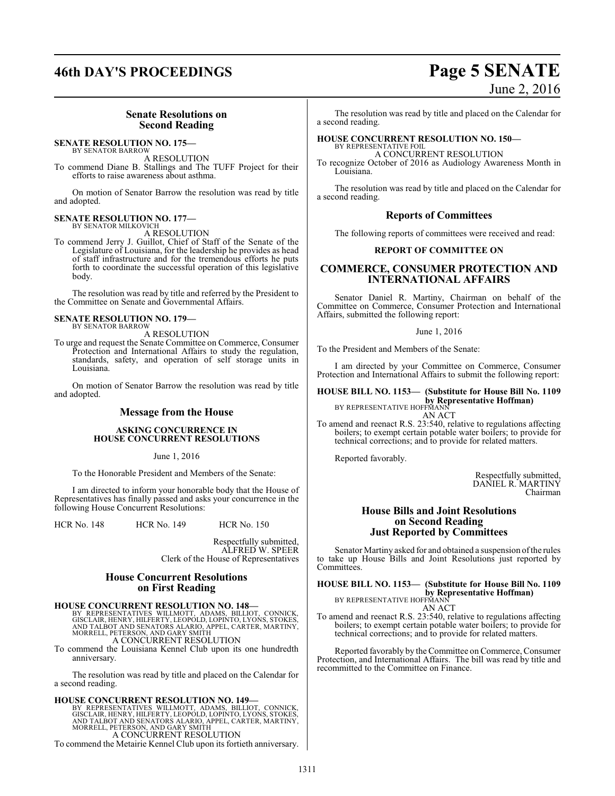# **46th DAY'S PROCEEDINGS Page 5 SENATE** June 2, 2016

### **Senate Resolutions on Second Reading**

#### **SENATE RESOLUTION NO. 175—**

BY SENATOR BARROW

A RESOLUTION To commend Diane B. Stallings and The TUFF Project for their efforts to raise awareness about asthma.

On motion of Senator Barrow the resolution was read by title and adopted.

# **SENATE RESOLUTION NO. 177—** BY SENATOR MILKOVICH

A RESOLUTION

To commend Jerry J. Guillot, Chief of Staff of the Senate of the Legislature of Louisiana, for the leadership he provides as head of staff infrastructure and for the tremendous efforts he puts forth to coordinate the successful operation of this legislative body.

The resolution was read by title and referred by the President to the Committee on Senate and Governmental Affairs.

#### **SENATE RESOLUTION NO. 179—** BY SENATOR BARROW

A RESOLUTION

To urge and request the Senate Committee on Commerce, Consumer Protection and International Affairs to study the regulation, standards, safety, and operation of self storage units in Louisiana.

On motion of Senator Barrow the resolution was read by title and adopted.

#### **Message from the House**

#### **ASKING CONCURRENCE IN HOUSE CONCURRENT RESOLUTIONS**

June 1, 2016

To the Honorable President and Members of the Senate:

I am directed to inform your honorable body that the House of Representatives has finally passed and asks your concurrence in the following House Concurrent Resolutions:

HCR No. 148 HCR No. 149 HCR No. 150

Respectfully submitted, ALFRED W. SPEER Clerk of the House of Representatives

#### **House Concurrent Resolutions on First Reading**

**HOUSE CONCURRENT RESOLUTION NO. 148—**<br>BY REPRESENTATIVES WILLMOTT, ADAMS, BILLIOT, CONNICK, GISCLAIR, HENRY, HILFERTY, LEOPÓLD, LOPINTO, LYONS, STOKES,<br>AND TALBOT AND SENATORS ALARIO, APPEL, CARTER, MARTINY,<br>MORRELL, PETE A CONCURRENT RESOLUTION

To commend the Louisiana Kennel Club upon its one hundredth anniversary.

The resolution was read by title and placed on the Calendar for a second reading.

#### **HOUSE CONCURRENT RESOLUTION NO. 149**

BY REPRESENTATIVES WILLMOTT, ADAMS, BILLIOT, CONNICK, GISCLAIR, HENRY, HILFERTY, LEOPOLD, LOPINTO, LYONS, STOKES, AND TALBOT AND SENATORS ALARIO, APPEL, CARTER, MARTINY, MORRELL, PETERSON, AND GARY SMITH A CONCURRENT RESOLUTION

To commend the Metairie Kennel Club upon its fortieth anniversary.

The resolution was read by title and placed on the Calendar for a second reading.

#### **HOUSE CONCURRENT RESOLUTION NO. 150—** BY REPRESENTATIVE FOIL

A CONCURRENT RESOLUTION

To recognize October of 2016 as Audiology Awareness Month in Louisiana.

The resolution was read by title and placed on the Calendar for a second reading.

#### **Reports of Committees**

The following reports of committees were received and read:

#### **REPORT OF COMMITTEE ON**

## **COMMERCE, CONSUMER PROTECTION AND INTERNATIONAL AFFAIRS**

Senator Daniel R. Martiny, Chairman on behalf of the Committee on Commerce, Consumer Protection and International Affairs, submitted the following report:

June 1, 2016

To the President and Members of the Senate:

I am directed by your Committee on Commerce, Consumer Protection and International Affairs to submit the following report:

## **HOUSE BILL NO. 1153— (Substitute for House Bill No. 1109 by Representative Hoffman)**<br>BY REPRESENTATIVE HOFFMANN

AN ACT

To amend and reenact R.S. 23:540, relative to regulations affecting boilers; to exempt certain potable water boilers; to provide for technical corrections; and to provide for related matters.

Reported favorably.

Respectfully submitted, DANIEL R. MARTINY Chairman

#### **House Bills and Joint Resolutions on Second Reading Just Reported by Committees**

Senator Martiny asked for and obtained a suspension ofthe rules to take up House Bills and Joint Resolutions just reported by Committees.

**HOUSE BILL NO. 1153— (Substitute for House Bill No. 1109 by Representative Hoffman)**<br>BY REPRESENTATIVE HOFFMANN

AN ACT To amend and reenact R.S. 23:540, relative to regulations affecting boilers; to exempt certain potable water boilers; to provide for technical corrections; and to provide for related matters.

Reported favorably by the Committee on Commerce, Consumer Protection, and International Affairs. The bill was read by title and recommitted to the Committee on Finance.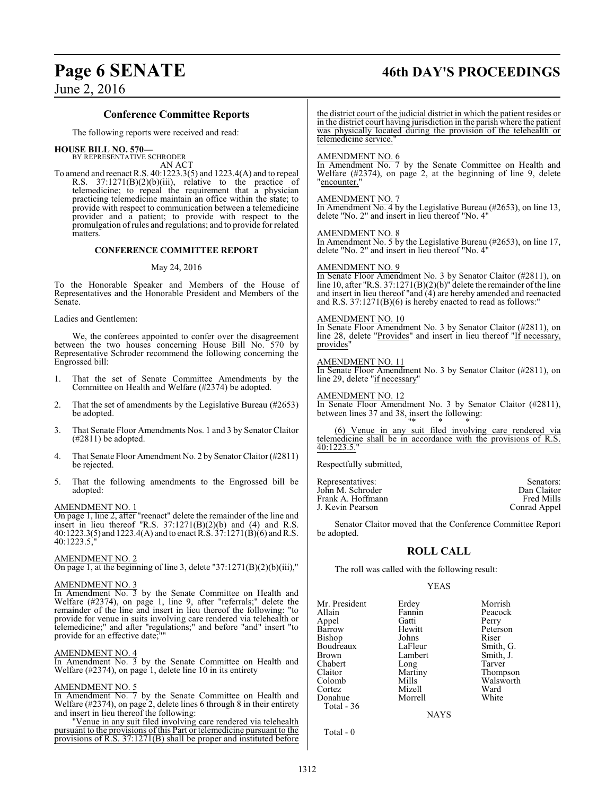# **Page 6 SENATE 46th DAY'S PROCEEDINGS**

### **Conference Committee Reports**

The following reports were received and read:

# **HOUSE BILL NO. 570—** BY REPRESENTATIVE SCHRODER

AN ACT

To amend and reenact R.S. 40:1223.3(5) and 1223.4(A) and to repeal R.S. 37:1271(B)(2)(b)(iii), relative to the practice of telemedicine; to repeal the requirement that a physician practicing telemedicine maintain an office within the state; to provide with respect to communication between a telemedicine provider and a patient; to provide with respect to the promulgation ofrules and regulations; and to provide for related matters.

#### **CONFERENCE COMMITTEE REPORT**

#### May 24, 2016

To the Honorable Speaker and Members of the House of Representatives and the Honorable President and Members of the Senate.

Ladies and Gentlemen:

We, the conferees appointed to confer over the disagreement between the two houses concerning House Bill No. 570 by Representative Schroder recommend the following concerning the Engrossed bill:

- That the set of Senate Committee Amendments by the Committee on Health and Welfare (#2374) be adopted.
- 2. That the set of amendments by the Legislative Bureau (#2653) be adopted.
- 3. That Senate Floor Amendments Nos. 1 and 3 by Senator Claitor  $(\text{\#2811})$  be adopted.
- 4. That Senate Floor Amendment No. 2 by Senator Claitor(#2811) be rejected.
- 5. That the following amendments to the Engrossed bill be adopted:

#### AMENDMENT NO. 1

On page 1, line 2, after "reenact" delete the remainder of the line and insert in lieu thereof "R.S.  $37:1271(B)(2)(b)$  and  $(4)$  and R.S. 40:1223.3(5) and 1223.4(A) and to enact R.S. 37:1271(B)(6) andR.S. 40:1223.5,"

#### AMENDMENT NO. 2

On page 1, at the beginning of line 3, delete "37:1271(B)(2)(b)(iii),"

### AMENDMENT NO. 3

In Amendment No. 3 by the Senate Committee on Health and Welfare (#2374), on page 1, line 9, after "referrals;" delete the remainder of the line and insert in lieu thereof the following: "to provide for venue in suits involving care rendered via telehealth or telemedicine;" and after "regulations;" and before "and" insert "to provide for an effective date;""

#### AMENDMENT NO. 4

In Amendment No. 3 by the Senate Committee on Health and Welfare (#2374), on page 1, delete line 10 in its entirety

#### AMENDMENT NO. 5

In Amendment No. 7 by the Senate Committee on Health and Welfare (#2374), on page 2, delete lines 6 through 8 in their entirety and insert in lieu thereof the following:

"Venue in any suit filed involving care rendered via telehealth pursuant to the provisions of this Part or telemedicine pursuant to the provisions of R.S. 37:1271(B) shall be proper and instituted before

the district court of the judicial district in which the patient resides or in the district court having jurisdiction in the parish where the patient was physically located during the provision of the telehealth or telemedicine service."

#### AMENDMENT NO. 6

In Amendment No. 7 by the Senate Committee on Health and Welfare (#2374), on page 2, at the beginning of line 9, delete "encounter."

#### AMENDMENT NO. 7

In Amendment No. 4 by the Legislative Bureau (#2653), on line 13, delete "No. 2" and insert in lieu thereof "No. 4"

#### AMENDMENT NO. 8

In Amendment No. 5 by the Legislative Bureau (#2653), on line 17, delete "No. 2" and insert in lieu thereof "No. 4"

#### AMENDMENT NO. 9

In Senate Floor Amendment No. 3 by Senator Claitor (#2811), on line 10, after "R.S. 37:1271(B)(2)(b)" delete the remainder ofthe line and insert in lieu thereof "and (4) are hereby amended and reenacted and R.S. 37:1271(B)(6) is hereby enacted to read as follows:"

#### AMENDMENT NO. 10

In Senate Floor Amendment No. 3 by Senator Claitor (#2811), on line 28, delete "Provides" and insert in lieu thereof "If necessary, provides"

AMENDMENT NO. 11

In Senate Floor Amendment No. 3 by Senator Claitor (#2811), on line 29, delete "if necessary"

AMENDMENT NO. 12

In Senate Floor Amendment No. 3 by Senator Claitor (#2811), between lines 37 and 38, insert the following:

"\* \* \* (6) Venue in any suit filed involving care rendered via telemedicine shall be in accordance with the provisions of R.S. 40:1223.5."

Respectfully submitted,

| Representatives:  | Senators:         |
|-------------------|-------------------|
| John M. Schroder  | Dan Claitor       |
| Frank A. Hoffmann | <b>Fred Mills</b> |
| J. Kevin Pearson  | Conrad Appel      |
|                   |                   |

Senator Claitor moved that the Conference Committee Report be adopted.

#### **ROLL CALL**

The roll was called with the following result:

## YEAS

| Mr. President |         | Morrish   |
|---------------|---------|-----------|
|               | Erdey   |           |
| Allain        | Fannin  | Peacock   |
| Appel         | Gatti   | Perry     |
| Barrow        | Hewitt  | Peterson  |
| Bishop        | Johns   | Riser     |
| Boudreaux     | LaFleur | Smith, G. |
| <b>Brown</b>  | Lambert | Smith, J. |
| Chabert       | Long    | Tarver    |
| Claitor       | Martiny | Thompson  |
| Colomb        | Mills   | Walsworth |
| Cortez        | Mizell  | Ward      |
| Donahue       | Morrell | White     |
| Total $-36$   |         |           |

**NAYS** 

Total - 0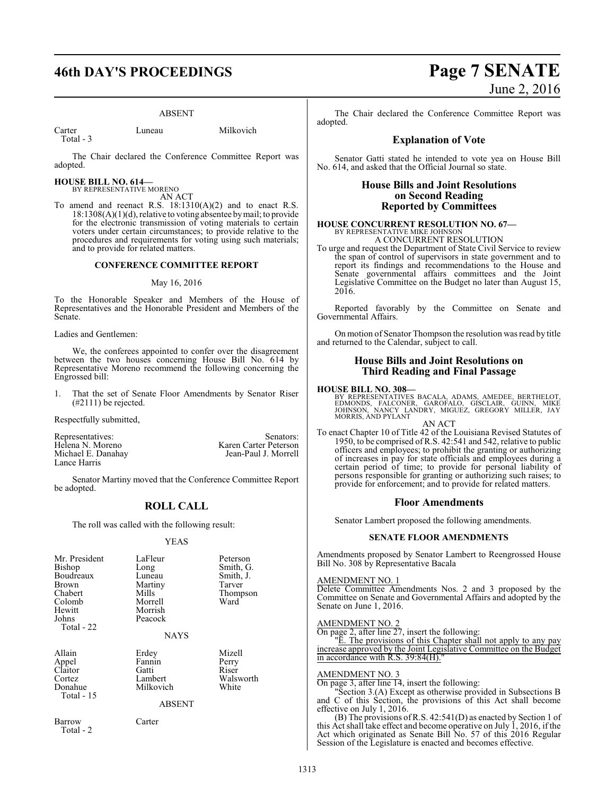# **46th DAY'S PROCEEDINGS Page 7 SENATE**

#### ABSENT

Carter Luneau Milkovich Total - 3

The Chair declared the Conference Committee Report was adopted.

**HOUSE BILL NO. 614—** BY REPRESENTATIVE MORENO

AN ACT

To amend and reenact R.S. 18:1310(A)(2) and to enact R.S. 18:1308(A)(1)(d), relative to voting absentee bymail; to provide for the electronic transmission of voting materials to certain voters under certain circumstances; to provide relative to the procedures and requirements for voting using such materials; and to provide for related matters.

#### **CONFERENCE COMMITTEE REPORT**

#### May 16, 2016

To the Honorable Speaker and Members of the House of Representatives and the Honorable President and Members of the Senate.

Ladies and Gentlemen:

We, the conferees appointed to confer over the disagreement between the two houses concerning House Bill No. 614 by Representative Moreno recommend the following concerning the Engrossed bill:

1. That the set of Senate Floor Amendments by Senator Riser (#2111) be rejected.

Respectfully submitted,

Representatives: Senators:<br>
Helena N. Moreno Senators: Senators: Senators: Senators: Senators: Senators: Senators: Senators: Senators: S Helena N. Moreno Karen Carter Peterson<br>
Michael E. Danahay Sean-Paul J. Morrell Jean-Paul J. Morrell Lance Harris

Senator Martiny moved that the Conference Committee Report be adopted.

## **ROLL CALL**

The roll was called with the following result:

#### YEAS

| Mr. President<br>Bishop<br>Boudreaux<br>Brown<br>Chabert<br>Colomb<br>Hewitt<br>Johns<br>Total - 22 | LaFleur<br>Long<br>Luneau<br>Martiny<br>Mills<br>Morrell<br>Morrish<br>Peacock<br><b>NAYS</b> | Peterson<br>Smith, G.<br>Smith, J.<br>Tarver<br>Thompson<br>Ward |
|-----------------------------------------------------------------------------------------------------|-----------------------------------------------------------------------------------------------|------------------------------------------------------------------|
| Allain<br>Appel<br>Claitor<br>Cortez<br>Donahue<br>Total - 15                                       | Erdey<br>Fannin<br>Gatti<br>Lambert<br>Milkovich<br><b>ABSENT</b>                             | Mizell<br>Perry<br>Riser<br>Walsworth<br>White                   |
| Barrow<br>Total - 2                                                                                 | Carter                                                                                        |                                                                  |

# June 2, 2016

The Chair declared the Conference Committee Report was adopted.

#### **Explanation of Vote**

Senator Gatti stated he intended to vote yea on House Bill No. 614, and asked that the Official Journal so state.

#### **House Bills and Joint Resolutions on Second Reading Reported by Committees**

## **HOUSE CONCURRENT RESOLUTION NO. 67—** BY REPRESENTATIVE MIKE JOHNSON A CONCURRENT RESOLUTION

To urge and request the Department of State Civil Service to review the span of control of supervisors in state government and to report its findings and recommendations to the House and Senate governmental affairs committees and the Joint Legislative Committee on the Budget no later than August 15, 2016.

Reported favorably by the Committee on Senate and Governmental Affairs.

On motion of Senator Thompson the resolution was read by title and returned to the Calendar, subject to call.

#### **House Bills and Joint Resolutions on Third Reading and Final Passage**

#### **HOUSE BILL NO. 308—**

BY REPRESENTATIVES BACALA, ADAMS, AMEDEE, BERTHELOT,<br>EDMONDS, FALCONER, GAROFALO, GISCLAIR, GUINN, MIKE<br>JOHNSON, NANCY LANDRY, MIGUEZ, GREGORY MILLER, JAY MORRIS, AND PYLANT

AN ACT To enact Chapter 10 of Title 42 of the Louisiana Revised Statutes of 1950, to be comprised ofR.S. 42:541 and 542, relative to public officers and employees; to prohibit the granting or authorizing of increases in pay for state officials and employees during a certain period of time; to provide for personal liability of persons responsible for granting or authorizing such raises; to provide for enforcement; and to provide for related matters.

#### **Floor Amendments**

Senator Lambert proposed the following amendments.

#### **SENATE FLOOR AMENDMENTS**

Amendments proposed by Senator Lambert to Reengrossed House Bill No. 308 by Representative Bacala

#### AMENDMENT NO. 1

Delete Committee Amendments Nos. 2 and 3 proposed by the Committee on Senate and Governmental Affairs and adopted by the Senate on June 1, 2016.

#### AMENDMENT NO. 2

On page 2, after line 27, insert the following:

"E. The provisions of this Chapter shall not apply to any pay increase approved by the Joint Legislative Committee on the Budget in accordance with R.S. 39:84(H).

#### AMENDMENT NO. 3

On page 3, after line 14, insert the following:

"Section 3.(A) Except as otherwise provided in Subsections B and C of this Section, the provisions of this Act shall become effective on July 1, 2016.

(B) The provisions ofR.S. 42:541(D) as enacted by Section 1 of this Act shall take effect and become operative on July 1, 2016, if the Act which originated as Senate Bill No. 57 of this 2016 Regular Session of the Legislature is enacted and becomes effective.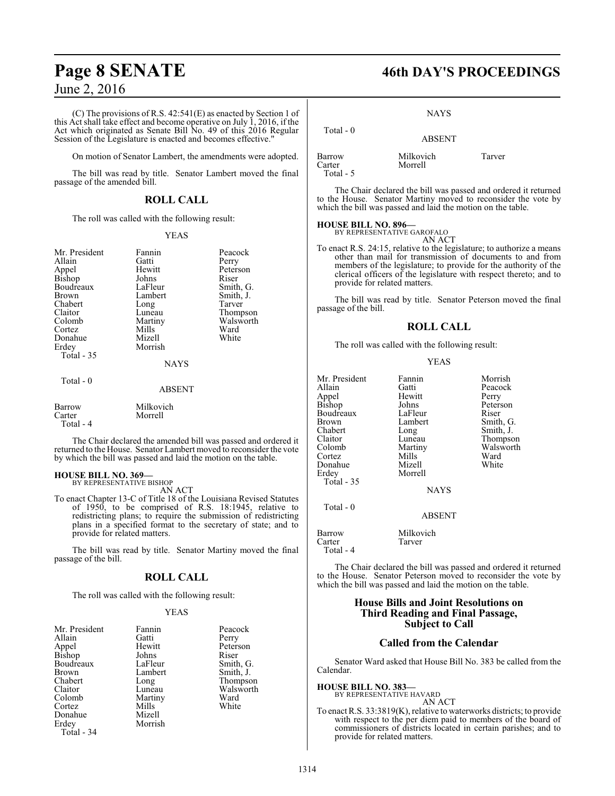(C) The provisions of R.S. 42:541(E) as enacted by Section 1 of this Act shall take effect and become operative on July 1, 2016, if the Act which originated as Senate Bill No. 49 of this 2016 Regular Session of the Legislature is enacted and becomes effective."

On motion of Senator Lambert, the amendments were adopted.

The bill was read by title. Senator Lambert moved the final passage of the amended bill.

## **ROLL CALL**

The roll was called with the following result:

#### YEAS

| Mr. President<br>Allain<br>Appel<br>Bishop<br>Boudreaux<br>Brown<br>Chabert<br>Claitor<br>Colomb | Fannin<br>Gatti<br>Hewitt<br>Johns<br>LaFleur<br>Lambert<br>Long<br>Luneau<br>Martiny | Peacock<br>Perry<br>Peterson<br>Riser<br>Smith, G.<br>Smith, J.<br>Tarver<br>Thompson<br>Walsworth |
|--------------------------------------------------------------------------------------------------|---------------------------------------------------------------------------------------|----------------------------------------------------------------------------------------------------|
| Cortez                                                                                           | Mills                                                                                 | Ward                                                                                               |
| Donahue                                                                                          | Mizell                                                                                | White                                                                                              |
| Erdey                                                                                            | Morrish                                                                               |                                                                                                    |
| Total $-35$                                                                                      |                                                                                       |                                                                                                    |
|                                                                                                  | <b>NAYS</b>                                                                           |                                                                                                    |
| Total $-0$                                                                                       | <b>ABSENT</b>                                                                         |                                                                                                    |
| Barrow<br>Carter                                                                                 | Milkovich<br>Morrell                                                                  |                                                                                                    |

The Chair declared the amended bill was passed and ordered it returned to the House. Senator Lambert moved to reconsider the vote by which the bill was passed and laid the motion on the table.

#### **HOUSE BILL NO. 369—**

Total - 4

BY REPRESENTATIVE BISHOP AN ACT

To enact Chapter 13-C of Title 18 of the Louisiana Revised Statutes of 1950, to be comprised of R.S. 18:1945, relative to redistricting plans; to require the submission of redistricting plans in a specified format to the secretary of state; and to provide for related matters.

The bill was read by title. Senator Martiny moved the final passage of the bill.

## **ROLL CALL**

The roll was called with the following result:

#### YEAS

| Mr. President | Fannin  | Peacock   |
|---------------|---------|-----------|
| Allain        | Gatti   | Perry     |
| Appel         | Hewitt  | Peterson  |
| <b>Bishop</b> | Johns   | Riser     |
| Boudreaux     | LaFleur | Smith, G. |
| <b>Brown</b>  | Lambert | Smith, J. |
| Chabert       | Long    | Thompson  |
| Claitor       | Luneau  | Walsworth |
| Colomb        | Martiny | Ward      |
| Cortez        | Mills   | White     |
| Donahue       | Mizell  |           |
| Erdey         | Morrish |           |
| Total - 34    |         |           |

# **Page 8 SENATE 46th DAY'S PROCEEDINGS**

#### **NAYS**

| Total $-0$                    | <b>ABSENT</b>        |        |
|-------------------------------|----------------------|--------|
| Barrow<br>Carter<br>Total - 5 | Milkovich<br>Morrell | Tarver |

The Chair declared the bill was passed and ordered it returned to the House. Senator Martiny moved to reconsider the vote by which the bill was passed and laid the motion on the table.

#### **HOUSE BILL NO. 896—** BY REPRESENTATIVE GAROFALO

AN ACT

To enact R.S. 24:15, relative to the legislature; to authorize a means other than mail for transmission of documents to and from members of the legislature; to provide for the authority of the clerical officers of the legislature with respect thereto; and to provide for related matters.

The bill was read by title. Senator Peterson moved the final passage of the bill.

## **ROLL CALL**

The roll was called with the following result:

#### YEAS

| Lambert<br>Brown<br>Chabert<br>Long<br>Claitor<br>Luneau<br>Colomb<br>Martiny<br>Mills<br>Cortez<br>Mizell<br>Donahue<br>Morrell<br>Erdey<br>Total $-35$<br><b>NAYS</b> | Morrish<br>Peacock<br>Perry<br>Peterson<br>Riser<br>Smith, G.<br>Smith, J.<br>Thompson<br>Walsworth<br>Ward<br>White |
|-------------------------------------------------------------------------------------------------------------------------------------------------------------------------|----------------------------------------------------------------------------------------------------------------------|
| Total - 0                                                                                                                                                               |                                                                                                                      |

ABSENT

Barrow Milkovich<br>Carter Tarver Carter Total - 4

The Chair declared the bill was passed and ordered it returned to the House. Senator Peterson moved to reconsider the vote by which the bill was passed and laid the motion on the table.

### **House Bills and Joint Resolutions on Third Reading and Final Passage, Subject to Call**

#### **Called from the Calendar**

Senator Ward asked that House Bill No. 383 be called from the Calendar.

#### **HOUSE BILL NO. 383—**

BY REPRESENTATIVE HAVARD AN ACT

To enact R.S. 33:3819(K), relative to waterworks districts; to provide with respect to the per diem paid to members of the board of commissioners of districts located in certain parishes; and to provide for related matters.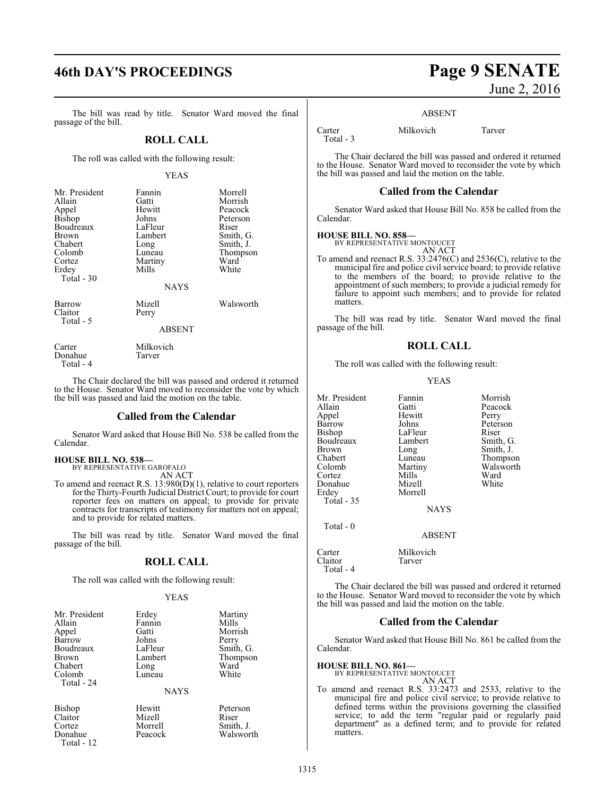# **46th DAY'S PROCEEDINGS Page 9 SENATE**

The bill was read by title. Senator Ward moved the final passage of the bill.

#### **ROLL CALL**

The roll was called with the following result:

#### YEAS

| Mr. President<br>Allain<br>Appel<br>Bishop<br>Boudreaux<br>Brown<br>Chabert<br>Colomb<br>Cortez<br>Erdey<br>Total - 30 | Fannin<br>Gatti<br>Hewitt<br>Johns<br>LaFleur<br>Lambert<br>Long<br>Luneau<br>Martiny<br>Mills | Morrell<br>Morrish<br>Peacock<br>Peterson<br>Riser<br>Smith, G.<br>Smith, J.<br>Thompson<br>Ward<br>White |
|------------------------------------------------------------------------------------------------------------------------|------------------------------------------------------------------------------------------------|-----------------------------------------------------------------------------------------------------------|
|                                                                                                                        | <b>NAYS</b>                                                                                    |                                                                                                           |
| Barrow<br>Claitor<br>Total - 5                                                                                         | Mizell<br>Perry                                                                                | Walsworth                                                                                                 |

Carter Milkovich<br>
Donahue Tarver Donahue

Total - 4

The Chair declared the bill was passed and ordered it returned to the House. Senator Ward moved to reconsider the vote by which the bill was passed and laid the motion on the table.

ABSENT

#### **Called from the Calendar**

Senator Ward asked that House Bill No. 538 be called from the Calendar.

# **HOUSE BILL NO. 538—**

BY REPRESENTATIVE GAROFALO AN ACT

To amend and reenact R.S. 13:980(D)(1), relative to court reporters for the Thirty-Fourth Judicial District Court; to provide for court reporter fees on matters on appeal; to provide for private contracts for transcripts of testimony for matters not on appeal; and to provide for related matters.

The bill was read by title. Senator Ward moved the final passage of the bill.

#### **ROLL CALL**

The roll was called with the following result:

#### YEAS

| Mr. President | Erdey       | Martiny   |
|---------------|-------------|-----------|
| Allain        | Fannin      | Mills     |
| Appel         | Gatti       | Morrish   |
| Barrow        | Johns       | Perry     |
| Boudreaux     | LaFleur     | Smith, G. |
| <b>Brown</b>  | Lambert     | Thompson  |
| Chabert       | Long        | Ward      |
| Colomb        | Luneau      | White     |
| Total - 24    |             |           |
|               | <b>NAYS</b> |           |
| Bishop        | Hewitt      | Peterson  |
| Claitor       | Mizell      | Riser     |
| Cortez        | Morrell     | Smith, J. |
| Donahue       | Peacock     | Walsworth |

# Total - 12

June 2, 2016

Total - 3

Carter Milkovich Tarver

The Chair declared the bill was passed and ordered it returned to the House. Senator Ward moved to reconsider the vote by which the bill was passed and laid the motion on the table.

#### **Called from the Calendar**

Senator Ward asked that House Bill No. 858 be called from the Calendar.

### **HOUSE BILL NO. 858—**

BY REPRESENTATIVE MONTOUCET AN ACT

To amend and reenact R.S. 33:2476(C) and 2536(C), relative to the municipal fire and police civil service board; to provide relative to the members of the board; to provide relative to the appointment of such members; to provide a judicial remedy for failure to appoint such members; and to provide for related matters.

The bill was read by title. Senator Ward moved the final passage of the bill.

#### **ROLL CALL**

The roll was called with the following result:

#### YEAS

| Mr. President     | Fannin      | Morrish   |
|-------------------|-------------|-----------|
| Allain            | Gatti       | Peacock   |
| Appel             | Hewitt      | Perry     |
| Barrow            | Johns       | Peterson  |
| <b>Bishop</b>     | LaFleur     | Riser     |
| Boudreaux         | Lambert     | Smith, G. |
| <b>Brown</b>      | Long        | Smith, J. |
| Chabert           | Luneau      | Thompson  |
| Colomb            | Martiny     | Walsworth |
| Cortez            | Mills       | Ward      |
| Donahue           | Mizell      | White     |
| Erdey             | Morrell     |           |
| <b>Total - 35</b> |             |           |
|                   | <b>NAYS</b> |           |
| Total $-0$        |             |           |
|                   | ABSENT      |           |
| Carter            | Milkovich   |           |
| Claitor           | Tarver      |           |

The Chair declared the bill was passed and ordered it returned to the House. Senator Ward moved to reconsider the vote by which the bill was passed and laid the motion on the table.

#### **Called from the Calendar**

Senator Ward asked that House Bill No. 861 be called from the Calendar.

#### **HOUSE BILL NO. 861—**

BY REPRESENTATIVE MONTOUCET AN ACT

To amend and reenact R.S. 33:2473 and 2533, relative to the municipal fire and police civil service; to provide relative to defined terms within the provisions governing the classified service; to add the term "regular paid or regularly paid department" as a defined term; and to provide for related matters.

Claitor Total - 4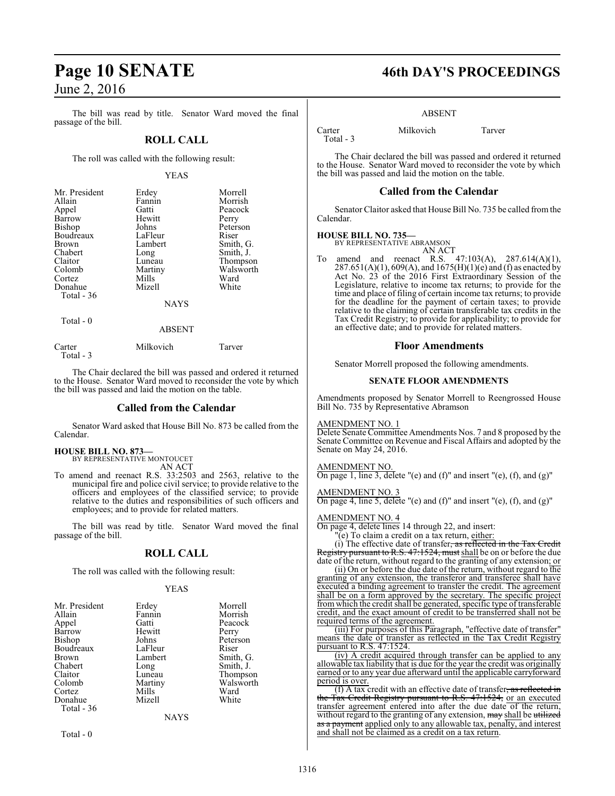The bill was read by title. Senator Ward moved the final passage of the bill.

#### **ROLL CALL**

The roll was called with the following result:

#### YEAS

| Mr. President<br>Allain<br>Appel<br>Barrow<br><b>Bishop</b><br>Boudreaux<br><b>Brown</b><br>Chabert<br>Claitor<br>Colomb | Erdey<br>Fannin<br>Gatti<br>Hewitt<br>Johns<br>LaFleur<br>Lambert<br>Long<br>Luneau<br>Martiny | Morrell<br>Morrish<br>Peacock<br>Perry<br>Peterson<br>Riser<br>Smith, G.<br>Smith, J.<br>Thompson<br>Walsworth |
|--------------------------------------------------------------------------------------------------------------------------|------------------------------------------------------------------------------------------------|----------------------------------------------------------------------------------------------------------------|
| Cortez                                                                                                                   | Mills                                                                                          | Ward                                                                                                           |
| Donahue<br>Total $-36$                                                                                                   | Mizell                                                                                         | White                                                                                                          |
|                                                                                                                          | <b>NAYS</b>                                                                                    |                                                                                                                |
| Total - 0                                                                                                                | <b>ARSENT</b>                                                                                  |                                                                                                                |

| Carter    | Milkovich | Tarver |
|-----------|-----------|--------|
| Total - 3 |           |        |

The Chair declared the bill was passed and ordered it returned to the House. Senator Ward moved to reconsider the vote by which the bill was passed and laid the motion on the table.

#### **Called from the Calendar**

Senator Ward asked that House Bill No. 873 be called from the Calendar.

**HOUSE BILL NO. 873—**

BY REPRESENTATIVE MONTOUCET AN ACT

To amend and reenact R.S. 33:2503 and 2563, relative to the municipal fire and police civil service; to provide relative to the officers and employees of the classified service; to provide relative to the duties and responsibilities of such officers and employees; and to provide for related matters.

The bill was read by title. Senator Ward moved the final passage of the bill.

## **ROLL CALL**

The roll was called with the following result:

#### YEAS

| Mr. President | Erdey       | Morrell   |
|---------------|-------------|-----------|
| Allain        | Fannin      | Morrish   |
| Appel         | Gatti       | Peacock   |
| Barrow        | Hewitt      | Perry     |
| <b>Bishop</b> | Johns       | Peterson  |
| Boudreaux     | LaFleur     | Riser     |
| <b>Brown</b>  | Lambert     | Smith, G. |
| Chabert       | Long        | Smith, J. |
| Claitor       | Luneau      | Thompson  |
| Colomb        | Martiny     | Walsworth |
| Cortez        | Mills       | Ward      |
| Donahue       | Mizell      | White     |
| Total - 36    |             |           |
|               | <b>NAYS</b> |           |

Total - 0

# **Page 10 SENATE 46th DAY'S PROCEEDINGS**

#### ABSENT

Carter Milkovich Tarver Total - 3

The Chair declared the bill was passed and ordered it returned to the House. Senator Ward moved to reconsider the vote by which the bill was passed and laid the motion on the table.

#### **Called from the Calendar**

Senator Claitor asked that House Bill No. 735 be called fromthe Calendar.

#### **HOUSE BILL NO. 735—**

BY REPRESENTATIVE ABRAMSON AN ACT

To amend and reenact R.S. 47:103(A), 287.614(A)(1),  $287.651(A)(1)$ , 609(A), and  $1675(H)(1)(e)$  and (f) as enacted by Act No. 23 of the 2016 First Extraordinary Session of the Legislature, relative to income tax returns; to provide for the time and place of filing of certain income tax returns; to provide for the deadline for the payment of certain taxes; to provide relative to the claiming of certain transferable tax credits in the Tax Credit Registry; to provide for applicability; to provide for an effective date; and to provide for related matters.

#### **Floor Amendments**

Senator Morrell proposed the following amendments.

#### **SENATE FLOOR AMENDMENTS**

Amendments proposed by Senator Morrell to Reengrossed House Bill No. 735 by Representative Abramson

#### AMENDMENT NO. 1

Delete Senate Committee Amendments Nos. 7 and 8 proposed by the Senate Committee on Revenue and Fiscal Affairs and adopted by the Senate on May 24, 2016.

#### AMENDMENT NO

On page 1, line 3, delete "(e) and (f)" and insert "(e), (f), and (g)"

AMENDMENT NO. 3 On page 4, line 5, delete "(e) and (f)" and insert "(e), (f), and (g)"

#### AMENDMENT NO. 4

On page 4, delete lines 14 through 22, and insert:

 $\rm(e)$  To claim a credit on a tax return, either:

(i) The effective date of transfer, as reflected in the Tax Credit pursuant to R.S. 47:1524, must shall be on or before the due

date of the return, without regard to the granting of any extension; or (ii) On or before the due date of the return, without regard to the granting of any extension, the transferor and transferee shall have executed a binding agreement to transfer the credit. The agreement

shall be on a form approved by the secretary. The specific project from which the credit shall be generated, specific type of transferable credit, and the exact amount of credit to be transferred shall not be required terms of the agreement.

(iii) For purposes of this Paragraph, "effective date of transfer" means the date of transfer as reflected in the Tax Credit Registry pursuant to R.S. 47:1524.

(iv) A credit acquired through transfer can be applied to any allowable tax liability that is due for the year the credit was originally earned or to any year due afterward until the applicable carryforward period is over.

 $(f)$  A tax credit with an effective date of transfer, as reflected in the Tax Credit Registry pursuant to R.S. 47:1524, or an executed transfer agreement entered into after the due date of the return, without regard to the granting of any extension, may shall be utilized as a payment applied only to any allowable tax, penalty, and interest and shall not be claimed as a credit on a tax return.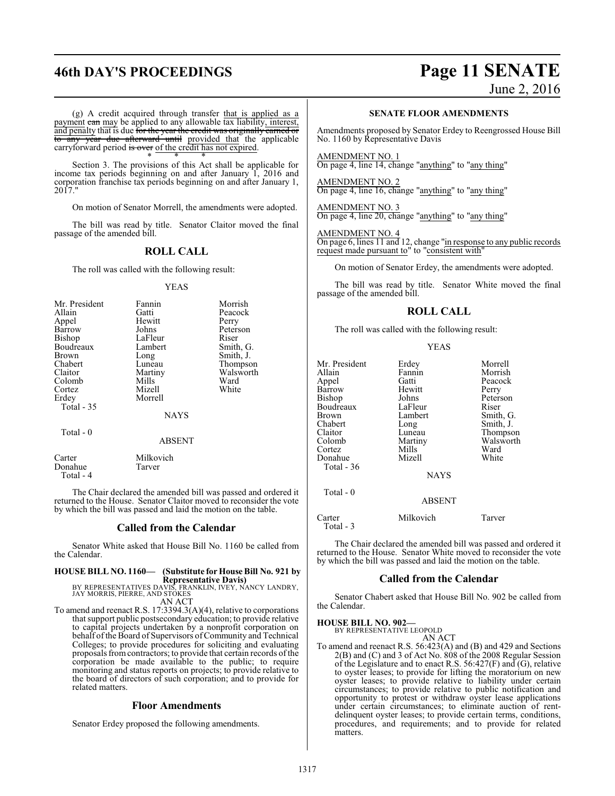# **46th DAY'S PROCEEDINGS Page 11 SENATE** June 2, 2016

(g) A credit acquired through transfer that is applied as a payment can may be applied to any allowable tax liability, interest, and penalty that is due <del>for the year the credit was originally carned or</del> to any year due afterward until provided that the applicable carryforward period is over of the credit has not expired.

\* \* \* Section 3. The provisions of this Act shall be applicable for income tax periods beginning on and after January 1, 2016 and corporation franchise tax periods beginning on and after January 1, 2017."

On motion of Senator Morrell, the amendments were adopted.

The bill was read by title. Senator Claitor moved the final passage of the amended bill.

#### **ROLL CALL**

The roll was called with the following result:

#### YEAS

| Mr. President | Fannin        | Morrish   |
|---------------|---------------|-----------|
| Allain        | Gatti         | Peacock   |
| Appel         | Hewitt        | Perry     |
| Barrow        | Johns         | Peterson  |
| Bishop        | LaFleur       | Riser     |
| Boudreaux     | Lambert       | Smith, G. |
| Brown         | Long          | Smith, J. |
| Chabert       | Luneau        | Thompson  |
| Claitor       | Martiny       | Walsworth |
| Colomb        | Mills         | Ward      |
| Cortez        | Mizell        | White     |
| Erdey         | Morrell       |           |
| Total $-35$   |               |           |
|               | <b>NAYS</b>   |           |
| Total - 0     |               |           |
|               | <b>ABSENT</b> |           |
| Carter        | Milkovich     |           |
| Donahue       | Tarver        |           |

Donahue Total - 4

The Chair declared the amended bill was passed and ordered it returned to the House. Senator Claitor moved to reconsider the vote by which the bill was passed and laid the motion on the table.

#### **Called from the Calendar**

Senator White asked that House Bill No. 1160 be called from the Calendar.

#### **HOUSE BILL NO. 1160— (Substitute for House Bill No. 921 by Representative Davis)**

BY REPRESENTATIVES DAVIS, FRANKLIN, IVEY, NANCY LANDRY, JAY MORRIS, PIERRE, AND STOKES AN ACT

To amend and reenact R.S. 17:3394.3(A)(4), relative to corporations that support public postsecondary education; to provide relative to capital projects undertaken by a nonprofit corporation on behalf of the Board of Supervisors of Community and Technical Colleges; to provide procedures for soliciting and evaluating proposals from contractors; to provide that certain records of the corporation be made available to the public; to require monitoring and status reports on projects; to provide relative to the board of directors of such corporation; and to provide for related matters.

#### **Floor Amendments**

Senator Erdey proposed the following amendments.

#### **SENATE FLOOR AMENDMENTS**

Amendments proposed by Senator Erdey to Reengrossed House Bill No. 1160 by Representative Davis

AMENDMENT NO. 1 On page 4, line 14, change "anything" to "any thing"

AMENDMENT NO. 2 On page 4, line 16, change "anything" to "any thing"

AMENDMENT NO. 3 On page 4, line 20, change "anything" to "any thing"

#### AMENDMENT NO. 4

On page 6, lines 11 and 12, change "in response to any public records request made pursuant to" to "consistent with"

On motion of Senator Erdey, the amendments were adopted.

The bill was read by title. Senator White moved the final passage of the amended bill.

#### **ROLL CALL**

The roll was called with the following result:

|--|--|--|

| Mr. President<br>Allain<br>Appel<br>Barrow<br>Bishop<br>Boudreaux<br><b>Brown</b><br>Chabert<br>Claitor<br>Colomb<br>Cortez<br>Donahue | Erdey<br>Fannin<br>Gatti<br>Hewitt<br>Johns<br>LaFleur<br>Lambert<br>Long<br>Luneau<br>Martiny<br>Mills<br>Mizell | Morrell<br>Morrish<br>Peacock<br>Perry<br>Peterson<br>Riser<br>Smith, G.<br>Smith, J.<br>Thompson<br>Walsworth<br>Ward<br>White |
|----------------------------------------------------------------------------------------------------------------------------------------|-------------------------------------------------------------------------------------------------------------------|---------------------------------------------------------------------------------------------------------------------------------|
| Total $-36$                                                                                                                            | <b>NAYS</b>                                                                                                       |                                                                                                                                 |
| Total $-0$                                                                                                                             | <b>ABSENT</b>                                                                                                     |                                                                                                                                 |
| Carter                                                                                                                                 | Milkovich                                                                                                         | Tarver                                                                                                                          |

Total - 3

The Chair declared the amended bill was passed and ordered it returned to the House. Senator White moved to reconsider the vote by which the bill was passed and laid the motion on the table.

#### **Called from the Calendar**

Senator Chabert asked that House Bill No. 902 be called from the Calendar.

**HOUSE BILL NO. 902—** BY REPRESENTATIVE LEOPOLD

AN ACT

To amend and reenact R.S. 56:423(A) and (B) and 429 and Sections 2(B) and (C) and 3 of Act No. 808 of the 2008 Regular Session of the Legislature and to enact R.S. 56:427(F) and (G), relative to oyster leases; to provide for lifting the moratorium on new oyster leases; to provide relative to liability under certain circumstances; to provide relative to public notification and opportunity to protest or withdraw oyster lease applications under certain circumstances; to eliminate auction of rentdelinquent oyster leases; to provide certain terms, conditions, procedures, and requirements; and to provide for related matters.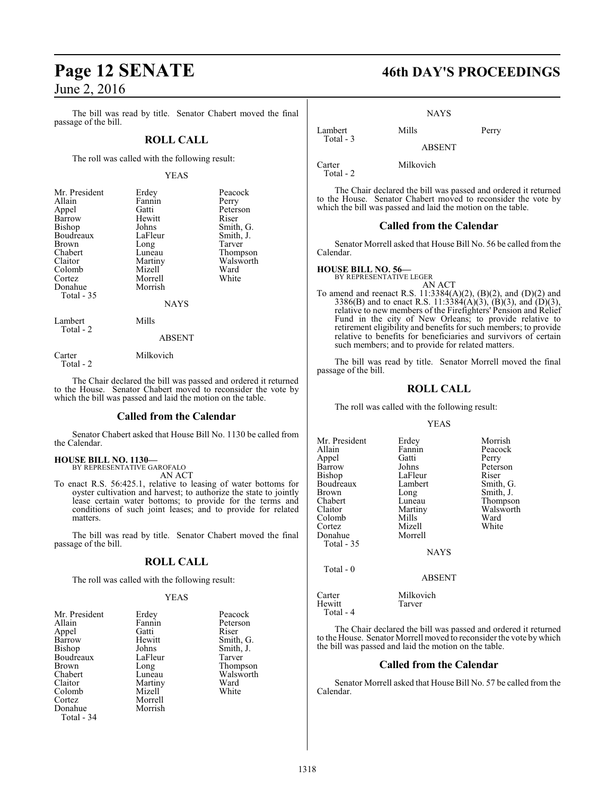The bill was read by title. Senator Chabert moved the final passage of the bill.

### **ROLL CALL**

The roll was called with the following result:

#### YEAS

| Mr. President | Erdey         | Peacock   |
|---------------|---------------|-----------|
| Allain        | Fannin        | Perry     |
| Appel         | Gatti         | Peterson  |
| Barrow        | Hewitt        | Riser     |
| <b>Bishop</b> | Johns         | Smith, G. |
| Boudreaux     | LaFleur       | Smith, J. |
| Brown         | Long          | Tarver    |
| Chabert       | Luneau        | Thompson  |
| Claitor       | Martiny       | Walsworth |
| Colomb        | Mizell        | Ward      |
| Cortez        | Morrell       | White     |
| Donahue       | Morrish       |           |
| Total $-35$   |               |           |
|               | <b>NAYS</b>   |           |
| Lambert       | Mills         |           |
| Total - 2     | <b>ABSENT</b> |           |
|               |               |           |

Carter Milkovich

Total - 2

The Chair declared the bill was passed and ordered it returned to the House. Senator Chabert moved to reconsider the vote by which the bill was passed and laid the motion on the table.

#### **Called from the Calendar**

Senator Chabert asked that House Bill No. 1130 be called from the Calendar.

## **HOUSE BILL NO. 1130—** BY REPRESENTATIVE GAROFALO AN ACT

To enact R.S. 56:425.1, relative to leasing of water bottoms for oyster cultivation and harvest; to authorize the state to jointly lease certain water bottoms; to provide for the terms and conditions of such joint leases; and to provide for related matters.

The bill was read by title. Senator Chabert moved the final passage of the bill.

## **ROLL CALL**

The roll was called with the following result:

#### YEAS

| Mr. President | Erdey   | Peacock       |
|---------------|---------|---------------|
| Allain        | Fannin  | Peterson      |
| Appel         | Gatti   | Riser         |
| Barrow        | Hewitt  | Smith, C      |
| Bishop        | Johns   | Smith, J.     |
| Boudreaux     | LaFleur | Tarver        |
| Brown         | Long    | <b>Thomps</b> |
| Chabert       | Luneau  | Walswor       |
| Claitor       | Martiny | Ward          |
| Colomb        | Mizell  | White         |
| Cortez        | Morrell |               |
| Donahue       | Morrish |               |
| Total - 34    |         |               |
|               |         |               |

nnin Peterson<br>atti Riser ewitt Smith, G. hns Smith, J.<br>Fleur Tarver Tarver ong Thompson<br>Ineau Walsworth neau Walsworth<br>artiny Ward

# **Page 12 SENATE 46th DAY'S PROCEEDINGS**

**NAYS** 

Lambert Mills Perry

ABSENT

Carter Milkovich Total - 2

Total - 3

The Chair declared the bill was passed and ordered it returned to the House. Senator Chabert moved to reconsider the vote by which the bill was passed and laid the motion on the table.

#### **Called from the Calendar**

Senator Morrell asked that House Bill No. 56 be called from the Calendar.

# **HOUSE BILL NO. 56—** BY REPRESENTATIVE LEGER

AN ACT To amend and reenact R.S. 11:3384(A)(2), (B)(2), and (D)(2) and 3386(B) and to enact R.S. 11:3384(A)(3), (B)(3), and (D)(3), relative to new members of the Firefighters' Pension and Relief Fund in the city of New Orleans; to provide relative to retirement eligibility and benefits for such members; to provide relative to benefits for beneficiaries and survivors of certain such members; and to provide for related matters.

The bill was read by title. Senator Morrell moved the final passage of the bill.

### **ROLL CALL**

The roll was called with the following result:

#### YEAS

Mr. President Erdey Morrish<br>Allain Fannin Peacock Fannin Peacock<br>Gatti Perry Appel Gatti<br>Barrow Johns Barrow Johns Peterson<br>Bishop LaFleur Riser Bishop LaFleur<br>Boudreaux Lambert Boudreaux Lambert Smith, G.<br>Brown Long Smith, J. Brown Long Smith, J.<br>
Chabert Luneau Thompso Chabert Luneau Thompson<br>Claitor Martiny Walsworth Martiny Walsworth<br>
Mills Ward Colomb Mills Ward<br>
Cortez Mizell White Mizell<br>Morrell Donahue Total - 35 **NAYS** Total - 0

#### ABSENT

Carter Milkovich<br>
Hewitt Tarver Tarver

The Chair declared the bill was passed and ordered it returned to the House. Senator Morrell moved to reconsider the vote by which the bill was passed and laid the motion on the table.

#### **Called from the Calendar**

Senator Morrell asked that House Bill No. 57 be called from the Calendar.

Total - 4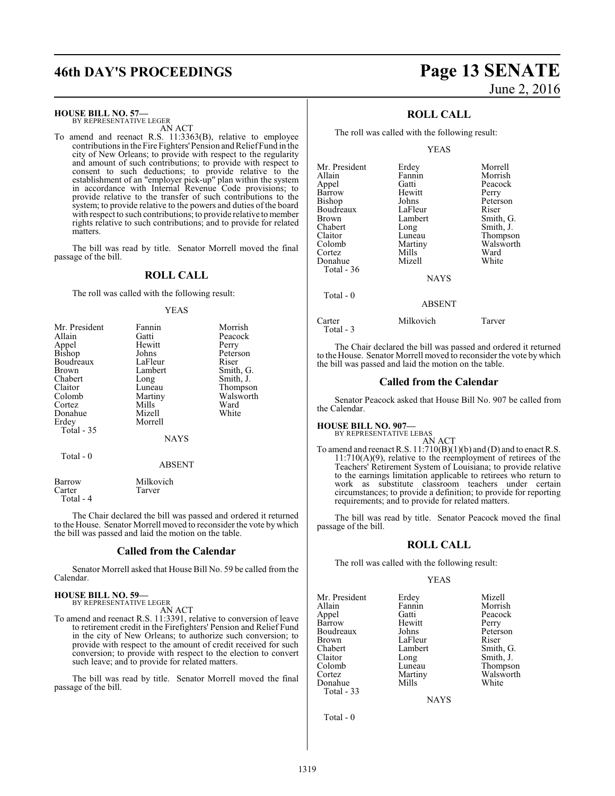# **46th DAY'S PROCEEDINGS Page 13 SENATE**

**HOUSE BILL NO. 57—**

BY REPRESENTATIVE LEGER AN ACT

To amend and reenact R.S. 11:3363(B), relative to employee contributions in the Fire Fighters' Pension and Relief Fund in the city of New Orleans; to provide with respect to the regularity and amount of such contributions; to provide with respect to consent to such deductions; to provide relative to the establishment of an "employer pick-up" plan within the system in accordance with Internal Revenue Code provisions; to provide relative to the transfer of such contributions to the system; to provide relative to the powers and duties of the board with respect to such contributions; to provide relative to member rights relative to such contributions; and to provide for related matters.

The bill was read by title. Senator Morrell moved the final passage of the bill.

#### **ROLL CALL**

The roll was called with the following result:

#### YEAS

| Mr. President | Fannin      | Morrish   |
|---------------|-------------|-----------|
| Allain        | Gatti       | Peacock   |
| Appel         | Hewitt      | Perry     |
| Bishop        | Johns       | Peterson  |
| Boudreaux     | LaFleur     | Riser     |
| <b>Brown</b>  | Lambert     | Smith, G. |
| Chabert       | Long        | Smith, J. |
| Claitor       | Luneau      | Thompson  |
| Colomb        | Martiny     | Walsworth |
| Cortez        | Mills       | Ward      |
| Donahue       | Mizell      | White     |
| Erdey         | Morrell     |           |
| Total - 35    |             |           |
|               | <b>NAYS</b> |           |
| Total - 0     |             |           |
|               | ABSENT      |           |
|               |             |           |

| Barrow    | Milkovich |
|-----------|-----------|
| Carter    | Tarver    |
| Total - 4 |           |

The Chair declared the bill was passed and ordered it returned to the House. Senator Morrell moved to reconsider the vote by which the bill was passed and laid the motion on the table.

#### **Called from the Calendar**

Senator Morrell asked that House Bill No. 59 be called from the Calendar.

#### **HOUSE BILL NO. 59—** BY REPRESENTATIVE LEGER

AN ACT

To amend and reenact R.S. 11:3391, relative to conversion of leave to retirement credit in the Firefighters' Pension and Relief Fund in the city of New Orleans; to authorize such conversion; to provide with respect to the amount of credit received for such conversion; to provide with respect to the election to convert such leave; and to provide for related matters.

The bill was read by title. Senator Morrell moved the final passage of the bill.

# June 2, 2016

## **ROLL CALL**

The roll was called with the following result:

YEAS

| Mr. President | Erdey       | Morrell   |
|---------------|-------------|-----------|
| Allain        | Fannin      | Morrish   |
| Appel         | Gatti       | Peacock   |
| Barrow        | Hewitt      | Perry     |
| Bishop        | Johns       | Peterson  |
| Boudreaux     | LaFleur     | Riser     |
| Brown         | Lambert     | Smith, G. |
| Chabert       | Long        | Smith, J. |
| Claitor       | Luneau      | Thompson  |
| Colomb        | Martiny     | Walsworth |
| Cortez        | Mills       | Ward      |
| Donahue       | Mizell      | White     |
| Total $-36$   |             |           |
|               | <b>NAYS</b> |           |
| Total - 0     |             |           |
|               | ABSENT      |           |

Carter Milkovich Tarver Total - 3

The Chair declared the bill was passed and ordered it returned

to the House. Senator Morrell moved to reconsider the vote bywhich the bill was passed and laid the motion on the table.

#### **Called from the Calendar**

Senator Peacock asked that House Bill No. 907 be called from the Calendar.

# **HOUSE BILL NO. 907—** BY REPRESENTATIVE LEBAS

AN ACT To amend and reenact R.S.  $11:710(B)(1)(b)$  and (D) and to enact R.S. 11:710(A)(9), relative to the reemployment of retirees of the Teachers' Retirement System of Louisiana; to provide relative to the earnings limitation applicable to retirees who return to work as substitute classroom teachers under certain circumstances; to provide a definition; to provide for reporting requirements; and to provide for related matters.

The bill was read by title. Senator Peacock moved the final passage of the bill.

#### **ROLL CALL**

The roll was called with the following result:

#### YEAS

Mr. President Erdey Mizell<br>Allain Fannin Morris Allain Fannin Morrish Barrow Hewitt Perry<br>Boudreaux Johns Peterson Boudreaux Johns Peters<br>Brown IaFleur Riser Brown LaFleur<br>Chabert Lambert Chabert Lambert Smith, G.<br>
Claitor Long Smith, J. Claitor Long Smith, J.<br>
Colomb Luneau Thompsc Colomb Luneau Thompson<br>
Cortez Martiny Walsworth Donahue Total - 33

Gatti Peacock<br>
Hewitt Perry Martiny Walsworth<br>
Mills White

NAYS

Total - 0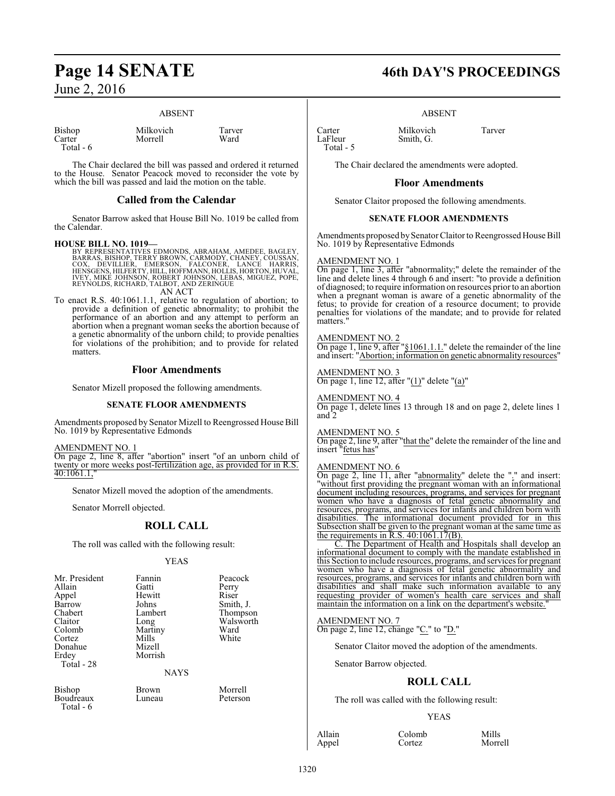#### ABSENT

| Bishop    |  |
|-----------|--|
| Carter    |  |
| Total - 6 |  |

Milkovich Tarver<br>Morrell Ward Morrell

The Chair declared the bill was passed and ordered it returned to the House. Senator Peacock moved to reconsider the vote by which the bill was passed and laid the motion on the table.

#### **Called from the Calendar**

Senator Barrow asked that House Bill No. 1019 be called from the Calendar.

#### **HOUSE BILL NO. 1019—**

- BY REPRESENTATIVES EDMONDS, ABRAHAM, AMEDEE, BAGLEY,<br>BARRAS, BISHOP, TERRY BROWN, CARMODY, CHANEY, COUSSAN,<br>COX, DEVILLIER, EMERSON, FALCONER, LANCE HARRIS,<br>HENSGENS, HILFERTY, HILL, HOFFMANN, HOLLIS, HORTON, HUVAL,<br>IVEY, AN ACT
- To enact R.S. 40:1061.1.1, relative to regulation of abortion; to provide a definition of genetic abnormality; to prohibit the performance of an abortion and any attempt to perform an abortion when a pregnant woman seeks the abortion because of a genetic abnormality of the unborn child; to provide penalties for violations of the prohibition; and to provide for related matters.

#### **Floor Amendments**

Senator Mizell proposed the following amendments.

#### **SENATE FLOOR AMENDMENTS**

Amendments proposed by Senator Mizell to Reengrossed House Bill No. 1019 by Representative Edmonds

AMENDMENT NO. 1

On page 2, line 8, after "abortion" insert "of an unborn child of twenty or more weeks post-fertilization age, as provided for in R.S. 40:1061.1,"

Senator Mizell moved the adoption of the amendments.

Senator Morrell objected.

## **ROLL CALL**

The roll was called with the following result:

#### YEAS

| Allain<br>Appel<br>Barrow<br>Chabert<br>Claitor<br>Colomb<br>Cortez<br>Donahue<br>Erdey<br>Total - 28 | Gatti<br>Hewitt<br>Johns<br>Lambert<br>Long<br>Martiny<br>Mills<br>Mizell<br>Morrish<br><b>NAYS</b> | Perry<br>Riser<br>Smith, J.<br>Thompson<br>Walsworth<br>Ward<br>White |
|-------------------------------------------------------------------------------------------------------|-----------------------------------------------------------------------------------------------------|-----------------------------------------------------------------------|
|                                                                                                       |                                                                                                     |                                                                       |

**Boudreaux** Total - 6

Bishop Brown Morrell

# **Page 14 SENATE 46th DAY'S PROCEEDINGS**

#### ABSENT

Carter Milkovich Tarver<br>LaFleur Smith G Total - 5

The Chair declared the amendments were adopted.

Smith, G.

#### **Floor Amendments**

Senator Claitor proposed the following amendments.

#### **SENATE FLOOR AMENDMENTS**

Amendments proposed by Senator Claitor to Reengrossed House Bill No. 1019 by Representative Edmonds

## AMENDMENT NO. 1

On page 1, line 3, after "abnormality;" delete the remainder of the line and delete lines 4 through 6 and insert: "to provide a definition of diagnosed; to require information on resources prior to an abortion when a pregnant woman is aware of a genetic abnormality of the fetus; to provide for creation of a resource document; to provide penalties for violations of the mandate; and to provide for related matters."

#### AMENDMENT NO. 2

On page 1, line 9, after "§1061.1.1." delete the remainder of the line and insert: "Abortion; information on genetic abnormality resources"

## AMENDMENT NO. 3

On page 1, line 12, after " $(1)$ " delete " $(a)$ "

#### AMENDMENT NO. 4

On page 1, delete lines 13 through 18 and on page 2, delete lines 1 and 2

#### AMENDMENT NO. 5

On page 2, line 9, after "that the" delete the remainder of the line and insert "fetus has"

#### AMENDMENT NO. 6

On page 2, line 11, after "abnormality" delete the "." and insert: "without first providing the pregnant woman with an informational document including resources, programs, and services for pregnant women who have a diagnosis of fetal genetic abnormality and resources, programs, and services for infants and children born with disabilities. The informational document provided for in this Subsection shall be given to the pregnant woman at the same time as the requirements in  $R.S.$  40:1061.17 $(B)$ .

C. The Department of Health and Hospitals shall develop an informational document to comply with the mandate established in this Section to include resources, programs, and services for pregnant women who have a diagnosis of fetal genetic abnormality and resources, programs, and services for infants and children born with disabilities and shall make such information available to any requesting provider of women's health care services and shall maintain the information on a link on the department's website."

## AMENDMENT NO. 7

On page 2, line 12, change "C." to "D."

Senator Claitor moved the adoption of the amendments.

Senator Barrow objected.

## **ROLL CALL**

The roll was called with the following result:

#### YEAS

Allain Colomb Mills<br>
Appel Cortez Morre

Morrell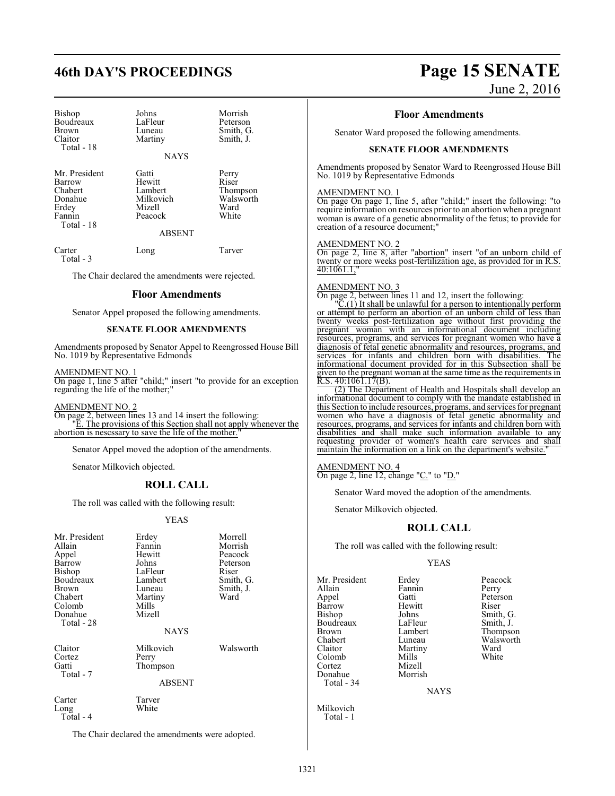# **46th DAY'S PROCEEDINGS Page 15 SENATE**

| Bishop<br>Boudreaux<br><b>Brown</b><br>Claitor<br>Total - 18                   | Johns<br>LaFleur<br>Luneau<br>Martiny<br><b>NAYS</b>                          | Morrish<br>Peterson<br>Smith, G.<br>Smith, J.            |
|--------------------------------------------------------------------------------|-------------------------------------------------------------------------------|----------------------------------------------------------|
| Mr. President<br>Barrow<br>Chabert<br>Donahue<br>Erdey<br>Fannin<br>Total - 18 | Gatti<br>Hewitt<br>Lambert<br>Milkovich<br>Mizell<br>Peacock<br><b>ABSENT</b> | Perry<br>Riser<br>Thompson<br>Walsworth<br>Ward<br>White |
| Carter                                                                         | Long                                                                          | Tarver                                                   |

Total - 3

The Chair declared the amendments were rejected.

#### **Floor Amendments**

Senator Appel proposed the following amendments.

#### **SENATE FLOOR AMENDMENTS**

Amendments proposed by Senator Appel to Reengrossed House Bill No. 1019 by Representative Edmonds

#### AMENDMENT NO. 1

On page 1, line 5 after "child;" insert "to provide for an exception regarding the life of the mother;"

#### AMENDMENT NO. 2

On page 2, between lines 13 and 14 insert the following: "E. The provisions of this Section shall not apply whenever the abortion is nescssary to save the life of the mother."

Senator Appel moved the adoption of the amendments.

Senator Milkovich objected.

#### **ROLL CALL**

The roll was called with the following result:

#### YEAS

| Mr. President<br>Allain<br>Appel<br>Barrow<br>Bishop<br>Boudreaux<br>Brown<br>Chabert<br>Colomb<br>Donahue | Erdey<br>Fannin<br>Hewitt<br>Johns<br>LaFleur<br>Lambert<br>Luneau<br>Martiny<br>Mills<br>Mizell | Morrell<br>Morrish<br>Peacock<br>Peterson<br>Riser<br>Smith, G.<br>Smith, J.<br>Ward |
|------------------------------------------------------------------------------------------------------------|--------------------------------------------------------------------------------------------------|--------------------------------------------------------------------------------------|
| Total - 28                                                                                                 | NAYS                                                                                             |                                                                                      |
| Claitor<br>Cortez<br>Gatti<br>Total - 7                                                                    | Milkovich<br>Perry<br>Thompson<br><b>ABSENT</b>                                                  | Walsworth                                                                            |
| Carter<br>Long<br>$Total - 4$                                                                              | Tarver<br>White                                                                                  |                                                                                      |

The Chair declared the amendments were adopted.

# June 2, 2016

#### **Floor Amendments**

Senator Ward proposed the following amendments.

#### **SENATE FLOOR AMENDMENTS**

Amendments proposed by Senator Ward to Reengrossed House Bill No. 1019 by Representative Edmonds

#### AMENDMENT NO. 1

On page On page 1, line 5, after "child;" insert the following: "to require information on resources prior to an abortion when a pregnant woman is aware of a genetic abnormality of the fetus; to provide for creation of a resource document;"

#### AMENDMENT NO. 2

On page 2, line 8, after "abortion" insert "of an unborn child of twenty or more weeks post-fertilization age, as provided for in R.S. 40:1061.1,"

#### AMENDMENT NO. 3

On page 2, between lines 11 and 12, insert the following:

 $\mathcal{C}(1)$  It shall be unlawful for a person to intentionally perform or attempt to perform an abortion of an unborn child of less than twenty weeks post-fertilization age without first providing the pregnant woman with an informational document including resources, programs, and services for pregnant women who have a diagnosis of fetal genetic abnormality and resources, programs, and<br>services for infants and children born with disabilities. The services for infants and children born with disabilities. informational document provided for in this Subsection shall be given to the pregnant woman at the same time as the requirements in  $R.S. 40:1061.17(B)$ .  $40:1061.17(B)$ .

(2) The Department of Health and Hospitals shall develop an informational document to comply with the mandate established in this Section to include resources, programs, and services for pregnant women who have a diagnosis of fetal genetic abnormality and resources, programs, and services for infants and children born with disabilities and shall make such information available to any requesting provider of women's health care services and shall maintain the information on a link on the department's website.

AMENDMENT NO. 4 On page 2, line 12, change "C." to "D."

Senator Ward moved the adoption of the amendments.

Senator Milkovich objected.

#### **ROLL CALL**

The roll was called with the following result:

#### YEAS

Mr. President Erdey Peacock<br>Allain Fannin Perry Allain Fannin<br>Appel Gatti Barrow Hewitt<br>Bishop Johns Boudreaux LaFleur<br>Brown Lambert Brown Lambert Thompson<br>
Chabert Luneau Walsworth Chabert Luneau Walsworth Colomb Mills<br>Cortez Mizell Cortez Mizell Donahue Total - 34

Milkovich Total - 1

Martiny Ward<br>
Mills White

Gatti Peterson<br>
Hewitt Riser Johns Smith, G.<br>LaFleur Smith, J.

**NAYS**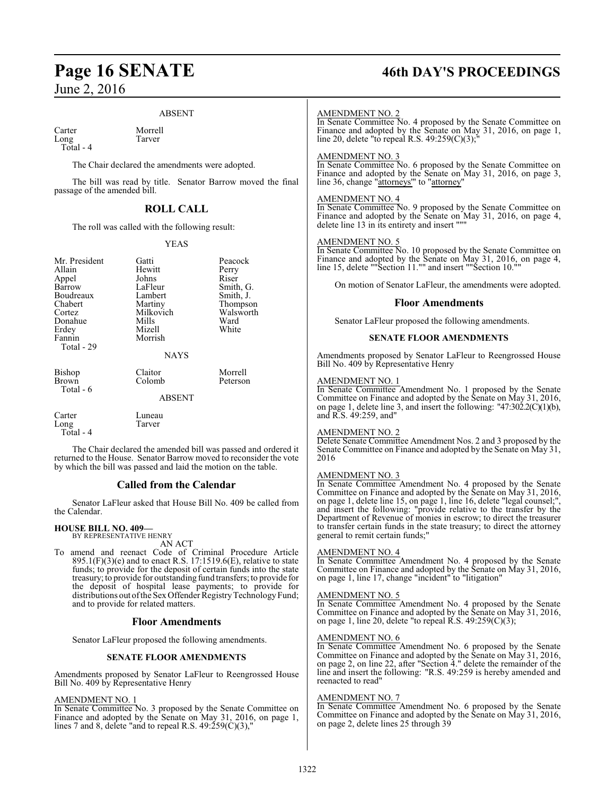#### ABSENT

Carter Morrell<br>Long Tarver Long

Total - 4

The Chair declared the amendments were adopted.

The bill was read by title. Senator Barrow moved the final passage of the amended bill.

#### **ROLL CALL**

The roll was called with the following result:

#### YEAS

| Mr. President<br>Allain<br>Appel<br>Barrow<br>Boudreaux<br>Chabert<br>Cortez<br>Donahue<br>Erdey<br>Fannin<br>Total - 29 | Gatti<br>Hewitt<br>Johns<br>LaFleur<br>Lambert<br>Martiny<br>Milkovich<br>Mills<br>Mizell<br>Morrish<br><b>NAYS</b> | Peacock<br>Perry<br>Riser<br>Smith, G.<br>Smith, J.<br>Thompson<br>Walsworth<br>Ward<br>White |
|--------------------------------------------------------------------------------------------------------------------------|---------------------------------------------------------------------------------------------------------------------|-----------------------------------------------------------------------------------------------|
| <b>Bishop</b><br>Brown<br>Total - 6                                                                                      | Claitor<br>Colomb<br><b>ABSENT</b>                                                                                  | Morrell<br>Peterson                                                                           |
| Carter<br>Long<br>Total - 4                                                                                              | Luneau<br>Tarver                                                                                                    |                                                                                               |

The Chair declared the amended bill was passed and ordered it returned to the House. Senator Barrow moved to reconsider the vote by which the bill was passed and laid the motion on the table.

#### **Called from the Calendar**

Senator LaFleur asked that House Bill No. 409 be called from the Calendar.

#### **HOUSE BILL NO. 409—** BY REPRESENTATIVE HENRY

AN ACT

To amend and reenact Code of Criminal Procedure Article  $895.1(F)(3)(e)$  and to enact R.S. 17:1519.6(E), relative to state funds; to provide for the deposit of certain funds into the state treasury; to provide for outstanding fund transfers; to provide for the deposit of hospital lease payments; to provide for distributions out of the Sex Offender Registry Technology Fund; and to provide for related matters.

#### **Floor Amendments**

Senator LaFleur proposed the following amendments.

#### **SENATE FLOOR AMENDMENTS**

Amendments proposed by Senator LaFleur to Reengrossed House Bill No. 409 by Representative Henry

#### AMENDMENT NO. 1

In Senate Committee No. 3 proposed by the Senate Committee on Finance and adopted by the Senate on May 31, 2016, on page 1, lines 7 and 8, delete "and to repeal R.S.  $49:259(C)(3)$ ,"

# **Page 16 SENATE 46th DAY'S PROCEEDINGS**

#### AMENDMENT NO. 2

In Senate Committee No. 4 proposed by the Senate Committee on Finance and adopted by the Senate on May 31, 2016, on page 1, line 20, delete "to repeal R.S. 49:259(C)(3);"

#### AMENDMENT NO. 3

In Senate Committee No. 6 proposed by the Senate Committee on Finance and adopted by the Senate on May 31, 2016, on page 3, line 36, change "attorneys'" to "attorney"

#### AMENDMENT NO. 4

In Senate Committee No. 9 proposed by the Senate Committee on Finance and adopted by the Senate on May 31, 2016, on page 4, delete line 13 in its entirety and insert """

#### AMENDMENT NO. 5

In Senate Committee No. 10 proposed by the Senate Committee on Finance and adopted by the Senate on May 31, 2016, on page 4, line 15, delete ""Section 11."" and insert ""Section 10.""

On motion of Senator LaFleur, the amendments were adopted.

#### **Floor Amendments**

Senator LaFleur proposed the following amendments.

#### **SENATE FLOOR AMENDMENTS**

Amendments proposed by Senator LaFleur to Reengrossed House Bill No. 409 by Representative Henry

#### AMENDMENT NO. 1

In Senate Committee Amendment No. 1 proposed by the Senate Committee on Finance and adopted by the Senate on May 31, 2016, on page 1, delete line 3, and insert the following: "47:302.2( $C(1)(b)$ , and R.S. 49:259, and"

#### AMENDMENT NO. 2

Delete Senate Committee Amendment Nos. 2 and 3 proposed by the Senate Committee on Finance and adopted by the Senate on May 31, 2016

#### AMENDMENT NO. 3

In Senate Committee Amendment No. 4 proposed by the Senate Committee on Finance and adopted by the Senate on May 31, 2016, on page 1, delete line 15, on page 1, line 16, delete "legal counsel;", and insert the following: "provide relative to the transfer by the Department of Revenue of monies in escrow; to direct the treasurer to transfer certain funds in the state treasury; to direct the attorney general to remit certain funds;"

#### AMENDMENT NO. 4

In Senate Committee Amendment No. 4 proposed by the Senate Committee on Finance and adopted by the Senate on May 31, 2016, on page 1, line 17, change "incident" to "litigation"

#### AMENDMENT NO. 5

In Senate Committee Amendment No. 4 proposed by the Senate Committee on Finance and adopted by the Senate on May 31, 2016, on page 1, line 20, delete "to repeal R.S.  $49:259(C)(3)$ ;

## AMENDMENT NO. 6

In Senate Committee Amendment No. 6 proposed by the Senate Committee on Finance and adopted by the Senate on May 31, 2016, on page 2, on line 22, after "Section 4." delete the remainder of the line and insert the following: "R.S. 49:259 is hereby amended and reenacted to read"

#### AMENDMENT NO. 7

In Senate Committee Amendment No. 6 proposed by the Senate Committee on Finance and adopted by the Senate on May 31, 2016, on page 2, delete lines 25 through 39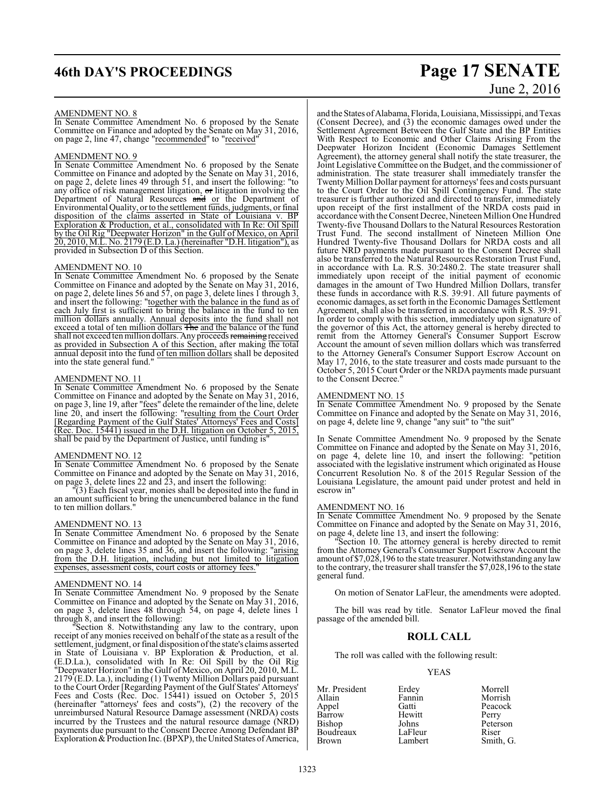# **46th DAY'S PROCEEDINGS Page 17 SENATE**

# June 2, 2016

#### AMENDMENT NO. 8

In Senate Committee Amendment No. 6 proposed by the Senate Committee on Finance and adopted by the Senate on May 31, 2016, on page 2, line 47, change "recommended" to "received"

#### AMENDMENT NO. 9

In Senate Committee Amendment No. 6 proposed by the Senate Committee on Finance and adopted by the Senate on May 31, 2016, on page 2, delete lines 49 through 51, and insert the following: "to any office of risk management litigation, or litigation involving the Department of Natural Resources and or the Department of Environmental Quality, or to the settlement funds, judgments, or final disposition of the claims asserted in State of Louisiana v. BP Exploration & Production, et al., consolidated with In Re: Oil Spill by the Oil Rig "Deepwater Horizon" in the Gulf of Mexico, on April 20, 2010, M.L. No. 2179 (E.D. La.) (hereinafter "D.H. litigation"), as provided in Subsection D of this Section.

#### AMENDMENT NO. 10

In Senate Committee Amendment No. 6 proposed by the Senate Committee on Finance and adopted by the Senate on May 31, 2016, on page 2, delete lines 56 and 57, on page 3, delete lines 1 through 3, and insert the following: "together with the balance in the fund as of each July first is sufficient to bring the balance in the fund to ten million dollars annually. Annual deposits into the fund shall not exceed a total of ten million dollars The and the balance of the fund shall not exceed ten million dollars. Any proceeds remaining received as provided in Subsection A of this Section, after making the total annual deposit into the fund of ten million dollars shall be deposited into the state general fund."

#### AMENDMENT NO. 11

In Senate Committee Amendment No. 6 proposed by the Senate Committee on Finance and adopted by the Senate on May 31, 2016, on page 3, line 19, after "fees" delete the remainder of the line, delete line 20, and insert the following: "resulting from the Court Order [Regarding Payment of the Gulf States' Attorneys' Fees and Costs] (Rec. Doc. 15441) issued in the D.H. litigation on October 5, 2015, shall be paid by the Department of Justice, until funding is"

#### AMENDMENT NO. 12

In Senate Committee Amendment No. 6 proposed by the Senate Committee on Finance and adopted by the Senate on May 31, 2016, on page 3, delete lines 22 and  $\overline{23}$ , and insert the following:

"(3) Each fiscal year, monies shall be deposited into the fund in an amount sufficient to bring the unencumbered balance in the fund to ten million dollars."

#### AMENDMENT NO. 13

In Senate Committee Amendment No. 6 proposed by the Senate Committee on Finance and adopted by the Senate on May 31, 2016, on page 3, delete lines 35 and 36, and insert the following: "arising from the D.H. litigation, including but not limited to litigation expenses, assessment costs, court costs or attorney fees.

#### AMENDMENT NO. 14

In Senate Committee Amendment No. 9 proposed by the Senate Committee on Finance and adopted by the Senate on May 31, 2016, on page 3, delete lines 48 through 54, on page 4, delete lines 1 through 8, and insert the following:

"Section 8. Notwithstanding any law to the contrary, upon receipt of any monies received on behalf of the state as a result of the settlement, judgment, or final disposition ofthe state's claims asserted in State of Louisiana v. BP Exploration & Production, et al. (E.D.La.), consolidated with In Re: Oil Spill by the Oil Rig "Deepwater Horizon" in the Gulf of Mexico, on April 20, 2010, M.L.  $2179$ <sup>'</sup>(E.D. La.), including (1) Twenty Million Dollars paid pursuant to the Court Order [Regarding Payment of the Gulf States' Attorneys' Fees and Costs (Rec. Doc. 15441) issued on October 5, 2015 (hereinafter "attorneys' fees and costs"), (2) the recovery of the unreimbursed Natural Resource Damage assessment (NRDA) costs incurred by the Trustees and the natural resource damage (NRD) payments due pursuant to the Consent Decree Among Defendant BP Exploration & Production Inc. (BPXP), the United States of America,

and the States of Alabama, Florida, Louisiana, Mississippi, and Texas (Consent Decree), and (3) the economic damages owed under the Settlement Agreement Between the Gulf State and the BP Entities With Respect to Economic and Other Claims Arising From the Deepwater Horizon Incident (Economic Damages Settlement Agreement), the attorney general shall notify the state treasurer, the Joint Legislative Committee on the Budget, and the commissioner of administration. The state treasurer shall immediately transfer the Twenty Million Dollar payment for attorneys' fees and costs pursuant to the Court Order to the Oil Spill Contingency Fund. The state treasurer is further authorized and directed to transfer, immediately upon receipt of the first installment of the NRDA costs paid in accordance with the Consent Decree, Nineteen Million One Hundred Twenty-five Thousand Dollars to the Natural Resources Restoration Trust Fund. The second installment of Nineteen Million One Hundred Twenty-five Thousand Dollars for NRDA costs and all future NRD payments made pursuant to the Consent Decree shall also be transferred to the Natural Resources Restoration Trust Fund, in accordance with La. R.S. 30:2480.2. The state treasurer shall immediately upon receipt of the initial payment of economic damages in the amount of Two Hundred Million Dollars, transfer these funds in accordance with R.S. 39:91. All future payments of economic damages, as set forth in the Economic Damages Settlement Agreement, shall also be transferred in accordance with R.S. 39:91. In order to comply with this section, immediately upon signature of the governor of this Act, the attorney general is hereby directed to remit from the Attorney General's Consumer Support Escrow Account the amount of seven million dollars which was transferred to the Attorney General's Consumer Support Escrow Account on May 17, 2016, to the state treasurer and costs made pursuant to the October 5, 2015 Court Order or the NRDA payments made pursuant to the Consent Decree."

#### AMENDMENT NO. 15

In Senate Committee Amendment No. 9 proposed by the Senate Committee on Finance and adopted by the Senate on May 31, 2016, on page 4, delete line 9, change "any suit" to "the suit"

In Senate Committee Amendment No. 9 proposed by the Senate Committee on Finance and adopted by the Senate on May 31, 2016, on page 4, delete line 10, and insert the following: "petition associated with the legislative instrument which originated as House Concurrent Resolution No. 8 of the 2015 Regular Session of the Louisiana Legislature, the amount paid under protest and held in escrow in"

#### AMENDMENT NO. 16

In Senate Committee Amendment No. 9 proposed by the Senate Committee on Finance and adopted by the Senate on May 31, 2016, on page 4, delete line 13, and insert the following:

"Section 10. The attorney general is hereby directed to remit from the Attorney General's Consumer Support Escrow Account the amount of \$7,028,196 to the state treasurer. Notwithstanding any law to the contrary, the treasurer shall transfer the \$7,028,196 to the state general fund.

On motion of Senator LaFleur, the amendments were adopted.

The bill was read by title. Senator LaFleur moved the final passage of the amended bill.

#### **ROLL CALL**

The roll was called with the following result:

#### YEAS

| Mr. President | Erdey   | Morrell   |
|---------------|---------|-----------|
| Allain        | Fannin  | Morrish   |
| Appel         | Gatti   | Peacock   |
| Barrow        | Hewitt  | Perry     |
| Bishop        | Johns   | Peterson  |
| Boudreaux     | LaFleur | Riser     |
| <b>Brown</b>  | Lambert | Smith, G. |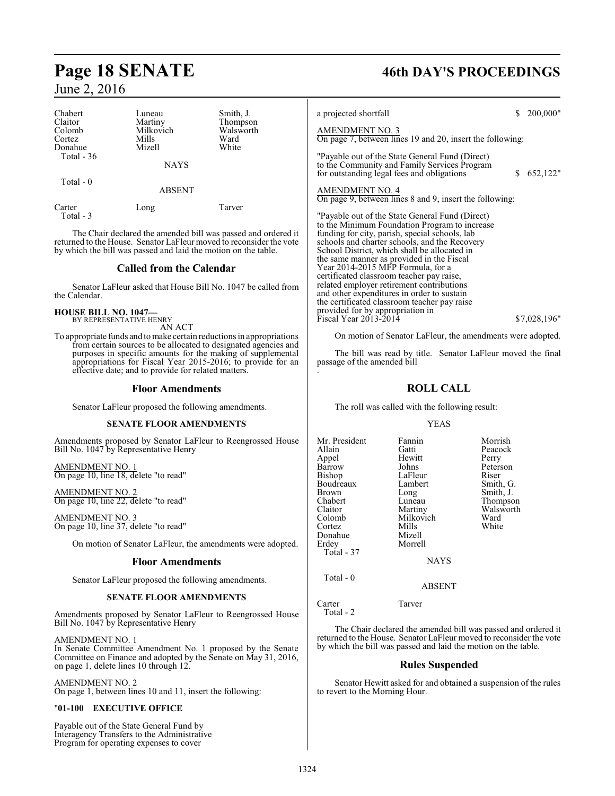| Chabert                     | Luneau                        | Smith, J.                     | a pi                          |
|-----------------------------|-------------------------------|-------------------------------|-------------------------------|
| Claitor<br>Colomb<br>Cortez | Martiny<br>Milkovich<br>Mills | Thompson<br>Walsworth<br>Ward | $\frac{\text{AN}}{\text{On}}$ |
| Donahue<br>Total - 36       | Mizell<br><b>NAYS</b>         | White                         | "Pa<br>to t<br>for            |
| Total - 0                   | <b>ABSENT</b>                 |                               | $rac{\text{AN}}{\text{On}}$   |
| Carter<br>Total - 3         | Long                          | Tarver                        | "Pa                           |

The Chair declared the amended bill was passed and ordered it returned to the House. Senator LaFleur moved to reconsider the vote by which the bill was passed and laid the motion on the table.

## **Called from the Calendar**

Senator LaFleur asked that House Bill No. 1047 be called from the Calendar.

# **HOUSE BILL NO. 1047—** BY REPRESENTATIVE HENRY

AN ACT

To appropriate funds and tomake certain reductions in appropriations from certain sources to be allocated to designated agencies and purposes in specific amounts for the making of supplemental appropriations for Fiscal Year 2015-2016; to provide for an effective date; and to provide for related matters.

#### **Floor Amendments**

Senator LaFleur proposed the following amendments.

#### **SENATE FLOOR AMENDMENTS**

Amendments proposed by Senator LaFleur to Reengrossed House Bill No. 1047 by Representative Henry

AMENDMENT NO. 1 On page 10, line 18, delete "to read"

AMENDMENT NO. 2 On page 10, line 22, delete "to read"

AMENDMENT NO. 3 On page 10, line 37, delete "to read"

On motion of Senator LaFleur, the amendments were adopted.

#### **Floor Amendments**

Senator LaFleur proposed the following amendments.

#### **SENATE FLOOR AMENDMENTS**

Amendments proposed by Senator LaFleur to Reengrossed House Bill No. 1047 by Representative Henry

AMENDMENT NO. 1

In Senate Committee Amendment No. 1 proposed by the Senate Committee on Finance and adopted by the Senate on May 31, 2016, on page 1, delete lines 10 through 12.

AMENDMENT NO. 2

On page 1, between lines 10 and 11, insert the following:

## "**01-100 EXECUTIVE OFFICE**

Payable out of the State General Fund by Interagency Transfers to the Administrative Program for operating expenses to cover

# **Page 18 SENATE 46th DAY'S PROCEEDINGS**

rojected shortfall  $\qquad \qquad$  \$ 200,000"

## **IENDMENT NO. 3**

page 7, between lines 19 and 20, insert the following:

yable out of the State General Fund (Direct) to the Community and Family Services Program for outstanding legal fees and obligations  $$652,122"$ 

#### IENDMENT NO. 4

.

page 9, between lines 8 and 9, insert the following:

"Payable out of the State General Fund (Direct) to the Minimum Foundation Program to increase funding for city, parish, special schools, lab schools and charter schools, and the Recovery School District, which shall be allocated in the same manner as provided in the Fiscal Year 2014-2015 MFP Formula, for a certificated classroom teacher pay raise, related employer retirement contributions and other expenditures in order to sustain the certificated classroom teacher pay raise provided for by appropriation in Fiscal Year 2013-2014 \$7,028,196"

On motion of Senator LaFleur, the amendments were adopted.

The bill was read by title. Senator LaFleur moved the final passage of the amended bill

## **ROLL CALL**

The roll was called with the following result:

#### YEAS

| Mr. President<br>Allain<br>Appel<br>Barrow<br>Bishop<br>Boudreaux<br><b>Brown</b><br>Chabert<br>Claitor<br>Colomb<br>Cortez<br>Donahue | Fannin<br>Gatti<br>Hewitt<br>Johns<br>LaFleur<br>Lambert<br>Long<br>Luneau<br>Martiny<br>Milkovich<br>Mills<br>Mizell | Morrish<br>Peacock<br>Perry<br>Peterson<br>Riser<br>Smith, G.<br>Smith, J.<br>Thompson<br>Walsworth<br>Ward<br>White |
|----------------------------------------------------------------------------------------------------------------------------------------|-----------------------------------------------------------------------------------------------------------------------|----------------------------------------------------------------------------------------------------------------------|
| Erdey                                                                                                                                  | Morrell                                                                                                               |                                                                                                                      |
| Total - 37                                                                                                                             | <b>NAYS</b>                                                                                                           |                                                                                                                      |
| Total - 0                                                                                                                              |                                                                                                                       |                                                                                                                      |

ABSENT

Carter Tarver Total - 2

The Chair declared the amended bill was passed and ordered it returned to the House. Senator LaFleur moved to reconsider the vote by which the bill was passed and laid the motion on the table.

#### **Rules Suspended**

Senator Hewitt asked for and obtained a suspension of the rules to revert to the Morning Hour.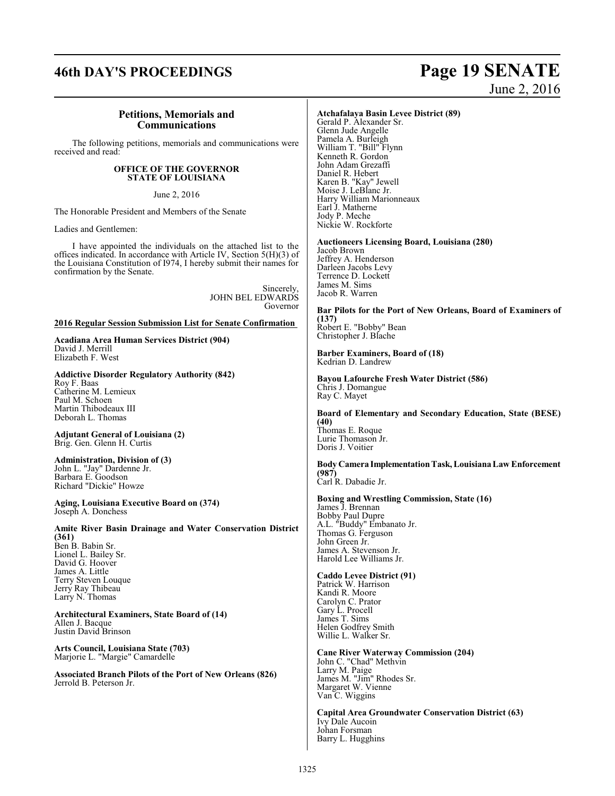# **46th DAY'S PROCEEDINGS Page 19 SENATE** June 2, 2016

### **Petitions, Memorials and Communications**

The following petitions, memorials and communications were received and read:

#### **OFFICE OF THE GOVERNOR STATE OF LOUISIANA**

June 2, 2016

The Honorable President and Members of the Senate

Ladies and Gentlemen:

I have appointed the individuals on the attached list to the offices indicated. In accordance with Article IV, Section 5(H)(3) of the Louisiana Constitution of I974, I hereby submit their names for confirmation by the Senate.

> Sincerely, JOHN BEL EDWARDS Governor

#### **2016 Regular Session Submission List for Senate Confirmation**

**Acadiana Area Human Services District (904)**  David J. Merrill Elizabeth F. West

**Addictive Disorder Regulatory Authority (842)**  Roy F. Baas Catherine M. Lemieux Paul M. Schoen Martin Thibodeaux III Deborah L. Thomas

#### **Adjutant General of Louisiana (2)**  Brig. Gen. Glenn H. Curtis

**Administration, Division of (3)**  John L. "Jay" Dardenne Jr. Barbara E. Goodson Richard "Dickie" Howze

**Aging, Louisiana Executive Board on (374)**  Joseph A. Donchess

**Amite River Basin Drainage and Water Conservation District (361)**  Ben B. Babin Sr. Lionel L. Bailey Sr.

David G. Hoover James A. Little Terry Steven Louque Jerry Ray Thibeau Larry N. Thomas

**Architectural Examiners, State Board of (14)**  Allen J. Bacque Justin David Brinson

**Arts Council, Louisiana State (703)**  Marjorie L. "Margie" Camardelle

**Associated Branch Pilots of the Port of New Orleans (826)** Jerrold B. Peterson Jr.

#### **Atchafalaya Basin Levee District (89)**

Gerald P. Alexander Sr. Glenn Jude Angelle Pamela A. Burleigh William T. "Bill" Flynn Kenneth R. Gordon John Adam Grezaffi Daniel R. Hebert Karen B. "Kay" Jewell Moise J. LeBlanc Jr. Harry William Marionneaux Earl J. Matherne Jody P. Meche Nickie W. Rockforte

**Auctioneers Licensing Board, Louisiana (280)** 

Jacob Brown Jeffrey A. Henderson Darleen Jacobs Levy Terrence D. Lockett James M. Sims Jacob R. Warren

**Bar Pilots for the Port of New Orleans, Board of Examiners of (137)**  Robert E. "Bobby" Bean Christopher J. Blache

**Barber Examiners, Board of (18)**  Kedrian D. Landrew

**Bayou Lafourche Fresh Water District (586)**  Chris J. Domangue Ray C. Mayet

**Board of Elementary and Secondary Education, State (BESE) (40)**  Thomas E. Roque Lurie Thomason Jr. Doris J. Voitier

**Body Camera ImplementationTask, LouisianaLaw Enforcement (987)**  Carl R. Dabadie Jr.

#### **Boxing and Wrestling Commission, State (16)**

James J. Brennan Bobby Paul Dupre A.L. "Buddy" Embanato Jr. Thomas G. Ferguson John Green Jr. James A. Stevenson Jr. Harold Lee Williams Jr.

#### **Caddo Levee District (91)**

Patrick W. Harrison Kandi R. Moore Carolyn C. Prator Gary L. Procell James T. Sims Helen Godfrey Smith Willie L. Walker Sr.

**Cane River Waterway Commission (204)**  John C. "Chad" Methvin

Larry M. Paige James M. "Jim" Rhodes Sr. Margaret W. Vienne Van C. Wiggins

**Capital Area Groundwater Conservation District (63)**  Ivy Dale Aucoin Johan Forsman Barry L. Hugghins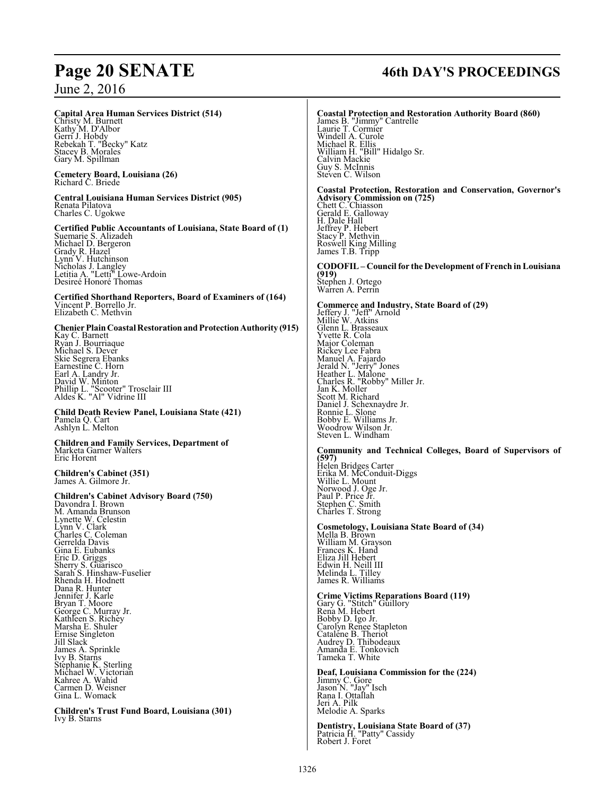#### **Capital Area Human Services District (514)**

Christy M. Burnett Kathy M. D'Albor Gerri J. Hobdy Rebekah T. "Becky" Katz Stacey B. Morales Gary M. Spillman

**Cemetery Board, Louisiana (26)**  Richard C. Briede

**Central Louisiana Human Services District (905)**  Renata Pilatova Charles C. Ugokwe

**Certified Public Accountants of Louisiana, State Board of (1)** Suemarie S. Alizadeh Michael D. Bergeron Grady R. Hazel Lynn V. Hutchinson Nicholas J. Langley Letitia A. "Letti" Lowe-Ardoin Desireé Honoré Thomas

**Certified Shorthand Reporters, Board of Examiners of (164)**  Vincent P. Borrello Jr. Elizabeth C. Methvin

**Chenier PlainCoastal RestorationandProtectionAuthority (915)** 

Kay C. Barnett Ryan J. Bourriaque Michael S. Dever Skie Segrera Ebanks Earnestine C. Horn Earl A. Landry Jr.<br>David W. Minton<br>Phillip L. "Scooter" Trosclair III<br>Aldes K. "Al" Vidrine III

**Child Death Review Panel, Louisiana State (421)**  Pamela Q. Cart Ashlyn L. Melton

**Children and Family Services, Department of** Marketa Garner Walters Eric Horent

**Children's Cabinet (351)**  James A. Gilmore Jr.

**Children's Cabinet Advisory Board (750)** 

Davondra I. Brown M. Amanda Brunson Lynette W. Celestin Lynn V. Clark Charles C. Coleman Gerrelda Davis Gina E. Eubanks Eric D. Griggs Sherry S. Guarisco Sarah S. Hinshaw-Fuselier Rhenda H. Hodnett Dana R. Hunter Jennifer J. Karle Bryan T. Moore George C. Murray Jr. Kathleen S. Richey Marsha E. Shuler Ernise Singleton Jill Slack James A. Sprinkle Ivy B. Starns Stephanie K. Sterling Michael W. Victorian Kahree A. Wahid Carmen D. Weisner Gina L. Womack

**Children's Trust Fund Board, Louisiana (301)**  Ivy B. Starns

# **Page 20 SENATE 46th DAY'S PROCEEDINGS**

**Coastal Protection and Restoration Authority Board (860)**  James B. "Jimmy" Cantrelle Laurie T. Cormier Windell A. Curole Michael R. Ellis William H. "Bill" Hidalgo Sr. Calvin Mackie Guy S. McInnis Steven C. Wilson **Coastal Protection, Restoration and Conservation, Governor's Advisory Commission on (725)**  Chett C. Chiasson Gerald E. Galloway H. Dale Hall Jeffrey P. Hebert Stacy P. Methvin Roswell King Milling James T.B. Tripp **CODOFIL – Council for the Development of French inLouisiana (919)**  Stephen J. Ortego Warren A. Perrin **Commerce and Industry, State Board of (29)**  Jeffery J. "Jeff" Arnold Millie W. Atkins Glenn L. Brasseaux Yvette R. Cola Major Coleman Rickey Lee Fabra Manuel A. Fajardo Jerald N. "Jerry" Jones Heather L. Malone Charles R. "Robby" Miller Jr. Jan K. Moller Scott M. Richard Daniel J. Schexnaydre Jr. Ronnie L. Slone Bobby E. Williams Jr. Woodrow Wilson Jr. Steven L. Windham **Community and Technical Colleges, Board of Supervisors of (597)**  Helen Bridges Carter Erika M. McConduit-Diggs Willie L. Mount Norwood J. Oge Jr. Paul P. Price Jr. Stephen C. Smith Charles T. Strong **Cosmetology, Louisiana State Board of (34)**  Mella B. Brown William M. Grayson Frances K. Hand Eliza Jill Hebert Edwin H. Neill III Melinda L. Tilley James R. Williams **Crime Victims Reparations Board (119)**  Gary G. "Stitch" Guillory Rena M. Hebert Bobby D. Igo Jr. Carolyn Renee Stapleton

**Deaf, Louisiana Commission for the (224)** Jimmy C. Gore Jason N. "Jay" Isch Rana I. Ottallah Jeri A. Pilk Melodie A. Sparks

Catalene B. Theriot Audrey D. Thibodeaux Amanda E. Tonkovich Tameka T. White

**Dentistry, Louisiana State Board of (37)**  Patricia H. "Patty" Cassidy Robert J. Foret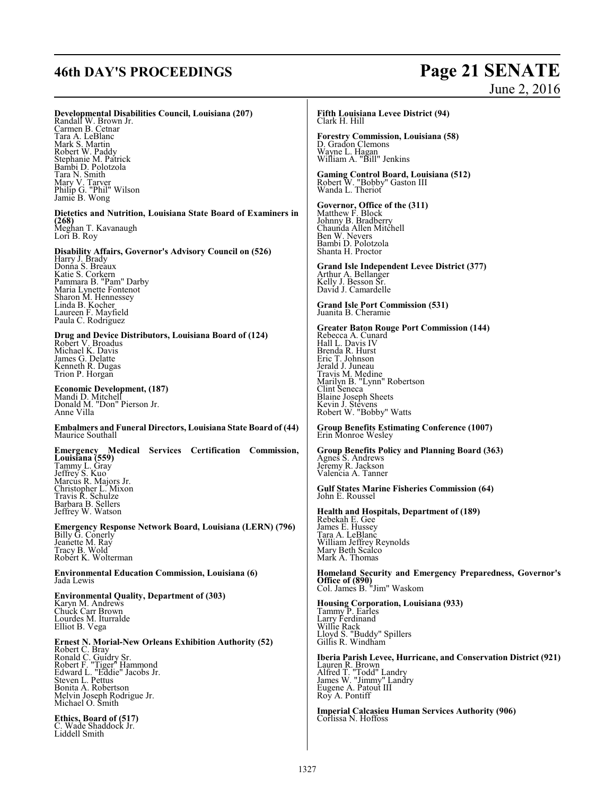# **46th DAY'S PROCEEDINGS Page 21 SENATE**

# June 2, 2016

**Developmental Disabilities Council, Louisiana (207)**  Randall W. Brown Jr. Carmen B. Cetnar

Tara A. LeBlanc Mark S. Martin Robert W. Paddy Stephanie M. Patrick Bambi D. Polotzola Tara N. Smith Mary V. Tarver Philip G. "Phil" Wilson Jamie B. Wong

**Dietetics and Nutrition, Louisiana State Board of Examiners in (268)**  Meghan T. Kavanaugh

Lori B. Roy

**Disability Affairs, Governor's Advisory Council on (526)** 

Harry J. Brady Donna S. Breaux Katie S. Corkern Pammara B. "Pam" Darby Maria Lynette Fontenot Sharon M. Hennessey Linda B. Kocher Laureen F. Mayfield Paula C. Rodriguez

#### **Drug and Device Distributors, Louisiana Board of (124)**  Robert V. Broadus Michael K. Davis James G. Delatte<br><u>K</u>enneth R. Dugas Trion P. Horgan

**Economic Development, (187)**  Mandi D. Mitchell Donald M. "Don" Pierson Jr. Anne Villa

**Embalmers and Funeral Directors, Louisiana State Board of (44)**  Maurice Southall

**Emergency Medical Services Certification Commission, Louisiana (559)**  Tammy L. Gray Jeffrey S. Kuo Marcus R. Majors Jr. Christopher L. Mixon Travis R. Schulze Barbara B. Sellers Jeffrey W. Watson

**Emergency Response Network Board, Louisiana (LERN) (796)**  Billy G. Conerly Jeanette M. Ray Tracy B. Wold Robert K. Wolterman

**Environmental Education Commission, Louisiana (6)**  Jada Lewis

**Environmental Quality, Department of (303)**  Karyn M. Andrews Chuck Carr Brown Lourdes M. Iturralde Elliot B. Vega

**Ernest N. Morial-New Orleans Exhibition Authority (52)**  Robert C. Bray Ronald C. Guidry Sr. Robert F. "Tiger" Hammond Edward L. "Eddie" Jacobs Jr. Steven L. Pettus Bonita A. Robertson Melvin Joseph Rodrigue Jr. Michael O. Smith

**Ethics, Board of (517)**  . Wade Shaddock Jr. Liddell Smith

#### **Fifth Louisiana Levee District (94)**  Clark H. Hill

**Forestry Commission, Louisiana (58)**  D. Gradon Clemons Wayne L. Hagan William A. "Bill" Jenkins

**Gaming Control Board, Louisiana (512)**<br>Robert W. "Bobby" Gaston III<br>Wanda L. Theriot

**Governor, Office of the (311)** Matthew F. Block Johnny B. Bradberry Chaunda Allen Mitchell Ben W. Nevers Bambi D. Polotzola Shanta H. Proctor

**Grand Isle Independent Levee District (377)**  Arthur A. Bellanger Kelly J. Besson Sr. David J. Camardelle

**Grand Isle Port Commission (531)**  Juanita B. Cheramie

**Greater Baton Rouge Port Commission (144)**  Rebecca A. Cunard Hall L. Davis IV Brenda R. Hurst Eric T. Johnson Jerald J. Juneau Travis M. Medine Marilyn B. "Lynn" Robertson Clint Seneca Blaine Joseph Sheets Kevin J. Stevens Robert W. "Bobby" Watts

**Group Benefits Estimating Conference (1007)**  Erin Monroe Wesley

**Group Benefits Policy and Planning Board (363)**  Agnes S. Andrews Jeremy R. Jackson Valencia A. Tanner

**Gulf States Marine Fisheries Commission (64)**  John E. Roussel

**Health and Hospitals, Department of (189)**  Rebekah E. Gee James E. Hussey Tara A. LeBlanc William Jeffrey Reynolds Mary Beth Scalco Mark A. Thomas

**Homeland Security and Emergency Preparedness, Governor's Office of (890)**  Col. James B. "Jim" Waskom

**Housing Corporation, Louisiana (933)**<br>Tammy P. Earles<br>Larry Ferdinand Willie Rack Lloyd S. "Buddy" Spillers Gillis R. Windham

**Iberia Parish Levee, Hurricane, and Conservation District (921)**  Lauren R. Brown Alfred T. "Todd" Landry James W. "Jimmy" Landry Eugene A. Patout III Roy A. Pontiff

**Imperial Calcasieu Human Services Authority (906)**  Corlissa N. Hoffoss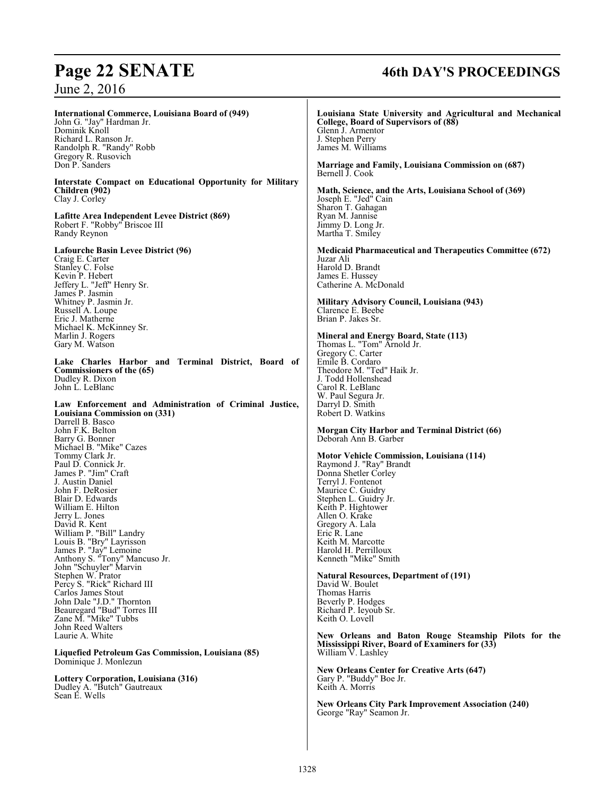# **Page 22 SENATE 46th DAY'S PROCEEDINGS**

June 2, 2016

| <b>International Commerce, Louisiana Board of (949)</b>                                                                                                                                                                                                                                                                                                                                                                                               | Louisiana State University and Agricultural and Mechanical                                                                                                                                                                                                                                                                                                                                                                                                                   |
|-------------------------------------------------------------------------------------------------------------------------------------------------------------------------------------------------------------------------------------------------------------------------------------------------------------------------------------------------------------------------------------------------------------------------------------------------------|------------------------------------------------------------------------------------------------------------------------------------------------------------------------------------------------------------------------------------------------------------------------------------------------------------------------------------------------------------------------------------------------------------------------------------------------------------------------------|
| John G. "Jay" Hardman Jr.                                                                                                                                                                                                                                                                                                                                                                                                                             | College, Board of Supervisors of (88)                                                                                                                                                                                                                                                                                                                                                                                                                                        |
| Dominik Knoll                                                                                                                                                                                                                                                                                                                                                                                                                                         | Glenn J. Armentor                                                                                                                                                                                                                                                                                                                                                                                                                                                            |
| Richard L. Ranson Jr.                                                                                                                                                                                                                                                                                                                                                                                                                                 | J. Stephen Perry                                                                                                                                                                                                                                                                                                                                                                                                                                                             |
| Randolph R. "Randy" Robb                                                                                                                                                                                                                                                                                                                                                                                                                              | James M. Williams                                                                                                                                                                                                                                                                                                                                                                                                                                                            |
| Gregory R. Rusovich                                                                                                                                                                                                                                                                                                                                                                                                                                   | Marriage and Family, Louisiana Commission on (687)                                                                                                                                                                                                                                                                                                                                                                                                                           |
| Don P. Sanders                                                                                                                                                                                                                                                                                                                                                                                                                                        | Bernell J. Cook                                                                                                                                                                                                                                                                                                                                                                                                                                                              |
| Interstate Compact on Educational Opportunity for Military                                                                                                                                                                                                                                                                                                                                                                                            | Math, Science, and the Arts, Louisiana School of (369)                                                                                                                                                                                                                                                                                                                                                                                                                       |
| Children (902)                                                                                                                                                                                                                                                                                                                                                                                                                                        | Joseph E. "Jed" Cain                                                                                                                                                                                                                                                                                                                                                                                                                                                         |
| Clay J. Corley                                                                                                                                                                                                                                                                                                                                                                                                                                        | Sharon T. Gahagan                                                                                                                                                                                                                                                                                                                                                                                                                                                            |
| Lafitte Area Independent Levee District (869)                                                                                                                                                                                                                                                                                                                                                                                                         | Ryan M. Jannise                                                                                                                                                                                                                                                                                                                                                                                                                                                              |
| Robert F. "Robby" Briscoe III                                                                                                                                                                                                                                                                                                                                                                                                                         | Jimmy D. Long Jr.                                                                                                                                                                                                                                                                                                                                                                                                                                                            |
| Randy Reynon                                                                                                                                                                                                                                                                                                                                                                                                                                          | Martha T. Smiley                                                                                                                                                                                                                                                                                                                                                                                                                                                             |
| Lafourche Basin Levee District (96)<br>Craig E. Carter<br>Stanley C. Folse<br>Kevin P. Hebert<br>Jeffery L. "Jeff" Henry Sr.<br>James P. Jasmin<br>Whitney P. Jasmin Jr.<br>Russell A. Loupe<br>Eric J. Matherne<br>Michael K. McKinney Sr.<br>Marlin J. Rogers<br>Gary M. Watson                                                                                                                                                                     | <b>Medicaid Pharmaceutical and Therapeutics Committee (672)</b><br>Juzar Ali<br>Harold D. Brandt<br>James E. Hussey<br>Catherine A. McDonald<br>Military Advisory Council, Louisiana (943)<br>Clarence E. Beebe<br>Brian P. Jakes Sr.<br>Mineral and Energy Board, State (113)<br>Thomas L. "Tom" Arnold Jr.<br>Gregory C. Carter                                                                                                                                            |
| Lake Charles Harbor and Terminal District, Board of                                                                                                                                                                                                                                                                                                                                                                                                   | Emile B. Cordaro                                                                                                                                                                                                                                                                                                                                                                                                                                                             |
| Commissioners of the (65)                                                                                                                                                                                                                                                                                                                                                                                                                             | Theodore M. "Ted" Haik Jr.                                                                                                                                                                                                                                                                                                                                                                                                                                                   |
| Dudley R. Dixon                                                                                                                                                                                                                                                                                                                                                                                                                                       | J. Todd Hollenshead                                                                                                                                                                                                                                                                                                                                                                                                                                                          |
| John L. LeBlanc                                                                                                                                                                                                                                                                                                                                                                                                                                       | Carol R. LeBlanc                                                                                                                                                                                                                                                                                                                                                                                                                                                             |
| Law Enforcement and Administration of Criminal Justice,                                                                                                                                                                                                                                                                                                                                                                                               | W. Paul Segura Jr.                                                                                                                                                                                                                                                                                                                                                                                                                                                           |
| Louisiana Commission on (331)                                                                                                                                                                                                                                                                                                                                                                                                                         | Darryl D. Smith                                                                                                                                                                                                                                                                                                                                                                                                                                                              |
| Darrell B. Basco                                                                                                                                                                                                                                                                                                                                                                                                                                      | Robert D. Watkins                                                                                                                                                                                                                                                                                                                                                                                                                                                            |
| John F.K. Belton<br>Barry G. Bonner<br>Michael B. "Mike" Cazes<br>Tommy Clark Jr.<br>Paul D. Connick Jr.<br>James P. "Jim" Craft<br>J. Austin Daniel<br>John F. DeRosier<br>Blair D. Edwards<br>William E. Hilton<br>Jerry L. Jones<br>David R. Kent<br>William P. "Bill" Landry<br>Louis B. "Bry" Layrisson<br>James P. "Jay" Lemoine<br>Anthony S. "Tony" Mancuso Jr.<br>John "Schuyler" Marvin<br>Stephen W. Prator<br>Percy S. "Rick" Richard III | <b>Morgan City Harbor and Terminal District (66)</b><br>Deborah Ann B. Garber<br><b>Motor Vehicle Commission, Louisiana (114)</b><br>Raymond J. "Ray" Brandt<br>Donna Shetler Corley<br>Terryl J. Fontenot<br>Maurice C. Guidry<br>Stephen L. Guidry Jr.<br>Keith P. Hightower<br>Allen O. Krake<br>Gregory A. Lala<br>Eric R. Lane<br>Keith M. Marcotte<br>Harold H. Perrilloux<br>Kenneth "Mike" Smith<br><b>Natural Resources, Department of (191)</b><br>David W. Boulet |
| Carlos James Stout                                                                                                                                                                                                                                                                                                                                                                                                                                    | Thomas Harris                                                                                                                                                                                                                                                                                                                                                                                                                                                                |
| John Dale "J.D." Thornton                                                                                                                                                                                                                                                                                                                                                                                                                             | Beverly P. Hodges                                                                                                                                                                                                                                                                                                                                                                                                                                                            |
| Beauregard "Bud" Torres III                                                                                                                                                                                                                                                                                                                                                                                                                           | Richard P. Ieyoub Sr.                                                                                                                                                                                                                                                                                                                                                                                                                                                        |
| Zane M. "Mike" Tubbs                                                                                                                                                                                                                                                                                                                                                                                                                                  | Keith O. Lovell                                                                                                                                                                                                                                                                                                                                                                                                                                                              |
| John Reed Walters                                                                                                                                                                                                                                                                                                                                                                                                                                     | New Orleans and Baton Rouge Steamship Pilots for the                                                                                                                                                                                                                                                                                                                                                                                                                         |
| Laurie A. White                                                                                                                                                                                                                                                                                                                                                                                                                                       | <b>Mississippi River, Board of Examiners for (33)</b>                                                                                                                                                                                                                                                                                                                                                                                                                        |
| Liquefied Petroleum Gas Commission, Louisiana (85)<br>Dominique J. Monlezun<br>Lottery Corporation, Louisiana (316)<br>Dudley A. "Butch" Gautreaux<br>Sean E. Wells                                                                                                                                                                                                                                                                                   | William V. Lashley<br><b>New Orleans Center for Creative Arts (647)</b><br>Gary P. "Buddy" Boe Jr.<br>Keith A. Morris<br><b>New Orleans City Park Improvement Association (240)</b><br>George "Ray" Seamon Jr.                                                                                                                                                                                                                                                               |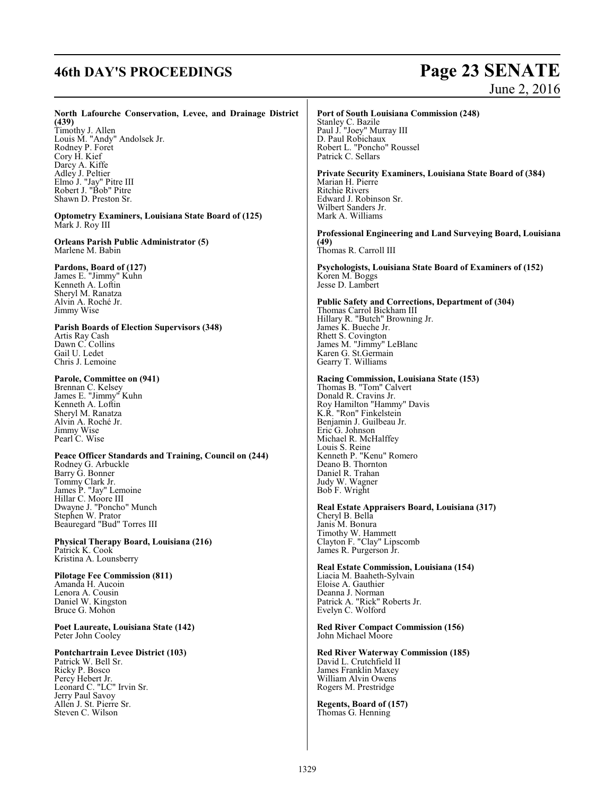# **46th DAY'S PROCEEDINGS Page 23 SENATE**

# June 2, 2016

#### **North Lafourche Conservation, Levee, and Drainage District (439)**

Timothy J. Allen Louis M. "Andy" Andolsek Jr. Rodney P. Foret Cory H. Kief Darcy A. Kiffe Adley J. Peltier Elmo J. "Jay" Pitre III Robert J. "Bob" Pitre Shawn D. Preston Sr.

**Optometry Examiners, Louisiana State Board of (125)**  Mark J. Roy III

**Orleans Parish Public Administrator (5)**  Marlene M. Babin

#### **Pardons, Board of (127)**

James E. "Jimmy" Kuhn Kenneth A. Loftin Sheryl M. Ranatza Alvin A. Roché Jr. Jimmy Wise

**Parish Boards of Election Supervisors (348)**  Artis Ray Cash Dawn C. Collins Gail U. Ledet Chris J. Lemoine

#### **Parole, Committee on (941)**

Brennan C. Kelsey James E. "Jimmy" Kuhn Kenneth A. Loftin Sheryl M. Ranatza Alvin A. Roché Jr. Jimmy Wise Pearl C. Wise

**Peace Officer Standards and Training, Council on (244)** Rodney G. Arbuckle Barry G. Bonner Tommy Clark Jr. James P. "Jay" Lemoine Hillar C. Moore III Dwayne J. "Poncho" Munch Stephen W. Prator Beauregard "Bud" Torres III

**Physical Therapy Board, Louisiana (216)**  Patrick K. Cook Kristina A. Lounsberry

#### **Pilotage Fee Commission (811)**  Amanda H. Aucoin Lenora A. Cousin Daniel W. Kingston Bruce G. Mohon

**Poet Laureate, Louisiana State (142)**  Peter John Cooley

#### **Pontchartrain Levee District (103)**

Patrick W. Bell Sr. Ricky P. Bosco Percy Hebert Jr. Leonard C. "LC" Irvin Sr. Jerry Paul Savoy Allen J. St. Pierre Sr. Steven C. Wilson

## **Port of South Louisiana Commission (248)**

Stanley C. Bazile Paul J. "Joey" Murray III D. Paul Robichaux Robert L. "Poncho" Roussel Patrick C. Sellars

**Private Security Examiners, Louisiana State Board of (384)**  Marian H. Pierre Ritchie Rivers Edward J. Robinson Sr. Wilbert Sanders Jr. Mark A. Williams

**Professional Engineering and Land Surveying Board, Louisiana (49)**  Thomas R. Carroll III

**Psychologists, Louisiana State Board of Examiners of (152)**  Koren M. Boggs Jesse D. Lambert

**Public Safety and Corrections, Department of (304)**  Thomas Carrol Bickham III Hillary R. "Butch" Browning Jr. James K. Bueche Jr. Rhett S. Covington James M. "Jimmy" LeBlanc Karen G. St.Germain Gearry T. Williams

#### **Racing Commission, Louisiana State (153)**

Thomas B. "Tom" Calvert Donald R. Cravins Jr. Roy Hamilton "Hammy" Davis K.R. "Ron" Finkelstein Benjamin J. Guilbeau Jr. Eric G. Johnson Michael R. McHalffey Louis S. Reine Kenneth P. "Kenu" Romero Deano B. Thornton Daniel R. Trahan Judy W. Wagner Bob F. Wright

**Real Estate Appraisers Board, Louisiana (317)**  Cheryl B. Bella Janis M. Bonura Timothy W. Hammett Clayton F. "Clay" Lipscomb James R. Purgerson Jr.

**Real Estate Commission, Louisiana (154)** 

Liacia M. Baaheth-Sylvain Eloise A. Gauthier Deanna J. Norman Patrick A. "Rick" Roberts Jr. Evelyn C. Wolford

**Red River Compact Commission (156)**  John Michael Moore

**Red River Waterway Commission (185)**  David L. Crutchfield II James Franklin Maxey William Alvin Owens Rogers M. Prestridge

**Regents, Board of (157)**  Thomas G. Henning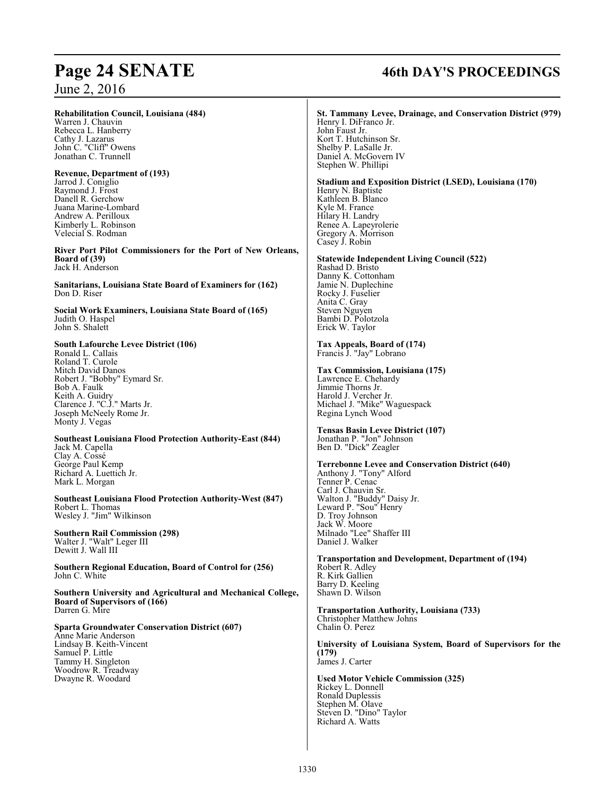#### **Rehabilitation Council, Louisiana (484)**

Warren J. Chauvin Rebecca L. Hanberry Cathy J. Lazarus John C. "Cliff" Owens Jonathan C. Trunnell

#### **Revenue, Department of (193)**  Jarrod J. Coniglio Raymond J. Frost

Danell R. Gerchow Juana Marine-Lombard Andrew A. Perilloux Kimberly L. Robinson Velecial S. Rodman

**River Port Pilot Commissioners for the Port of New Orleans, Board of (39)**  Jack H. Anderson

**Sanitarians, Louisiana State Board of Examiners for (162)**  Don D. Riser

**Social Work Examiners, Louisiana State Board of (165)**  Judith O. Haspel John S. Shalett

#### **South Lafourche Levee District (106)**

Ronald L. Callais Roland T. Curole Mitch David Danos Robert J. "Bobby" Eymard Sr. Bob A. Faulk Keith A. Guidry Clarence J. "C.J." Marts Jr. Joseph McNeely Rome Jr. Monty J. Vegas

#### **Southeast Louisiana Flood Protection Authority-East (844)**  Jack M. Capella Clay A. Cossé George Paul Kemp Richard A. Luettich Jr. Mark L. Morgan

**Southeast Louisiana Flood Protection Authority-West (847)**  Robert L. Thomas Wesley J. "Jim" Wilkinson

**Southern Rail Commission (298)**  Walter J. "Walt" Leger III Dewitt J. Wall III

**Southern Regional Education, Board of Control for (256)**  John C. White

**Southern University and Agricultural and Mechanical College, Board of Supervisors of (166)**  Darren G. Mire

## **Sparta Groundwater Conservation District (607)**

Anne Marie Anderson Lindsay B. Keith-Vincent Samuel P. Little Tammy H. Singleton Woodrow R. Treadway Dwayne R. Woodard

# **Page 24 SENATE 46th DAY'S PROCEEDINGS**

#### **St. Tammany Levee, Drainage, and Conservation District (979)**  Henry I. DiFranco Jr. John Faust Jr. Kort T. Hutchinson Sr.

Shelby P. LaSalle Jr. Daniel A. McGovern IV Stephen W. Phillipi

#### **Stadium and Exposition District (LSED), Louisiana (170)**  Henry N. Baptiste Kathleen B. Blanco Kyle M. France

Hilary H. Landry Renee A. Lapeyrolerie Gregory A. Morrison Casey J. Robin

#### **Statewide Independent Living Council (522)**

Rashad D. Bristo Danny K. Cottonham Jamie N. Duplechine Rocky J. Fuselier Anita C. Gray Steven Nguyen Bambi D. Polotzola Erick W. Taylor

## **Tax Appeals, Board of (174)**

Francis J. "Jay" Lobrano

#### **Tax Commission, Louisiana (175)**

Lawrence E. Chehardy Jimmie Thorns Jr. Harold J. Vercher Jr. Michael J. "Mike" Waguespack Regina Lynch Wood

#### **Tensas Basin Levee District (107)**  Jonathan P. "Jon" Johnson Ben D. "Dick" Zeagler

#### **Terrebonne Levee and Conservation District (640)**  Anthony J. "Tony" Alford Tenner P. Cenac Carl J. Chauvin Sr. Walton J. "Buddy" Daisy Jr. Leward P. "Sou" Henry D. Troy Johnson Jack W. Moore Milnado "Lee" Shaffer III Daniel J. Walker

#### **Transportation and Development, Department of (194)**  Robert R. Adley R. Kirk Gallien Barry D. Keeling Shawn D. Wilson

**Transportation Authority, Louisiana (733)**  Christopher Matthew Johns Chalin O. Perez

**University of Louisiana System, Board of Supervisors for the (179)**  James J. Carter

**Used Motor Vehicle Commission (325)** Rickey L. Donnell Ronald Duplessis Stephen M. Olave Steven D. "Dino" Taylor Richard A. Watts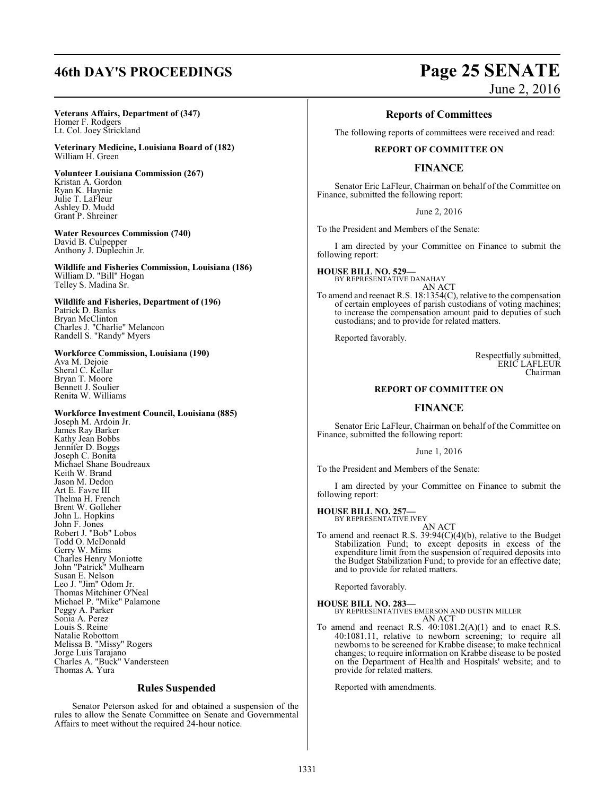#### **Veterans Affairs, Department of (347)**  Homer F. Rodgers Lt. Col. Joey Strickland

**Veterinary Medicine, Louisiana Board of (182)**  William H. Green

**Volunteer Louisiana Commission (267)**  Kristan A. Gordon Ryan K. Haynie Julie T. LaFleur Ashley D. Mudd Grant P. Shreiner

**Water Resources Commission (740)** David B. Culpepper Anthony J. Duplechin Jr.

**Wildlife and Fisheries Commission, Louisiana (186)**  William D. "Bill" Hogan Telley S. Madina Sr.

**Wildlife and Fisheries, Department of (196)**  Patrick D. Banks Bryan McClinton Charles J. "Charlie" Melancon Randell S. "Randy" Myers

**Workforce Commission, Louisiana (190)**  Ava M. Dejoie Sheral C. Kellar Bryan T. Moore Bennett J. Soulier Renita W. Williams

**Workforce Investment Council, Louisiana (885)** Joseph M. Ardoin Jr. James Ray Barker Kathy Jean Bobbs Jennifer D. Boggs Joseph C. Bonita Michael Shane Boudreaux Keith W. Brand Jason M. Dedon Art E. Favre III Thelma H. French Brent W. Golleher John L. Hopkins John F. Jones Robert J. "Bob" Lobos Todd O. McDonald Gerry W. Mims Charles Henry Moniotte John "Patrick" Mulhearn Susan E. Nelson Leo J. "Jim" Odom Jr. Thomas Mitchiner O'Neal Michael P. "Mike" Palamone Peggy A. Parker Sonia A. Perez Louis S. Reine Natalie Robottom Melissa B. "Missy" Rogers Jorge Luis Tarajano Charles A. "Buck" Vandersteen Thomas A. Yura

#### **Rules Suspended**

Senator Peterson asked for and obtained a suspension of the rules to allow the Senate Committee on Senate and Governmental Affairs to meet without the required 24-hour notice.

# **46th DAY'S PROCEEDINGS Page 25 SENATE**

June 2, 2016

## **Reports of Committees**

The following reports of committees were received and read:

#### **REPORT OF COMMITTEE ON**

## **FINANCE**

Senator Eric LaFleur, Chairman on behalf of the Committee on Finance, submitted the following report:

June 2, 2016

To the President and Members of the Senate:

I am directed by your Committee on Finance to submit the following report:

**HOUSE BILL NO. 529—** BY REPRESENTATIVE DANAHAY AN ACT

To amend and reenact R.S. 18:1354(C), relative to the compensation of certain employees of parish custodians of voting machines; to increase the compensation amount paid to deputies of such custodians; and to provide for related matters.

Reported favorably.

Respectfully submitted, ERIC LAFLEUR Chairman

#### **REPORT OF COMMITTEE ON**

#### **FINANCE**

Senator Eric LaFleur, Chairman on behalf of the Committee on Finance, submitted the following report:

June 1, 2016

To the President and Members of the Senate:

I am directed by your Committee on Finance to submit the following report:

#### **HOUSE BILL NO. 257—**

BY REPRESENTATIVE IVEY AN ACT

To amend and reenact R.S. 39:94(C)(4)(b), relative to the Budget Stabilization Fund; to except deposits in excess of the expenditure limit from the suspension of required deposits into the Budget Stabilization Fund; to provide for an effective date; and to provide for related matters.

Reported favorably.

**HOUSE BILL NO. 283—** BY REPRESENTATIVES EMERSON AND DUSTIN MILLER AN ACT

To amend and reenact R.S. 40:1081.2(A)(1) and to enact R.S. 40:1081.11, relative to newborn screening; to require all newborns to be screened for Krabbe disease; to make technical changes; to require information on Krabbe disease to be posted on the Department of Health and Hospitals' website; and to provide for related matters.

Reported with amendments.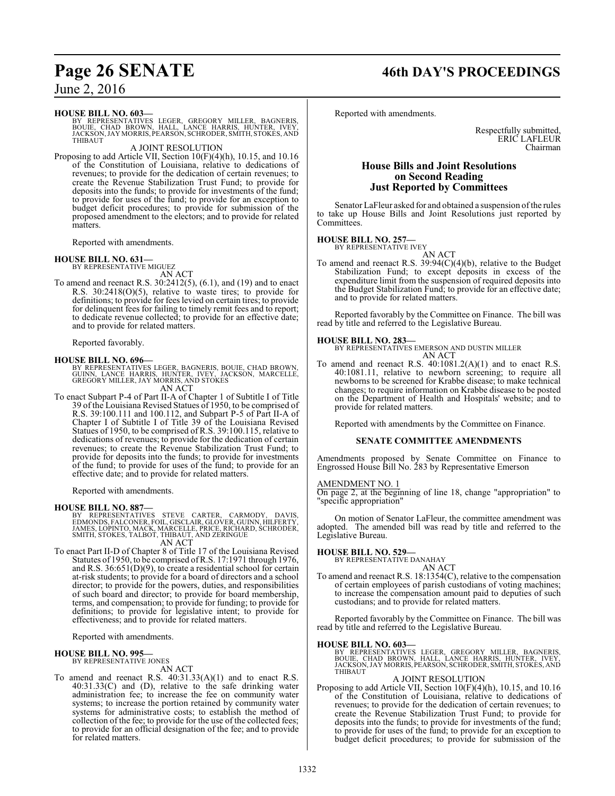# **Page 26 SENATE 46th DAY'S PROCEEDINGS**

June 2, 2016

#### **HOUSE BILL NO. 603—**

BY REPRESENTATIVES LEGER, GREGORY MILLER, BAGNERIS,<br>BOUIE, CHAD BROWN, HALL, LANCE HARRIS, HUNTER, IVEY,<br>JACKSON,JAYMORRIS,PEARSON,SCHRODER,SMITH,STOKES,AND THIBAUT

#### A JOINT RESOLUTION

Proposing to add Article VII, Section 10(F)(4)(h), 10.15, and 10.16 of the Constitution of Louisiana, relative to dedications of revenues; to provide for the dedication of certain revenues; to create the Revenue Stabilization Trust Fund; to provide for deposits into the funds; to provide for investments of the fund; to provide for uses of the fund; to provide for an exception to budget deficit procedures; to provide for submission of the proposed amendment to the electors; and to provide for related matters.

Reported with amendments.

#### **HOUSE BILL NO. 631—**

BY REPRESENTATIVE MIGUEZ AN ACT

To amend and reenact R.S. 30:2412(5), (6.1), and (19) and to enact R.S. 30:2418(O)(5), relative to waste tires; to provide for definitions; to provide for fees levied on certain tires; to provide for delinquent fees for failing to timely remit fees and to report; to dedicate revenue collected; to provide for an effective date; and to provide for related matters.

Reported favorably.

### **HOUSE BILL NO. 696—**

BY REPRESENTATIVES LEGER, BAGNERIS, BOUIE, CHAD BROWN,<br>GUINN, LANCE HARRIS, HUNTER, IVEY, JACKSON, MARCELLE,<br>GREGORY MILLER, JAY MORRIS, AND STOKES

AN ACT

To enact Subpart P-4 of Part II-A of Chapter 1 of Subtitle I of Title 39 of the Louisiana Revised Statues of 1950, to be comprised of R.S. 39:100.111 and 100.112, and Subpart P-5 of Part II-A of Chapter I of Subtitle I of Title 39 of the Louisiana Revised Statues of 1950, to be comprised of R.S. 39:100.115, relative to dedications of revenues; to provide for the dedication of certain revenues; to create the Revenue Stabilization Trust Fund; to provide for deposits into the funds; to provide for investments of the fund; to provide for uses of the fund; to provide for an effective date; and to provide for related matters.

Reported with amendments.

**HOUSE BILL NO. 887—** BY REPRESENTATIVES STEVE CARTER, CARMODY, DAVIS, EDMONDS, FALCONER, FOIL, GISCLAIR, GLOVER, GUINN, HILFERTY, JAMES, LOPINTO, MACK, MARCELLE, PRICE, RICHARD, SCHRODER, SMITH, STOKES, TALBOT, THIBAUT, AND ZERINGUE AN ACT

To enact Part II-D of Chapter 8 of Title 17 of the Louisiana Revised Statutes of 1950, to be comprised ofR.S. 17:1971 through 1976, and R.S. 36:651(D)(9), to create a residential school for certain at-risk students; to provide for a board of directors and a school director; to provide for the powers, duties, and responsibilities of such board and director; to provide for board membership, terms, and compensation; to provide for funding; to provide for definitions; to provide for legislative intent; to provide for effectiveness; and to provide for related matters.

Reported with amendments.

#### **HOUSE BILL NO. 995—** BY REPRESENTATIVE JONES

AN ACT

To amend and reenact R.S.  $40:31.33(A)(1)$  and to enact R.S. 40:31.33(C) and (D), relative to the safe drinking water administration fee; to increase the fee on community water systems; to increase the portion retained by community water systems for administrative costs; to establish the method of collection of the fee; to provide for the use of the collected fees; to provide for an official designation of the fee; and to provide for related matters.

Reported with amendments.

Respectfully submitted, ERIC LAFLEUR Chairman

#### **House Bills and Joint Resolutions on Second Reading Just Reported by Committees**

Senator LaFleur asked for and obtained a suspension of the rules to take up House Bills and Joint Resolutions just reported by Committees.

**HOUSE BILL NO. 257—** BY REPRESENTATIVE IVEY

AN ACT

To amend and reenact R.S. 39:94(C)(4)(b), relative to the Budget Stabilization Fund; to except deposits in excess of the expenditure limit from the suspension of required deposits into the Budget Stabilization Fund; to provide for an effective date; and to provide for related matters.

Reported favorably by the Committee on Finance. The bill was read by title and referred to the Legislative Bureau.

**HOUSE BILL NO. 283—** BY REPRESENTATIVES EMERSON AND DUSTIN MILLER AN ACT

To amend and reenact R.S.  $40:1081.2(A)(1)$  and to enact R.S. 40:1081.11, relative to newborn screening; to require all newborns to be screened for Krabbe disease; to make technical changes; to require information on Krabbe disease to be posted on the Department of Health and Hospitals' website; and to provide for related matters.

Reported with amendments by the Committee on Finance.

#### **SENATE COMMITTEE AMENDMENTS**

Amendments proposed by Senate Committee on Finance to Engrossed House Bill No. 283 by Representative Emerson

#### AMENDMENT NO. 1

On page 2, at the beginning of line 18, change "appropriation" to "specific appropriation"

On motion of Senator LaFleur, the committee amendment was adopted. The amended bill was read by title and referred to the Legislative Bureau.

# **HOUSE BILL NO. 529—** BY REPRESENTATIVE DANAHAY

- AN ACT
- To amend and reenact R.S. 18:1354(C), relative to the compensation of certain employees of parish custodians of voting machines; to increase the compensation amount paid to deputies of such custodians; and to provide for related matters.

Reported favorably by the Committee on Finance. The bill was read by title and referred to the Legislative Bureau.

#### **HOUSE BILL NO. 603—**

BY REPRESENTATIVES LEGER, GREGORY MILLER, BAGNERIS,<br>BOUIE, CHAD BROWN, HALL, LANCE HARRIS, HUNTER, IVEY,<br>JACKSON,JAYMORRIS,PEARSON,SCHRODER,SMITH,STOKES,AND THIBAUT

#### A JOINT RESOLUTION

Proposing to add Article VII, Section 10(F)(4)(h), 10.15, and 10.16 of the Constitution of Louisiana, relative to dedications of revenues; to provide for the dedication of certain revenues; to create the Revenue Stabilization Trust Fund; to provide for deposits into the funds; to provide for investments of the fund; to provide for uses of the fund; to provide for an exception to budget deficit procedures; to provide for submission of the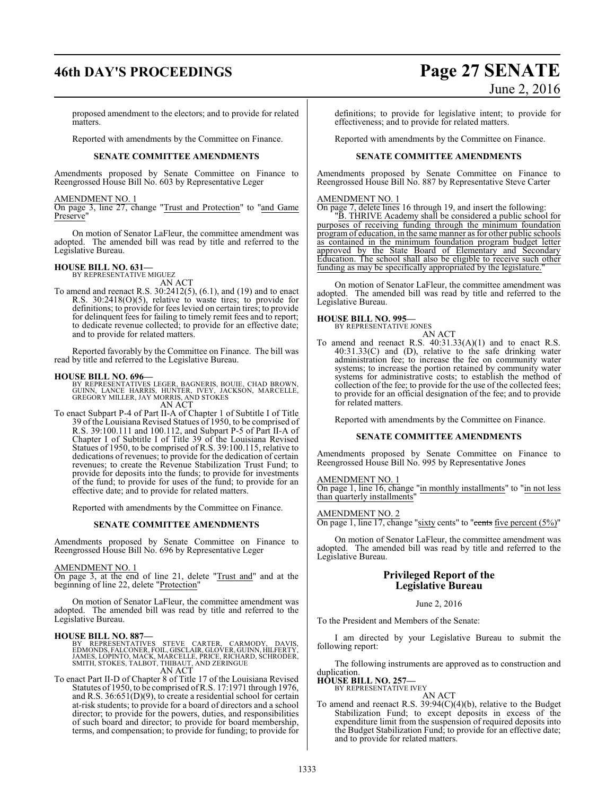# **46th DAY'S PROCEEDINGS Page 27 SENATE**

# June 2, 2016

proposed amendment to the electors; and to provide for related matters.

Reported with amendments by the Committee on Finance.

#### **SENATE COMMITTEE AMENDMENTS**

Amendments proposed by Senate Committee on Finance to Reengrossed House Bill No. 603 by Representative Leger

#### AMENDMENT NO. 1

On page 3, line 27, change "Trust and Protection" to "and Game Preserve<sup>'</sup>

On motion of Senator LaFleur, the committee amendment was adopted. The amended bill was read by title and referred to the Legislative Bureau.

#### **HOUSE BILL NO. 631—**

BY REPRESENTATIVE MIGUEZ

AN ACT To amend and reenact R.S. 30:2412(5), (6.1), and (19) and to enact R.S. 30:2418(O)(5), relative to waste tires; to provide for definitions; to provide for fees levied on certain tires; to provide for delinquent fees for failing to timely remit fees and to report; to dedicate revenue collected; to provide for an effective date; and to provide for related matters.

Reported favorably by the Committee on Finance. The bill was read by title and referred to the Legislative Bureau.

#### **HOUSE BILL NO. 696—**

BY REPRESENTATIVES LEGER, BAGNERIS, BOUIE, CHAD BROWN,<br>GUINN, LANCE HARRIS, HUNTER, IVEY, JACKSON, MARCELLE,<br>GREGORY MILLER, JAY MORRIS, AND STOKES AN ACT

To enact Subpart P-4 of Part II-A of Chapter 1 of Subtitle I of Title 39 of the Louisiana Revised Statues of 1950, to be comprised of R.S. 39:100.111 and 100.112, and Subpart P-5 of Part II-A of Chapter I of Subtitle I of Title 39 of the Louisiana Revised Statues of 1950, to be comprised of R.S. 39:100.115, relative to dedications of revenues; to provide for the dedication of certain revenues; to create the Revenue Stabilization Trust Fund; to provide for deposits into the funds; to provide for investments of the fund; to provide for uses of the fund; to provide for an effective date; and to provide for related matters.

Reported with amendments by the Committee on Finance.

#### **SENATE COMMITTEE AMENDMENTS**

Amendments proposed by Senate Committee on Finance to Reengrossed House Bill No. 696 by Representative Leger

#### AMENDMENT NO. 1

On page 3, at the end of line 21, delete "Trust and" and at the beginning of line 22, delete "Protection"

On motion of Senator LaFleur, the committee amendment was adopted. The amended bill was read by title and referred to the Legislative Bureau.

#### **HOUSE BILL NO. 887—**

BY REPRESENTATIVES STEVE CARTER, CARMODY, DAVIS,<br>EDMONDS, FALCONER, FOIL, GISCLAIR, GLOVER, GUINN, HILFERTY,<br>JAMES, LOPINTO, MACK, MARCELLE, PRICE, RICHARD, SCHRODER,<br>SMITH, STOKES, TALBOT, THIBAUT, AND ZERINGUE<br>AN ACT

To enact Part II-D of Chapter 8 of Title 17 of the Louisiana Revised Statutes of 1950, to be comprised ofR.S. 17:1971 through 1976, and R.S.  $36:651(D)(9)$ , to create a residential school for certain at-risk students; to provide for a board of directors and a school director; to provide for the powers, duties, and responsibilities of such board and director; to provide for board membership, terms, and compensation; to provide for funding; to provide for

definitions; to provide for legislative intent; to provide for effectiveness; and to provide for related matters.

Reported with amendments by the Committee on Finance.

#### **SENATE COMMITTEE AMENDMENTS**

Amendments proposed by Senate Committee on Finance to Reengrossed House Bill No. 887 by Representative Steve Carter

#### AMENDMENT NO. 1

On page 7, delete lines 16 through 19, and insert the following:

"B. THRIVE Academy shall be considered a public school for purposes of receiving funding through the minimum foundation program of education, in the same manner as for other public schools as contained in the minimum foundation program budget letter approved by the State Board of Elementary and Secondary Education. The school shall also be eligible to receive such other funding as may be specifically appropriated by the legislature.

On motion of Senator LaFleur, the committee amendment was adopted. The amended bill was read by title and referred to the Legislative Bureau.

#### **HOUSE BILL NO. 995—** BY REPRESENTATIVE JONES

AN ACT

To amend and reenact R.S.  $40:31.33(A)(1)$  and to enact R.S. 40:31.33(C) and (D), relative to the safe drinking water administration fee; to increase the fee on community water systems; to increase the portion retained by community water systems for administrative costs; to establish the method of collection of the fee; to provide for the use of the collected fees; to provide for an official designation of the fee; and to provide for related matters.

Reported with amendments by the Committee on Finance.

#### **SENATE COMMITTEE AMENDMENTS**

Amendments proposed by Senate Committee on Finance to Reengrossed House Bill No. 995 by Representative Jones

#### AMENDMENT NO. 1

On page 1, line 16, change "in monthly installments" to "in not less than quarterly installments"

#### AMENDMENT NO. 2

On page 1, line 17, change "sixty cents" to "cents five percent  $(5%)$ "

On motion of Senator LaFleur, the committee amendment was adopted. The amended bill was read by title and referred to the Legislative Bureau.

### **Privileged Report of the Legislative Bureau**

#### June 2, 2016

To the President and Members of the Senate:

I am directed by your Legislative Bureau to submit the following report:

The following instruments are approved as to construction and duplication

**HOUSE BILL NO. 257—** BY REPRESENTATIVE IVEY

AN ACT

To amend and reenact R.S. 39:94(C)(4)(b), relative to the Budget Stabilization Fund; to except deposits in excess of the expenditure limit from the suspension of required deposits into the Budget Stabilization Fund; to provide for an effective date; and to provide for related matters.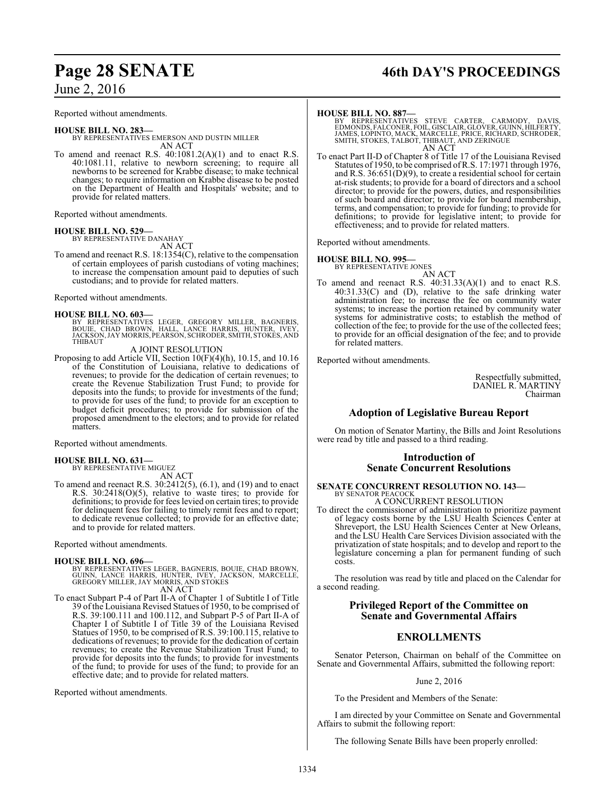Reported without amendments.

#### **HOUSE BILL NO. 283—** BY REPRESENTATIVES EMERSON AND DUSTIN MILLER AN ACT

To amend and reenact R.S.  $40:1081.2(A)(1)$  and to enact R.S. 40:1081.11, relative to newborn screening; to require all newborns to be screened for Krabbe disease; to make technical changes; to require information on Krabbe disease to be posted on the Department of Health and Hospitals' website; and to provide for related matters.

Reported without amendments.

#### **HOUSE BILL NO. 529—**

BY REPRESENTATIVE DANAHAY AN ACT

To amend and reenact R.S. 18:1354(C), relative to the compensation of certain employees of parish custodians of voting machines; to increase the compensation amount paid to deputies of such custodians; and to provide for related matters.

Reported without amendments.

#### **HOUSE BILL NO. 603—**

BY REPRESENTATIVES LEGER, GREGORY MILLER, BAGNERIS,<br>BOUIE, CHAD BROWN, HALL, LANCE HARRIS, HUNTER, IVEY,<br>JACKSON,JAYMORRIS,PEARSON,SCHRODER,SMITH,STOKES,AND THIBAUT

A JOINT RESOLUTION

Proposing to add Article VII, Section 10(F)(4)(h), 10.15, and 10.16 of the Constitution of Louisiana, relative to dedications of revenues; to provide for the dedication of certain revenues; to create the Revenue Stabilization Trust Fund; to provide for deposits into the funds; to provide for investments of the fund; to provide for uses of the fund; to provide for an exception to budget deficit procedures; to provide for submission of the proposed amendment to the electors; and to provide for related matters.

Reported without amendments.

# **HOUSE BILL NO. 631—** BY REPRESENTATIVE MIGUEZ

AN ACT

To amend and reenact R.S. 30:2412(5), (6.1), and (19) and to enact R.S. 30:2418(O)(5), relative to waste tires; to provide for definitions; to provide for fees levied on certain tires; to provide for delinquent fees for failing to timely remit fees and to report; to dedicate revenue collected; to provide for an effective date; and to provide for related matters.

Reported without amendments.

#### **HOUSE BILL NO. 696—**

- BY REPRESENTATIVES LEGER, BAGNERIS, BOUIE, CHAD BROWN,<br>GUINN, LANCE HARRIS, HUNTER, IVEY, JACKSON, MARCELLE,<br>GREGORY MILLER, JAY MORRIS, AND STOKES AN ACT
- To enact Subpart P-4 of Part II-A of Chapter 1 of Subtitle I of Title 39 of the Louisiana Revised Statues of 1950, to be comprised of R.S. 39:100.111 and 100.112, and Subpart P-5 of Part II-A of Chapter I of Subtitle I of Title 39 of the Louisiana Revised Statues of 1950, to be comprised of R.S. 39:100.115, relative to dedications of revenues; to provide for the dedication of certain revenues; to create the Revenue Stabilization Trust Fund; to provide for deposits into the funds; to provide for investments of the fund; to provide for uses of the fund; to provide for an effective date; and to provide for related matters.

Reported without amendments.

# **Page 28 SENATE 46th DAY'S PROCEEDINGS**

#### **HOUSE BILL NO. 887—**

BY REPRESENTATIVES STEVE CARTER, CARMODY, DAVIS,<br>EDMONDS,FALCONER,FOIL,GISCLAIR,GLOVER,GUINN,HILFERTY,<br>JAMES,LOPINTO,MACK,MARCELLE,PRICE,RICHARD,SCHRODER,<br>SMITH,STOKES,TALBOT,THIBAUT,ANDZERINGUE AN ACT

To enact Part II-D of Chapter 8 of Title 17 of the Louisiana Revised Statutes of 1950, to be comprised ofR.S. 17:1971 through 1976, and R.S. 36:651(D)(9), to create a residential school for certain at-risk students; to provide for a board of directors and a school director; to provide for the powers, duties, and responsibilities of such board and director; to provide for board membership, terms, and compensation; to provide for funding; to provide for definitions; to provide for legislative intent; to provide for effectiveness; and to provide for related matters.

Reported without amendments.

#### **HOUSE BILL NO. 995—**

BY REPRESENTATIVE JONES

- AN ACT
- To amend and reenact R.S.  $40:31.33(A)(1)$  and to enact R.S. 40:31.33(C) and (D), relative to the safe drinking water administration fee; to increase the fee on community water systems; to increase the portion retained by community water systems for administrative costs; to establish the method of collection of the fee; to provide for the use of the collected fees; to provide for an official designation of the fee; and to provide for related matters.

Reported without amendments.

Respectfully submitted, DANIEL R. MARTINY Chairman

## **Adoption of Legislative Bureau Report**

On motion of Senator Martiny, the Bills and Joint Resolutions were read by title and passed to a third reading.

#### **Introduction of Senate Concurrent Resolutions**

#### **SENATE CONCURRENT RESOLUTION NO. 143—** BY SENATOR PEACOCK

A CONCURRENT RESOLUTION

To direct the commissioner of administration to prioritize payment of legacy costs borne by the LSU Health Sciences Center at Shreveport, the LSU Health Sciences Center at New Orleans, and the LSU Health Care Services Division associated with the privatization of state hospitals; and to develop and report to the legislature concerning a plan for permanent funding of such costs.

The resolution was read by title and placed on the Calendar for a second reading.

## **Privileged Report of the Committee on Senate and Governmental Affairs**

## **ENROLLMENTS**

Senator Peterson, Chairman on behalf of the Committee on Senate and Governmental Affairs, submitted the following report:

#### June 2, 2016

To the President and Members of the Senate:

I am directed by your Committee on Senate and Governmental Affairs to submit the following report:

The following Senate Bills have been properly enrolled: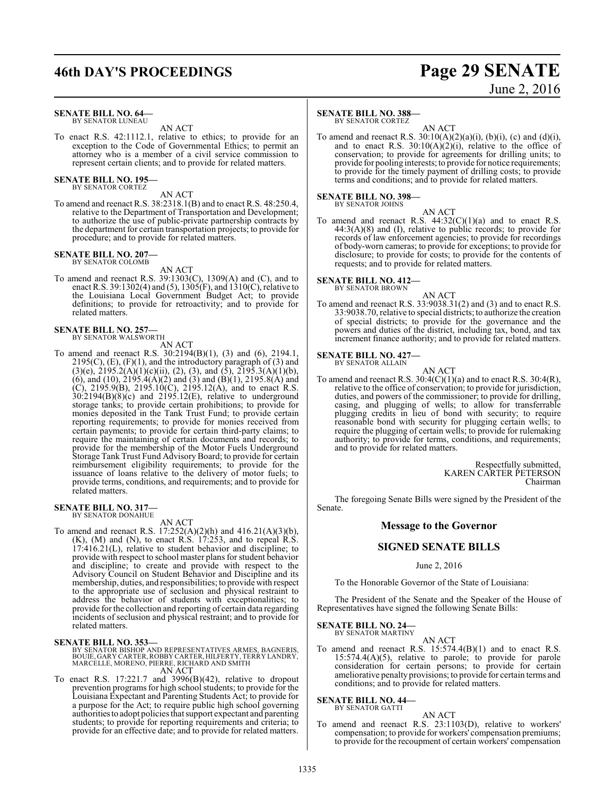# **46th DAY'S PROCEEDINGS Page 29 SENATE**

#### **SENATE BILL NO. 64—** BY SENATOR LUNEAU

AN ACT

To enact R.S. 42:1112.1, relative to ethics; to provide for an exception to the Code of Governmental Ethics; to permit an attorney who is a member of a civil service commission to represent certain clients; and to provide for related matters.

#### **SENATE BILL NO. 195—** BY SENATOR CORTEZ

AN ACT

To amend and reenact R.S. 38:2318.1(B) and to enact R.S. 48:250.4, relative to the Department of Transportation and Development; to authorize the use of public-private partnership contracts by the department for certain transportation projects; to provide for procedure; and to provide for related matters.

#### **SENATE BILL NO. 207—** BY SENATOR COLOMB

AN ACT

To amend and reenact R.S. 39:1303(C), 1309(A) and (C), and to enact R.S. 39:1302(4) and (5), 1305(F), and 1310(C), relative to the Louisiana Local Government Budget Act; to provide definitions; to provide for retroactivity; and to provide for related matters.

# **SENATE BILL NO. 257—** BY SENATOR WALSWORTH

AN ACT

To amend and reenact R.S. 30:2194(B)(1), (3) and (6), 2194.1,  $2195(C)$ ,  $(E)$ ,  $(F)(1)$ , and the introductory paragraph of  $(3)$  and  $(3)(e)$ ,  $2195.2(A)(1)(c)(ii)$ ,  $(2)$ ,  $(3)$ , and  $(5)$ ,  $2195.3(A)(1)(b)$ , (6), and (10), 2195.4(A)(2) and (3) and (B)(1), 2195.8(A) and (C), 2195.9(B), 2195.10(C), 2195.12(A), and to enact R.S. 30:2194(B)(8)(c) and 2195.12(E), relative to underground storage tanks; to provide certain prohibitions; to provide for monies deposited in the Tank Trust Fund; to provide certain reporting requirements; to provide for monies received from certain payments; to provide for certain third-party claims; to require the maintaining of certain documents and records; to provide for the membership of the Motor Fuels Underground Storage Tank Trust Fund Advisory Board; to provide for certain reimbursement eligibility requirements; to provide for the issuance of loans relative to the delivery of motor fuels; to provide terms, conditions, and requirements; and to provide for related matters.

#### **SENATE BILL NO. 317—** BY SENATOR DONAHUE

AN ACT

To amend and reenact R.S. 17:252(A)(2)(h) and 416.21(A)(3)(b),  $(K)$ ,  $(M)$  and  $(N)$ , to enact R.S. 17:253, and to repeal R.S. 17:416.21(L), relative to student behavior and discipline; to provide with respect to school master plans for student behavior and discipline; to create and provide with respect to the Advisory Council on Student Behavior and Discipline and its membership, duties, and responsibilities; to provide with respect to the appropriate use of seclusion and physical restraint to address the behavior of students with exceptionalities; to provide forthe collection and reporting of certain data regarding incidents of seclusion and physical restraint; and to provide for related matters.

#### **SENATE BILL NO. 353—**

BY SENATOR BISHOP AND REPRESENTATIVES ARMES, BAGNERIS,<br>BOUIE, GARY CARTER, ROBBY CARTER, HILFERTY, TERRY LANDRY,<br>MARCELLE, MORENO, PIERRE, RICHARD AND SMITH AN ACT

To enact R.S.  $17:221.7$  and  $3996(B)(42)$ , relative to dropout prevention programs for high school students; to provide for the Louisiana Expectant and Parenting Students Act; to provide for a purpose for the Act; to require public high school governing authorities to adopt policies that support expectant and parenting students; to provide for reporting requirements and criteria; to provide for an effective date; and to provide for related matters.

#### **SENATE BILL NO. 388—**

BY SENATOR CORTEZ

AN ACT To amend and reenact R.S.  $30:10(A)(2)(a)(i)$ ,  $(b)(i)$ ,  $(c)$  and  $(d)(i)$ , and to enact R.S.  $30:10(A)(2)(i)$ , relative to the office of conservation; to provide for agreements for drilling units; to provide for pooling interests; to provide for notice requirements; to provide for the timely payment of drilling costs; to provide terms and conditions; and to provide for related matters.

# **SENATE BILL NO. 398—** BY SENATOR JOHNS

AN ACT

To amend and reenact R.S.  $44:32(C)(1)(a)$  and to enact R.S.  $44:3(A)(8)$  and (I), relative to public records; to provide for records of law enforcement agencies; to provide for recordings of body-worn cameras; to provide for exceptions; to provide for disclosure; to provide for costs; to provide for the contents of requests; and to provide for related matters.

#### **SENATE BILL NO. 412—**

BY SENATOR BROWN

#### AN ACT

To amend and reenact R.S. 33:9038.31(2) and (3) and to enact R.S. 33:9038.70, relative to special districts; to authorize the creation of special districts; to provide for the governance and the powers and duties of the district, including tax, bond, and tax increment finance authority; and to provide for related matters.

# **SENATE BILL NO. 427—** BY SENATOR ALLAIN

AN ACT

To amend and reenact R.S.  $30:4(C)(1)(a)$  and to enact R.S.  $30:4(R)$ , relative to the office of conservation; to provide for jurisdiction, duties, and powers of the commissioner; to provide for drilling, casing, and plugging of wells; to allow for transferrable plugging credits in lieu of bond with security; to require reasonable bond with security for plugging certain wells; to require the plugging of certain wells; to provide for rulemaking authority; to provide for terms, conditions, and requirements; and to provide for related matters.

> Respectfully submitted, KAREN CARTER PETERSON Chairman

The foregoing Senate Bills were signed by the President of the Senate.

#### **Message to the Governor**

## **SIGNED SENATE BILLS**

June 2, 2016

To the Honorable Governor of the State of Louisiana:

The President of the Senate and the Speaker of the House of Representatives have signed the following Senate Bills:

#### **SENATE BILL NO. 24—** BY SENATOR MARTINY

AN ACT

To amend and reenact R.S. 15:574.4(B)(1) and to enact R.S. 15:574.4(A)(5), relative to parole; to provide for parole consideration for certain persons; to provide for certain ameliorative penalty provisions; to provide for certain terms and conditions; and to provide for related matters.

#### **SENATE BILL NO. 44—** BY SENATOR GATTI

AN ACT To amend and reenact R.S. 23:1103(D), relative to workers' compensation; to provide for workers' compensation premiums; to provide for the recoupment of certain workers' compensation

# June 2, 2016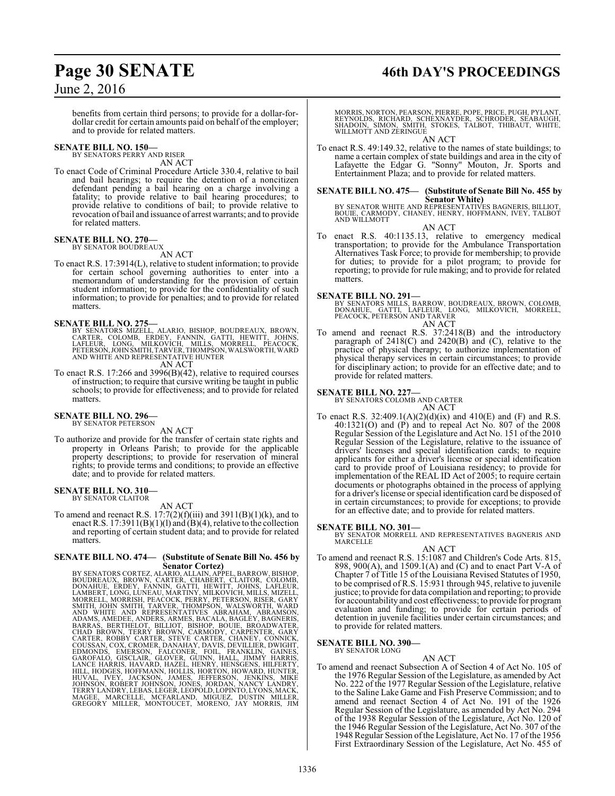# **Page 30 SENATE 46th DAY'S PROCEEDINGS**

## June 2, 2016

benefits from certain third persons; to provide for a dollar-fordollar credit for certain amounts paid on behalf of the employer; and to provide for related matters.

## **SENATE BILL NO. 150—**

BY SENATORS PERRY AND RISER AN ACT

To enact Code of Criminal Procedure Article 330.4, relative to bail and bail hearings; to require the detention of a noncitizen defendant pending a bail hearing on a charge involving a fatality; to provide relative to bail hearing procedures; to provide relative to conditions of bail; to provide relative to revocation of bail and issuance of arrest warrants; and to provide for related matters.

# **SENATE BILL NO. 270—** BY SENATOR BOUDREAUX

AN ACT

To enact R.S. 17:3914(L), relative to student information; to provide for certain school governing authorities to enter into a memorandum of understanding for the provision of certain student information; to provide for the confidentiality of such information; to provide for penalties; and to provide for related matters.

**SENATE BILL NO. 275—**<br>BY SENATORS MIZELL, ALARIO, BISHOP, BOUDREAUX, BROWN,<br>CARTER, COLOMB, ERDEY, FANNIN, GATTI, HEWITT, JOHNS,<br>LAFLEUR, LONG, MILKOVICH, MILLS, MORRELL, PEACOCK,<br>PETERSON,JOHN SMITH,TARVER,THOMPSON,WALSW AND WHITE AND REPRESENTATIVE HUNTER

AN ACT

To enact R.S. 17:266 and 3996(B)(42), relative to required courses of instruction; to require that cursive writing be taught in public schools; to provide for effectiveness; and to provide for related matters.

#### **SENATE BILL NO. 296—**

BY SENATOR PETERSON

- AN ACT
- To authorize and provide for the transfer of certain state rights and property in Orleans Parish; to provide for the applicable property descriptions; to provide for reservation of mineral rights; to provide terms and conditions; to provide an effective date; and to provide for related matters.

## **SENATE BILL NO. 310—**

BY SENATOR CLAITOR

AN ACT

To amend and reenact R.S.  $17:7(2)(f)(iii)$  and  $3911(B)(1)(k)$ , and to enact R.S. 17:3911(B)(1)(l) and (B)(4), relative to the collection and reporting of certain student data; and to provide for related matters.

# **SENATE BILL NO. 474— (Substitute of Senate Bill No. 456 by**

SPINS CORTEZ, ALARIO, ALAIN, APPEL, BARROW, BISHOP, BOUDREAUX, BROWN, CARTO, ALLAIN, APPEL, BARROW, EOLOMB, DONAHUE, ERDEY, FANNIN, GATTI, HEWITT, JOHNS, LAELEUR, LAMBERT, LONG, LUNEAU, MARTINY, MILICS, MIZELL, MORRELL, MO

MORRIS, NORTON, PEARSON, PIERRE, POPE, PRICE, PUGH, PYLANT, REYNOLDS, RICHARD, SCHEXNAYDER, SCHRODER, SEABAUGH, SHADOIN, SIMON, SMITH, STOKES, TALBOT, THIBAUT, WHITE, WILLMOTT AND ZERINGUE

AN ACT

To enact R.S. 49:149.32, relative to the names of state buildings; to name a certain complex of state buildings and area in the city of Lafayette the Edgar G. "Sonny" Mouton, Jr. Sports and Entertainment Plaza; and to provide for related matters.

#### **SENATE BILL NO. 475— (Substitute of Senate Bill No. 455 by Senator White)**

BY SENATOR WHITE AND REPRESENTATIVES BAGNERIS, BILLIOT, BOUIE, CARMODY, CHANEY, HENRY, HOFFMANN, IVEY, TALBOT AND WILLMOTT

AN ACT

To enact R.S. 40:1135.13, relative to emergency medical transportation; to provide for the Ambulance Transportation Alternatives Task Force; to provide for membership; to provide for duties; to provide for a pilot program; to provide for reporting; to provide for rule making; and to provide for related matters.

#### **SENATE BILL NO. 291—**

BY SENATORS MILLS, BARROW, BOUDREAUX, BROWN, COLOMB,<br>DONAHUE, - GATTI, - LAFLEUR, - LONG, - MILKOVICH, - MORRELL,<br>PEACOCK, PETERSON AND TARVER AN ACT

To amend and reenact R.S. 37:2418(B) and the introductory paragraph of  $2418(C)$  and  $2420(B)$  and  $(C)$ , relative to the practice of physical therapy; to authorize implementation of physical therapy services in certain circumstances; to provide for disciplinary action; to provide for an effective date; and to provide for related matters.

#### **SENATE BILL NO. 227—**

BY SENATORS COLOMB AND CARTER AN ACT

To enact R.S.  $32:409.1(A)(2)(d)(ix)$  and  $410(E)$  and  $(F)$  and R.S. 40:1321(O) and (P) and to repeal Act No. 807 of the 2008 Regular Session of the Legislature and Act No. 151 of the 2010 Regular Session of the Legislature, relative to the issuance of drivers' licenses and special identification cards; to require applicants for either a driver's license or special identification card to provide proof of Louisiana residency; to provide for implementation of the REAL ID Act of 2005; to require certain documents or photographs obtained in the process of applying for a driver's license or special identification card be disposed of in certain circumstances; to provide for exceptions; to provide for an effective date; and to provide for related matters.

#### **SENATE BILL NO. 301—**

BY SENATOR MORRELL AND REPRESENTATIVES BAGNERIS AND MARCELLE

AN ACT

To amend and reenact R.S. 15:1087 and Children's Code Arts. 815, 898, 900(A), and 1509.1(A) and (C) and to enact Part V-A of Chapter 7 of Title 15 of the Louisiana Revised Statutes of 1950, to be comprised of R.S. 15:931 through 945, relative to juvenile justice; to provide for data compilation and reporting; to provide for accountability and cost effectiveness; to provide for program evaluation and funding; to provide for certain periods of detention in juvenile facilities under certain circumstances; and to provide for related matters.

#### **SENATE BILL NO. 390—**

BY SENATOR LONG

AN ACT To amend and reenact Subsection A of Section 4 of Act No. 105 of the 1976 Regular Session of the Legislature, as amended by Act No. 222 of the 1977 Regular Session of the Legislature, relative to the Saline Lake Game and Fish Preserve Commission; and to amend and reenact Section 4 of Act No. 191 of the 1926 Regular Session of the Legislature, as amended by Act No. 294 of the 1938 Regular Session of the Legislature, Act No. 120 of the 1946 Regular Session of the Legislature, Act No. 307 of the 1948 Regular Session ofthe Legislature, Act No. 17 ofthe 1956 First Extraordinary Session of the Legislature, Act No. 455 of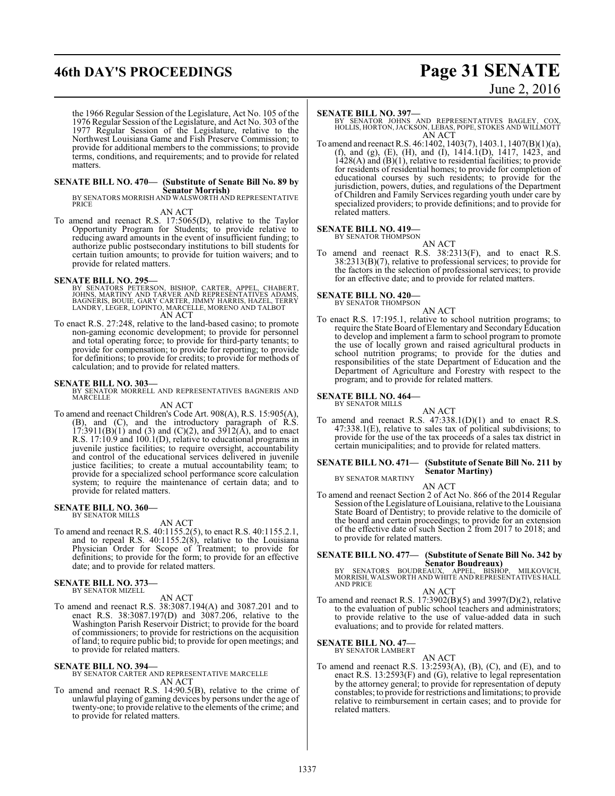# **46th DAY'S PROCEEDINGS Page 31 SENATE**

# June 2, 2016

the 1966 Regular Session of the Legislature, Act No. 105 of the 1976 Regular Session of the Legislature, and Act No. 303 of the 1977 Regular Session of the Legislature, relative to the Northwest Louisiana Game and Fish Preserve Commission; to provide for additional members to the commissions; to provide terms, conditions, and requirements; and to provide for related matters.

# **SENATE BILL NO. 470— (Substitute of Senate Bill No. 89 by**

**Senator Morrish)** BY SENATORS MORRISH AND WALSWORTH AND REPRESENTATIVE PRICE

AN ACT

To amend and reenact R.S. 17:5065(D), relative to the Taylor Opportunity Program for Students; to provide relative to reducing award amounts in the event of insufficient funding; to authorize public postsecondary institutions to bill students for certain tuition amounts; to provide for tuition waivers; and to provide for related matters.

#### **SENATE BILL NO. 295—**

- BY SENATORS PETERSON, BISHOP, CARTER, APPEL, CHABERT,<br>JOHNS, MARTINY AND TARVER AND REPRESENTATIVES ADAMS,<br>BAGNERIS, BOUIE, GARY CARTER, JIMMY HARRIS, HAZEL, TERRY<br>LANDRY, LEGER, LOPINTO, MARCELLE, MORENO AND TALBOT AN ACT
- To enact R.S. 27:248, relative to the land-based casino; to promote non-gaming economic development; to provide for personnel and total operating force; to provide for third-party tenants; to provide for compensation; to provide for reporting; to provide for definitions; to provide for credits; to provide for methods of calculation; and to provide for related matters.

**SENATE BILL NO. 303—** BY SENATOR MORRELL AND REPRESENTATIVES BAGNERIS AND MARCELLE

AN ACT To amend and reenact Children's Code Art. 908(A), R.S. 15:905(A), (B), and (C), and the introductory paragraph of R.S.  $17:3911(B)(1)$  and (3) and (C)(2), and  $3912(A)$ , and to enact R.S. 17:10.9 and 100.1(D), relative to educational programs in juvenile justice facilities; to require oversight, accountability and control of the educational services delivered in juvenile justice facilities; to create a mutual accountability team; to provide for a specialized school performance score calculation system; to require the maintenance of certain data; and to provide for related matters.

#### **SENATE BILL NO. 360—** BY SENATOR MILLS

AN ACT

To amend and reenact R.S. 40:1155.2(5), to enact R.S. 40:1155.2.1, and to repeal R.S. 40:1155.2(8), relative to the Louisiana Physician Order for Scope of Treatment; to provide for definitions; to provide for the form; to provide for an effective date; and to provide for related matters.

#### **SENATE BILL NO. 373—**

BY SENATOR MIZELL

AN ACT

To amend and reenact R.S. 38:3087.194(A) and 3087.201 and to enact R.S. 38:3087.197(D) and 3087.206, relative to the Washington Parish Reservoir District; to provide for the board of commissioners; to provide for restrictions on the acquisition of land; to require public bid; to provide for open meetings; and to provide for related matters.

#### **SENATE BILL NO. 394—**

BY SENATOR CARTER AND REPRESENTATIVE MARCELLE AN ACT

To amend and reenact R.S. 14:90.5(B), relative to the crime of unlawful playing of gaming devices by persons under the age of twenty-one; to provide relative to the elements of the crime; and to provide for related matters.

#### **SENATE BILL NO. 397—**

BY SENATOR JOHNS AND REPRESENTATIVES BAGLEY, COX, HOLLIS, HORTON, JACKSON, LEBAS, POPE, STOKES AND WILLMOTT AN ACT

To amend and reenact R.S. 46:1402, 1403(7), 1403.1, 1407(B)(1)(a), (f), and (g), (E), (H), and (I), 1414.1(D), 1417, 1423, and  $1428(A)$  and  $(B)(1)$ , relative to residential facilities; to provide for residents of residential homes; to provide for completion of educational courses by such residents; to provide for the jurisdiction, powers, duties, and regulations of the Department of Children and Family Services regarding youth under care by specialized providers; to provide definitions; and to provide for related matters.

# **SENATE BILL NO. 419-**<br>BY SENATOR THOMPSON

AN ACT To amend and reenact R.S. 38:2313(F), and to enact R.S. 38:2313(B)(7), relative to professional services; to provide for the factors in the selection of professional services; to provide for an effective date; and to provide for related matters.

# **SENATE BILL NO. 420—**<br>BY SENATOR THOMPSON

AN ACT

To enact R.S. 17:195.1, relative to school nutrition programs; to require the State Board of Elementary and SecondaryEducation to develop and implement a farm to school program to promote the use of locally grown and raised agricultural products in school nutrition programs; to provide for the duties and responsibilities of the state Department of Education and the Department of Agriculture and Forestry with respect to the program; and to provide for related matters.

#### **SENATE BILL NO. 464—** BY SENATOR MILLS

AN ACT

To amend and reenact R.S.  $47:338.1(D)(1)$  and to enact R.S. 47:338.1(E), relative to sales tax of political subdivisions; to provide for the use of the tax proceeds of a sales tax district in certain municipalities; and to provide for related matters.

#### **SENATE BILL NO. 471— (Substitute of Senate Bill No. 211 by Senator Martiny)** BY SENATOR MARTINY

AN ACT

To amend and reenact Section 2 of Act No. 866 of the 2014 Regular Session of the Legislature of Louisiana, relative to the Louisiana State Board of Dentistry; to provide relative to the domicile of the board and certain proceedings; to provide for an extension of the effective date of such Section 2 from 2017 to 2018; and to provide for related matters.

**SENATE BILL NO. 477— (Substitute of Senate Bill No. 342 by**

**Senator Boudreaux)**<br>BY SENATORS BOUDREAUX, APPEL, BISHOP, MILKOVICH,<br>MORRISH,WALSWORTH AND WHITE AND REPRESENTATIVES HALL<br>AND PRICE

#### AN ACT

To amend and reenact R.S. 17:3902(B)(5) and 3997(D)(2), relative to the evaluation of public school teachers and administrators; to provide relative to the use of value-added data in such evaluations; and to provide for related matters.

# **SENATE BILL NO. 47—**<br>BY SENATOR LAMBERT

AN ACT To amend and reenact R.S. 13:2593(A), (B), (C), and (E), and to enact R.S. 13:2593(F) and (G), relative to legal representation by the attorney general; to provide for representation of deputy constables; to provide for restrictions and limitations; to provide relative to reimbursement in certain cases; and to provide for related matters.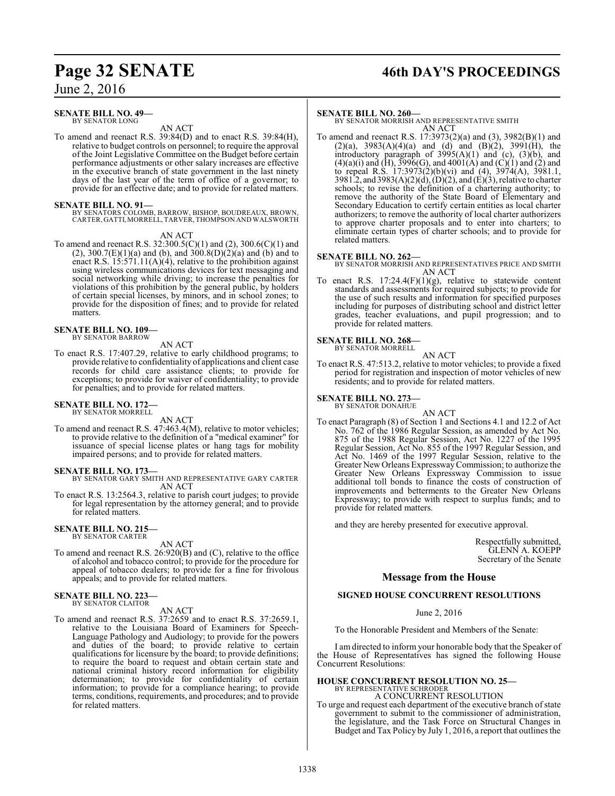# **Page 32 SENATE 46th DAY'S PROCEEDINGS**

June 2, 2016

#### **SENATE BILL NO. 49—** BY SENATOR LONG

AN ACT

To amend and reenact R.S. 39:84(D) and to enact R.S. 39:84(H), relative to budget controls on personnel; to require the approval of the Joint Legislative Committee on the Budget before certain performance adjustments or other salary increases are effective in the executive branch of state government in the last ninety days of the last year of the term of office of a governor; to provide for an effective date; and to provide for related matters.

**SENATE BILL NO. 91—** BY SENATORS COLOMB, BARROW, BISHOP, BOUDREAUX, BROWN, CARTER, GATTI,MORRELL, TARVER, THOMPSON AND WALSWORTH

AN ACT

To amend and reenact R.S. 32:300.5(C)(1) and (2), 300.6(C)(1) and  $(2)$ , 300.7(E)(1)(a) and (b), and 300.8(D)(2)(a) and (b) and to enact R.S.  $15:571.11(A)(4)$ , relative to the prohibition against using wireless communications devices for text messaging and social networking while driving; to increase the penalties for violations of this prohibition by the general public, by holders of certain special licenses, by minors, and in school zones; to provide for the disposition of fines; and to provide for related matters.

# **SENATE BILL NO. 109—** BY SENATOR BARROW

AN ACT

To enact R.S. 17:407.29, relative to early childhood programs; to provide relative to confidentiality of applications and client case records for child care assistance clients; to provide for exceptions; to provide for waiver of confidentiality; to provide for penalties; and to provide for related matters.

# **SENATE BILL NO. 172—** BY SENATOR MORRELL

AN ACT

To amend and reenact R.S. 47:463.4(M), relative to motor vehicles; to provide relative to the definition of a "medical examiner" for issuance of special license plates or hang tags for mobility impaired persons; and to provide for related matters.

- **SENATE BILL NO. 173—** BY SENATOR GARY SMITH AND REPRESENTATIVE GARY CARTER AN ACT
- To enact R.S. 13:2564.3, relative to parish court judges; to provide for legal representation by the attorney general; and to provide for related matters.

# **SENATE BILL NO. 215—** BY SENATOR CARTER

AN ACT

To amend and reenact R.S. 26:920(B) and (C), relative to the office of alcohol and tobacco control; to provide for the procedure for appeal of tobacco dealers; to provide for a fine for frivolous appeals; and to provide for related matters.

# **SENATE BILL NO. 223—** BY SENATOR CLAITOR

AN ACT

To amend and reenact R.S. 37:2659 and to enact R.S. 37:2659.1, relative to the Louisiana Board of Examiners for Speech-Language Pathology and Audiology; to provide for the powers and duties of the board; to provide relative to certain qualifications for licensure by the board; to provide definitions; to require the board to request and obtain certain state and national criminal history record information for eligibility determination; to provide for confidentiality of certain information; to provide for a compliance hearing; to provide terms, conditions, requirements, and procedures; and to provide for related matters.

#### **SENATE BILL NO. 260—**

BY SENATOR MORRISH AND REPRESENTATIVE SMITH AN ACT

To amend and reenact R.S. 17:3973(2)(a) and (3), 3982(B)(1) and  $(2)(a)$ , 3983 $(A)(4)(a)$  and  $(d)$  and  $(B)(2)$ , 399 $1(H)$ , the introductory paragraph of  $3995(A)(1)$  and (c),  $(3)(b)$ , and  $(4)(a)(i)$  and  $(H)$ , 3996 $(G)$ , and 4001 $(A)$  and  $(C)(1)$  and  $(2)$  and to repeal R.S. 17:3973(2)(b)(vi) and (4), 3974(A), 3981.1, 3981.2, and 3983(A)(2)(d), (D)(2), and (E)(3), relative to charter schools; to revise the definition of a chartering authority; to remove the authority of the State Board of Elementary and Secondary Education to certify certain entities as local charter authorizers; to remove the authority of local charter authorizers to approve charter proposals and to enter into charters; to eliminate certain types of charter schools; and to provide for related matters.

#### **SENATE BILL NO. 262—**

BY SENATOR MORRISH AND REPRESENTATIVES PRICE AND SMITH AN ACT

To enact R.S. 17:24.4(F)(1)(g), relative to statewide content standards and assessments for required subjects; to provide for the use of such results and information for specified purposes including for purposes of distributing school and district letter grades, teacher evaluations, and pupil progression; and to provide for related matters.

# **SENATE BILL NO. 268—** BY SENATOR MORRELL

AN ACT To enact R.S. 47:513.2, relative to motor vehicles; to provide a fixed period for registration and inspection of motor vehicles of new residents; and to provide for related matters.

#### **SENATE BILL NO. 273—**

BY SENATOR DONAHUE

AN ACT To enact Paragraph (8) of Section 1 and Sections 4.1 and 12.2 of Act No. 762 of the 1986 Regular Session, as amended by Act No. 875 of the 1988 Regular Session, Act No. 1227 of the 1995 Regular Session, Act No. 855 of the 1997 Regular Session, and Act No. 1469 of the 1997 Regular Session, relative to the Greater New Orleans ExpresswayCommission; to authorize the Greater New Orleans Expressway Commission to issue additional toll bonds to finance the costs of construction of improvements and betterments to the Greater New Orleans Expressway; to provide with respect to surplus funds; and to provide for related matters.

and they are hereby presented for executive approval.

Respectfully submitted, GLENN A. KOEPP Secretary of the Senate

#### **Message from the House**

#### **SIGNED HOUSE CONCURRENT RESOLUTIONS**

June 2, 2016

To the Honorable President and Members of the Senate:

I am directed to inform your honorable body that the Speaker of the House of Representatives has signed the following House Concurrent Resolutions:

# **HOUSE CONCURRENT RESOLUTION NO. 25—** BY REPRESENTATIVE SCHRODER

A CONCURRENT RESOLUTION

To urge and request each department of the executive branch of state government to submit to the commissioner of administration, the legislature, and the Task Force on Structural Changes in Budget and Tax Policy by July 1, 2016, a report that outlines the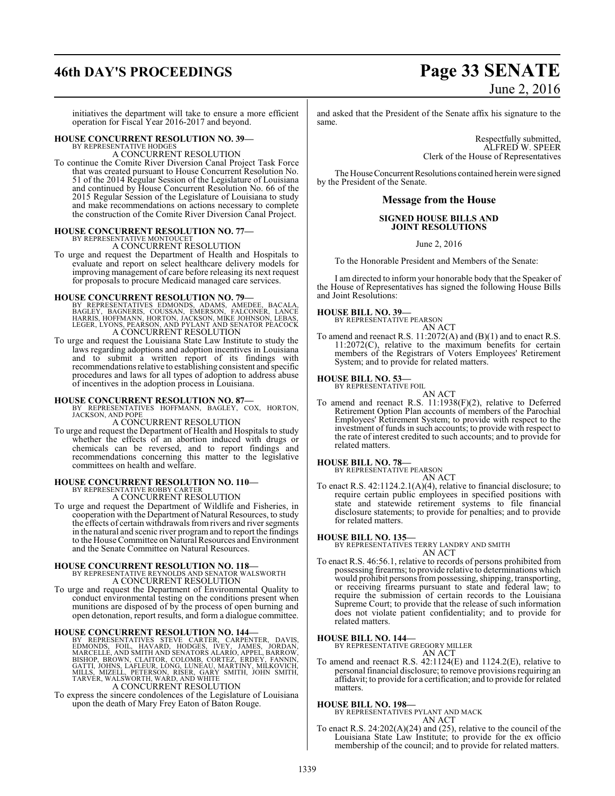# **46th DAY'S PROCEEDINGS Page 33 SENATE**

# June 2, 2016

initiatives the department will take to ensure a more efficient operation for Fiscal Year 2016-2017 and beyond.

# **HOUSE CONCURRENT RESOLUTION NO. 39—** BY REPRESENTATIVE HODGES

A CONCURRENT RESOLUTION

To continue the Comite River Diversion Canal Project Task Force that was created pursuant to House Concurrent Resolution No. 51 of the 2014 Regular Session of the Legislature of Louisiana and continued by House Concurrent Resolution No. 66 of the 2015 Regular Session of the Legislature of Louisiana to study and make recommendations on actions necessary to complete the construction of the Comite River Diversion Canal Project.

# **HOUSE CONCURRENT RESOLUTION NO. 77—** BY REPRESENTATIVE MONTOUCET

A CONCURRENT RESOLUTION

To urge and request the Department of Health and Hospitals to evaluate and report on select healthcare delivery models for improving management of care before releasing its next request for proposals to procure Medicaid managed care services.

- **HOUSE CONCURRENT RESOLUTION NO. 79—**<br>BY REPRESENTATIVES EDMONDS, ADAMS, AMEDEE, BACALA, BAGIEY, BAGNERIS, COUSSAN, EMERSON, FALCONER, LANCE<br>HARRIS, HOFFMANN, HORTON, JACKSON, MIKE JOHNSON, LEBAS, LEGER, LYONS, PEARSON, AN
- To urge and request the Louisiana State Law Institute to study the laws regarding adoptions and adoption incentives in Louisiana and to submit a written report of its findings with recommendations relative to establishing consistent and specific procedures and laws for all types of adoption to address abuse of incentives in the adoption process in Louisiana.

**HOUSE CONCURRENT RESOLUTION NO. 87—** BY REPRESENTATIVES HOFFMANN, BAGLEY, COX, HORTON, JACKSON, AND POPE A CONCURRENT RESOLUTION

To urge and request the Department of Health and Hospitals to study whether the effects of an abortion induced with drugs or chemicals can be reversed, and to report findings and recommendations concerning this matter to the legislative committees on health and welfare.

## **HOUSE CONCURRENT RESOLUTION NO. 110—**

BY REPRESENTATIVE ROBBY CARTER A CONCURRENT RESOLUTION

To urge and request the Department of Wildlife and Fisheries, in cooperation with the Department of Natural Resources, to study the effects of certain withdrawals fromrivers and river segments in the natural and scenic river programand to report the findings to the House Committee on Natural Resources and Environment and the Senate Committee on Natural Resources.

**HOUSE CONCURRENT RESOLUTION NO. 118—** BY REPRESENTATIVE REYNOLDS AND SENATOR WALSWORTH A CONCURRENT RESOLUTION

To urge and request the Department of Environmental Quality to conduct environmental testing on the conditions present when munitions are disposed of by the process of open burning and open detonation, report results, and form a dialogue committee.

**HOUSE CONCURRENT RESOLUTION NO. 144**<br>BY REPRESENTATIVES STEVE CARTER, CARPENTER, DAVIS, EDMONDS, FOIL, HAVARD, HODGES, IVEY, JAMESL, JORDAN, MARCELLE, AND SMITH AND SENATORS ALARIO, APPEL, BARROW, BISHOP, BROWN, CLAITOR,

A CONCURRENT RESOLUTION

To express the sincere condolences of the Legislature of Louisiana upon the death of Mary Frey Eaton of Baton Rouge.

and asked that the President of the Senate affix his signature to the same.

> Respectfully submitted, ALFRED W. SPEER Clerk of the House of Representatives

The House Concurrent Resolutions contained herein were signed by the President of the Senate.

#### **Message from the House**

#### **SIGNED HOUSE BILLS AND JOINT RESOLUTIONS**

June 2, 2016

To the Honorable President and Members of the Senate:

I am directed to inform your honorable body that the Speaker of the House of Representatives has signed the following House Bills and Joint Resolutions:

# **HOUSE BILL NO. 39—** BY REPRESENTATIVE PEARSON

AN ACT

To amend and reenact R.S. 11:2072(A) and (B)(1) and to enact R.S. 11:2072(C), relative to the maximum benefits for certain members of the Registrars of Voters Employees' Retirement System; and to provide for related matters.

#### **HOUSE BILL NO. 53—**

BY REPRESENTATIVE FOIL

AN ACT To amend and reenact R.S. 11:1938(F)(2), relative to Deferred Retirement Option Plan accounts of members of the Parochial Employees' Retirement System; to provide with respect to the investment of funds in such accounts; to provide with respect to the rate of interest credited to such accounts; and to provide for related matters.

# **HOUSE BILL NO. 78—** BY REPRESENTATIVE PEARSON

AN ACT

To enact R.S. 42:1124.2.1(A)(4), relative to financial disclosure; to require certain public employees in specified positions with state and statewide retirement systems to file financial disclosure statements; to provide for penalties; and to provide for related matters.

**HOUSE BILL NO. 135—** BY REPRESENTATIVES TERRY LANDRY AND SMITH AN ACT

To enact R.S. 46:56.1, relative to records of persons prohibited from possessing firearms; to provide relative to determinations which would prohibit persons frompossessing, shipping, transporting, or receiving firearms pursuant to state and federal law; to require the submission of certain records to the Louisiana Supreme Court; to provide that the release of such information does not violate patient confidentiality; and to provide for related matters.

#### **HOUSE BILL NO. 144—**

BY REPRESENTATIVE GREGORY MILLER

AN ACT To amend and reenact R.S. 42:1124(E) and 1124.2(E), relative to personal financial disclosure; to remove provisions requiring an affidavit; to provide for a certification; and to provide for related matters.

#### **HOUSE BILL NO. 198—**

BY REPRESENTATIVES PYLANT AND MACK AN ACT

To enact R.S. 24:202(A)(24) and (25), relative to the council of the Louisiana State Law Institute; to provide for the ex officio membership of the council; and to provide for related matters.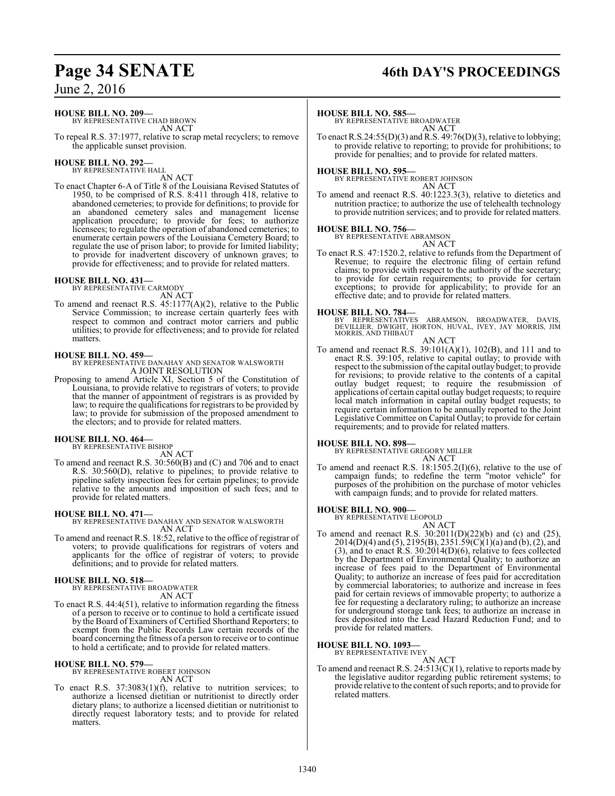#### **HOUSE BILL NO. 209—**

BY REPRESENTATIVE CHAD BROWN AN ACT

To repeal R.S. 37:1977, relative to scrap metal recyclers; to remove the applicable sunset provision.

# **HOUSE BILL NO. 292—** BY REPRESENTATIVE HALL

AN ACT

To enact Chapter 6-A of Title 8 of the Louisiana Revised Statutes of 1950, to be comprised of R.S. 8:411 through 418, relative to abandoned cemeteries; to provide for definitions; to provide for an abandoned cemetery sales and management license application procedure; to provide for fees; to authorize licensees; to regulate the operation of abandoned cemeteries; to enumerate certain powers of the Louisiana Cemetery Board; to regulate the use of prison labor; to provide for limited liability; to provide for inadvertent discovery of unknown graves; to provide for effectiveness; and to provide for related matters.

# **HOUSE BILL NO. 431—** BY REPRESENTATIVE CARMODY

AN ACT To amend and reenact R.S.  $45:1177(A)(2)$ , relative to the Public Service Commission; to increase certain quarterly fees with respect to common and contract motor carriers and public utilities; to provide for effectiveness; and to provide for related matters.

#### **HOUSE BILL NO. 459—**

BY REPRESENTATIVE DANAHAY AND SENATOR WALSWORTH A JOINT RESOLUTION

Proposing to amend Article XI, Section 5 of the Constitution of Louisiana, to provide relative to registrars of voters; to provide that the manner of appointment of registrars is as provided by law; to require the qualifications for registrars to be provided by law; to provide for submission of the proposed amendment to the electors; and to provide for related matters.

# **HOUSE BILL NO. 464—** BY REPRESENTATIVE BISHOP

AN ACT

To amend and reenact R.S. 30:560(B) and (C) and 706 and to enact R.S. 30:560(D), relative to pipelines; to provide relative to pipeline safety inspection fees for certain pipelines; to provide relative to the amounts and imposition of such fees; and to provide for related matters.

#### **HOUSE BILL NO. 471—**

BY REPRESENTATIVE DANAHAY AND SENATOR WALSWORTH AN ACT

To amend and reenact R.S. 18:52, relative to the office of registrar of voters; to provide qualifications for registrars of voters and applicants for the office of registrar of voters; to provide definitions; and to provide for related matters.

#### **HOUSE BILL NO. 518—**

BY REPRESENTATIVE BROADWATER AN ACT

To enact R.S. 44:4(51), relative to information regarding the fitness of a person to receive or to continue to hold a certificate issued by the Board of Examiners of Certified Shorthand Reporters; to exempt from the Public Records Law certain records of the board concerning the fitness of a person to receive or to continue to hold a certificate; and to provide for related matters.

# **HOUSE BILL NO. 579—** BY REPRESENTATIVE ROBERT JOHNSON

AN ACT

To enact R.S. 37:3083(1)(f), relative to nutrition services; to authorize a licensed dietitian or nutritionist to directly order dietary plans; to authorize a licensed dietitian or nutritionist to directly request laboratory tests; and to provide for related matters.

# **Page 34 SENATE 46th DAY'S PROCEEDINGS**

#### **HOUSE BILL NO. 585—**

BY REPRESENTATIVE BROADWATER AN ACT

To enact R.S.24:55(D)(3) and R.S. 49:76(D)(3), relative to lobbying; to provide relative to reporting; to provide for prohibitions; to provide for penalties; and to provide for related matters.

**HOUSE BILL NO. 595—** BY REPRESENTATIVE ROBERT JOHNSON

AN ACT

To amend and reenact R.S. 40:1223.3(3), relative to dietetics and nutrition practice; to authorize the use of telehealth technology to provide nutrition services; and to provide for related matters.

# **HOUSE BILL NO. 756—** BY REPRESENTATIVE ABRAMSON

AN ACT

To enact R.S. 47:1520.2, relative to refunds from the Department of Revenue; to require the electronic filing of certain refund claims; to provide with respect to the authority of the secretary; to provide for certain requirements; to provide for certain exceptions; to provide for applicability; to provide for an effective date; and to provide for related matters.

**HOUSE BILL NO. 784—**<br>BY REPRESENTATIVES ABRAMSON, BROADWATER, DAVIS,<br>DEVILLIER, DWIGHT, HORTON, HUVAL, IVEY, JAY MORRIS, JIM<br>MORRIS, AND THIBAUT

AN ACT

To amend and reenact R.S. 39:101(A)(1), 102(B), and 111 and to enact R.S. 39:105, relative to capital outlay; to provide with respect to the submission ofthe capital outlay budget; to provide for revisions; to provide relative to the contents of a capital outlay budget request; to require the resubmission of applications of certain capital outlay budget requests; to require local match information in capital outlay budget requests; to require certain information to be annually reported to the Joint Legislative Committee on Capital Outlay; to provide for certain requirements; and to provide for related matters.

#### **HOUSE BILL NO. 898—**

BY REPRESENTATIVE GREGORY MILLER AN ACT

To amend and reenact R.S. 18:1505.2(I)(6), relative to the use of campaign funds; to redefine the term "motor vehicle" for purposes of the prohibition on the purchase of motor vehicles with campaign funds; and to provide for related matters.

# **HOUSE BILL NO. 900—** BY REPRESENTATIVE LEOPOLD

AN ACT To amend and reenact R.S. 30:2011(D)(22)(b) and (c) and (25),  $2014(D)(4)$  and  $(5)$ ,  $2195(B)$ ,  $2351.59(C)(1)(a)$  and  $(b)$ ,  $(2)$ , and (3), and to enact R.S. 30:2014(D)(6), relative to fees collected by the Department of Environmental Quality; to authorize an increase of fees paid to the Department of Environmental Quality; to authorize an increase of fees paid for accreditation by commercial laboratories; to authorize and increase in fees paid for certain reviews of immovable property; to authorize a fee for requesting a declaratory ruling; to authorize an increase for underground storage tank fees; to authorize an increase in fees deposited into the Lead Hazard Reduction Fund; and to provide for related matters.

#### **HOUSE BILL NO. 1093—**

BY REPRESENTATIVE IVEY AN ACT

To amend and reenact R.S. 24:513(C)(1), relative to reports made by the legislative auditor regarding public retirement systems; to provide relative to the content ofsuch reports; and to provide for related matters.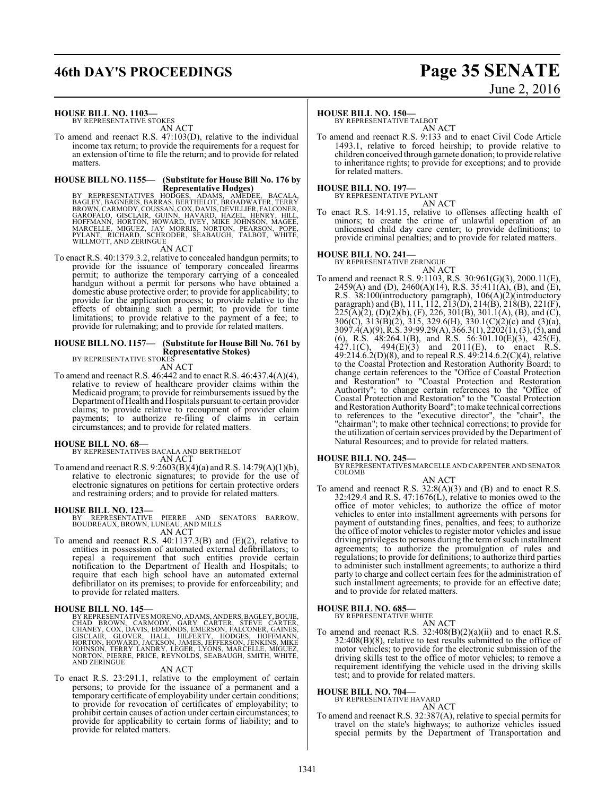# **46th DAY'S PROCEEDINGS Page 35 SENATE**

# June 2, 2016

#### **HOUSE BILL NO. 1103—**

BY REPRESENTATIVE STOKES AN ACT

To amend and reenact R.S. 47:103(D), relative to the individual income tax return; to provide the requirements for a request for an extension of time to file the return; and to provide for related matters.

## **HOUSE BILL NO. 1155— (Substitute for House Bill No. 176 by**

**Representative Hodges)**<br>BY REPRESENTATIVES HODGES, ADAMS, AMEDEE, BACALA,<br>BAGLEY, BAGNERIS, BARRAS, BERTHELOT, BROADWATER, TERRY<br>BROWN, CARMODY, COUSSAN, COX, DAVIS, DEVILLIER, FALCONER,<br>GAROFALO, GISCLAIR, GUINN, HAVARD,

AN ACT

To enact R.S. 40:1379.3.2, relative to concealed handgun permits; to provide for the issuance of temporary concealed firearms permit; to authorize the temporary carrying of a concealed handgun without a permit for persons who have obtained a domestic abuse protective order; to provide for applicability; to provide for the application process; to provide relative to the effects of obtaining such a permit; to provide for time limitations; to provide relative to the payment of a fee; to provide for rulemaking; and to provide for related matters.

#### **HOUSE BILL NO. 1157— (Substitute for House Bill No. 761 by Representative Stokes)** BY REPRESENTATIVE STOKES

AN ACT

To amend and reenact R.S. 46:442 and to enact R.S. 46:437.4(A)(4), relative to review of healthcare provider claims within the Medicaid program; to provide for reimbursements issued by the Department of Health and Hospitals pursuant to certain provider claims; to provide relative to recoupment of provider claim payments; to authorize re-filing of claims in certain circumstances; and to provide for related matters.

#### **HOUSE BILL NO. 68—**

BY REPRESENTATIVES BACALA AND BERTHELOT AN ACT

To amend and reenact R.S. 9:2603(B)(4)(a) and R.S. 14:79(A)(1)(b), relative to electronic signatures; to provide for the use of electronic signatures on petitions for certain protective orders and restraining orders; and to provide for related matters.

**HOUSE BILL NO. 123—** BY REPRESENTATIVE PIERRE AND SENATORS BARROW, BOUDREAUX, BROWN, LUNEAU, AND MILLS AN ACT

To amend and reenact R.S. 40:1137.3(B) and (E)(2), relative to entities in possession of automated external defibrillators; to repeal a requirement that such entities provide certain notification to the Department of Health and Hospitals; to require that each high school have an automated external defibrillator on its premises; to provide for enforceability; and to provide for related matters.

**HOUSE BILL NO. 145—** BY REPRESENTATIVES MORENO, ADAMS, ANDERS,BAGLEY,BOUIE, CHAD BROWN, CARMODY, GARY CARTER, STEVE CARTER,<br>CHANEY,COX,DAVIS,EDMONDS,EMERSON,FALCONER,GAINES,<br>GISCLAIR, GLOVER, HALL, HILFERTY, HODGES, HOFFMANN,<br>HORTON,HOWARD,JACKSON,JAMES,JEFFERSON,JENKINS,MIKE<br>JOHNSON,TERRY LANDRY, AND ZERINGUE

#### AN ACT

To enact R.S. 23:291.1, relative to the employment of certain persons; to provide for the issuance of a permanent and a temporary certificate of employability under certain conditions; to provide for revocation of certificates of employability; to prohibit certain causes of action under certain circumstances; to provide for applicability to certain forms of liability; and to provide for related matters.

#### **HOUSE BILL NO. 150—**

BY REPRESENTATIVE TALBOT AN ACT

To amend and reenact R.S. 9:133 and to enact Civil Code Article 1493.1, relative to forced heirship; to provide relative to children conceived through gamete donation; to provide relative to inheritance rights; to provide for exceptions; and to provide for related matters.

**HOUSE BILL NO. 197—** BY REPRESENTATIVE PYLANT

AN ACT

To enact R.S. 14:91.15, relative to offenses affecting health of minors; to create the crime of unlawful operation of an unlicensed child day care center; to provide definitions; to provide criminal penalties; and to provide for related matters.

#### **HOUSE BILL NO. 241—**

BY REPRESENTATIVE ZERINGUE

AN ACT To amend and reenact R.S. 9:1103, R.S. 30:961(G)(3), 2000.11(E), 2459(A) and (D), 2460(A)(14), R.S. 35:411(A), (B), and (E), R.S. 38:100(introductory paragraph), 106(A)(2)(introductory paragraph) and (B), 111, 112, 213(D), 214(B), 218(B), 221(F),  $225(A)(2)$ , (D)(2)(b), (F), 226, 301(B), 301.1(A), (B), and (C), 306(C), 313(B)(2), 315, 329.6(H), 330.1(C)(2)(c) and (3)(a), 3097.4(A)(9), R.S. 39:99.29(A), 366.3(1), 2202(1), (3), (5), and (6), R.S. 48:264.1(B), and R.S. 56:301.10(E)(3), 425(E),  $427.1(C)$ ,  $494(E)(3)$  and  $2011(E)$ , to enact R.S. 49:214.6.2(D)(8), and to repeal R.S.  $49:214.6.2(C)(4)$ , relative to the Coastal Protection and Restoration Authority Board; to change certain references to the "Office of Coastal Protection and Restoration" to "Coastal Protection and Restoration Authority"; to change certain references to the "Office of Coastal Protection and Restoration" to the "Coastal Protection and Restoration Authority Board"; to make technical corrections to references to the "executive director", the "chair", the "chairman"; to make other technical corrections; to provide for the utilization of certain services provided by the Department of Natural Resources; and to provide for related matters.

#### **HOUSE BILL NO. 245—**

BY REPRESENTATIVES MARCELLE AND CARPENTER AND SENATOR COLOMB

AN ACT

To amend and reenact R.S. 32:8(A)(3) and (B) and to enact R.S. 32:429.4 and R.S. 47:1676(L), relative to monies owed to the office of motor vehicles; to authorize the office of motor vehicles to enter into installment agreements with persons for payment of outstanding fines, penalties, and fees; to authorize the office of motor vehicles to register motor vehicles and issue driving privileges to persons during the term of such installment agreements; to authorize the promulgation of rules and regulations; to provide for definitions; to authorize third parties to administer such installment agreements; to authorize a third party to charge and collect certain fees for the administration of such installment agreements; to provide for an effective date; and to provide for related matters.

#### **HOUSE BILL NO. 685—**

BY REPRESENTATIVE WHITE AN ACT

To amend and reenact R.S.  $32:408(B)(2)(a)(ii)$  and to enact R.S. 32:408(B)(8), relative to test results submitted to the office of motor vehicles; to provide for the electronic submission of the driving skills test to the office of motor vehicles; to remove a requirement identifying the vehicle used in the driving skills test; and to provide for related matters.

#### **HOUSE BILL NO. 704—**

BY REPRESENTATIVE HAVARD AN ACT

To amend and reenact R.S. 32:387(A), relative to special permits for travel on the state's highways; to authorize vehicles issued special permits by the Department of Transportation and